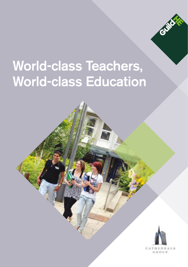

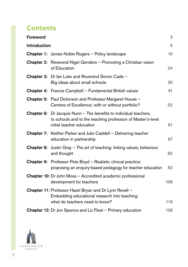# **Contents**

| Foreword     |                                                                                                                                                                      | 3   |
|--------------|----------------------------------------------------------------------------------------------------------------------------------------------------------------------|-----|
| Introduction |                                                                                                                                                                      | 5   |
|              | <b>Chapter 1:</b> James Noble-Rogers - Policy landscape                                                                                                              | 10  |
|              | <b>Chapter 2:</b> Reverend Nigel Genders - Promoting a Christian vision<br>of Education                                                                              | 24  |
| Chapter 3:   | Dr lan Luke and Reverend Simon Cade -<br>Big ideas about small schools                                                                                               | 30  |
|              | <b>Chapter 4:</b> Francis Campbell - Fundamental British values                                                                                                      | 41  |
|              | Chapter 5: Paul Dickinson and Professor Margaret House -<br>Centres of Excellence: with or without portfolio?                                                        | 52  |
|              | <b>Chapter 6:</b> Dr Jacquie Nunn - The benefits to individual teachers,<br>to schools and to the teaching profession of Master's-level<br>initial teacher education | 61  |
|              | <b>Chapter 7:</b> Keither Parker and Julie Caddell - Delivering teacher<br>education in partnership                                                                  | 67  |
|              | <b>Chapter 8:</b> Justin Gray – The art of teaching: linking values, behaviour<br>and thought                                                                        | 82  |
| Chapter 9:   | Professor Pete Boyd - Realistic clinical practice:<br>proposing an enquiry-based pedagogy for teacher education                                                      | 92  |
|              | Chapter 10: Dr John Moss - Accredited academic professional<br>development for teachers                                                                              | 108 |
|              | Chapter 11: Professor Hazel Bryan and Dr Lynn Revell -<br>Embedding educational research into teaching:<br>what do teachers need to know?                            | 119 |
|              | <b>Chapter 12:</b> Dr Jon Spence and Liz Fleet – Primary education                                                                                                   | 128 |

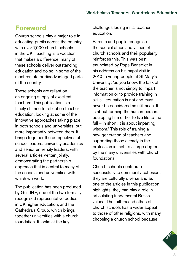# **Foreword**

Church schools play a major role in educating pupils across the country, with over 7,000 church schools in the UK. Teaching is a vocation that makes a difference: many of these schools deliver outstanding education and do so in some of the most remote or disadvantaged parts of the country.

These schools are reliant on an ongoing supply of excellent teachers. This publication is a timely chance to reflect on teacher education, looking at some of the innovative approaches taking place in both schools and universities, but more importantly between them. It brings together the perspectives of school leaders, university academics and senior university leaders, with several articles written jointly, demonstrating the partnership approach that is central to many of the schools and universities with which we work.

The publication has been produced by GuildHE, one of the two formally recognised representative bodies in UK higher education, and the Cathedrals Group, which brings together universities with a church foundation. It looks at the key

challenges facing initial teacher education.

Parents and pupils recognise the special ethos and values of church schools and their popularity reinforces this. This was best enunciated by Pope Benedict in his address on his papal visit in 2010 to young people at St Mary's University: 'as you know, the task of the teacher is not simply to impart information or to provide training in skills....education is not and must never be considered as utilitarian. It is about forming the human person, equipping him or her to live life to the full – in short, it is about imparting wisdom.' This role of training a new generation of teachers and supporting those already in the profession is met, to a large degree, by the many universities with church foundations.

Church schools contribute successfully to community cohesion; they are culturally diverse and as one of the articles in this publication highlights, they can play a role in articulating fundamental British values. The faith-based ethos of church schools has a wider appeal to those of other religions, with many choosing a church school because

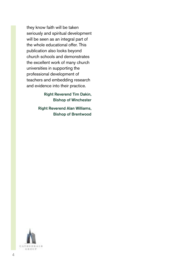they know faith will be taken seriously and spiritual development will be seen as an integral part of the whole educational offer. This publication also looks beyond church schools and demonstrates the excellent work of many church universities in supporting the professional development of teachers and embedding research and evidence into their practice.

> Right Reverend Tim Dakin, Bishop of Winchester

Right Reverend Alan Williams, Bishop of Brentwood

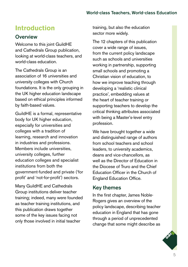# **Introduction**

# **Overview**

Welcome to this joint GuildHE and Cathedrals Group publication, looking at world-class teachers, and world-class education.

The Cathedrals Group is an association of 16 universities and university colleges with Church foundations. It is the only grouping in the UK higher education landscape based on ethical principles informed by faith-based values.

GuildHE is a formal, representative body for UK higher education, especially for universities and colleges with a tradition of learning, research and innovation in industries and professions. Members include universities, university colleges, further education colleges and specialist institutions from both the government-funded and private ('for profit' and 'not-for-profit') sectors.

Many GuildHE and Cathedrals Group institutions deliver teacher training; indeed, many were founded as teacher training institutions, and this publication draws together some of the key issues facing not only those involved in initial teacher

training, but also the education sector more widely.

The 12 chapters of this publication cover a wide range of issues, from the current policy landscape such as schools and universities working in partnership, supporting small schools and promoting a Christian vision of education, to how we improve teaching through developing a 'realistic clinical practice', embedding values at the heart of teacher training or supporting teachers to develop the critical thinking attributes associated with being a Master's-level entry profession.

We have brought together a wide and distinguished range of authors from school teachers and school leaders, to university academics, deans and vice-chancellors, as well as the Director of Education in the Diocese of Truro and the Chief Education Officer in the Church of England Education Office.

#### Key themes

In the first chapter, James Noble-Rogers gives an overview of the policy landscape, describing teacher education in England that has gone through a period of unprecedented change that some might describe as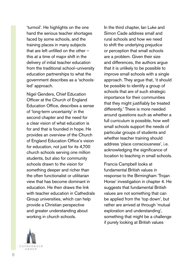'turmoil'. He highlights on the one hand the serious teacher shortages faced by some schools, and the training places in many subjects that are left unfilled on the other – this at a time of major shift in the delivery of initial teacher education from the traditional school–university education partnerships to what the government describes as a 'schoolsled' approach.

Nigel Genders, Chief Education Officer at the Church of England Education Office, describes a sense of 'long-term uncertainty' in the second chapter and the need for a clear vision of what education is for and that is founded in hope. He provides an overview of the Church of England Education Office's vision for education, not just for its 4,700 church schools serving one million students, but also for community schools drawn to the vision for something deeper and richer than the often functionalist or utilitarian view that has become dominant in education. He then draws the link with teacher education in Cathedrals Group universities, which can help provide a Christian perspective and greater understanding about working in church schools.

In the third chapter, Ian Luke and Simon Cade address small and rural schools and how we need to shift the underlying prejudice or perception that small schools are a problem. Given their size and differences, the authors argue that it is unlikely to be possible to improve small schools with a single approach. They argue that, 'it should be possible to identify a group of schools that are of such strategic importance for their communities that they might justifiably be treated differently.' There is more needed around questions such as whether a full curriculum is possible, how well small schools support the needs of particular groups of students and whether teacher training should address 'place consciousness', i.e. acknowledging the significance of location to teaching in small schools.

Francis Campbell looks at fundamental British values in response to the Birmingham 'Trojan Horse' investigation in chapter 4. He suggests that fundamental British values are not something that can be applied from the 'top down', but rather are arrived at through 'mutual exploration and understanding', something that might be a challenge if purely looking at British values

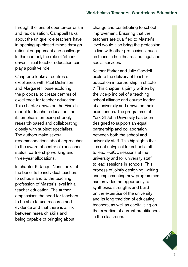through the lens of counter-terrorism and radicalisation. Campbell talks about the unique role teachers have in opening up closed minds through rational engagement and challenge. In this context, the role of 'ethosdriven' initial teacher education can play a positive role.

Chapter 5 looks at centres of excellence, with Paul Dickinson and Margaret House exploring the proposal to create centres of excellence for teacher education. This chapter draws on the Finnish model for teacher education and its emphasis on being strongly research-based and collaborating closely with subject specialists. The authors make several recommendations about approaches to the award of centre of excellence status, partnership working and three-year allocations.

In chapter 6, Jacqui Nunn looks at the benefits to individual teachers, to schools and to the teaching profession of Master's-level initial teacher education. The author emphasises the need for teachers to be able to use research and evidence and that there is a link between research skills and being capable of bringing about

change and contributing to school improvement. Ensuring that the teachers are qualified to Master's level would also bring the profession in line with other professions, such as those in healthcare, and legal and social services.

Keither Parker and Julie Caddell explore the delivery of teacher education in partnership in chapter 7. This chapter is jointly written by the vice-principal of a teaching school alliance and course leader at a university and draws on their experiences. The programme at York St John University has been designed to support an equal partnership and collaboration between both the school and university staff. This highlights that it is not untypical for school staff to lead PGCE sessions at the university and for university staff to lead sessions in schools. This process of jointly designing, writing and implementing new programmes has provided an opportunity to synthesise strengths and build on the expertise of the university and its long tradition of educating teachers, as well as capitalising on the expertise of current practitioners in the classroom.

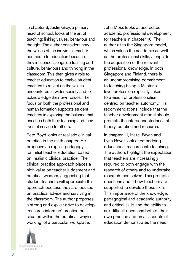In chapter 8, Justin Gray, a primary head of school, looks at the art of teaching: linking values, behaviour and thought. The author considers how the values of the individual teacher contribute to education because they influence, alongside training and culture, behaviours and thinking in the classroom. This then gives a role to teacher education to enable student teachers to reflect on the values encountered in wider society and to acknowledge their own values. The focus on both the professional and human formation supports student teachers in exploring the balance that enriches both their teaching and their lives of service to others.

Pete Boyd looks at realistic clinical practice in the ninth chapter. He proposes an explicit pedagogy for initial teacher education based on 'realistic clinical practice'. The clinical practice approach places a high value on teacher judgement and practical wisdom, suggesting that student teachers will appreciate this approach because they are focused on practical advice and surviving in the classroom. The author proposes a strong and explicit drive to develop 'research-informed' practice but situated within the practical 'ways of working' of a particular workplace.

**CATHEDNALS** GROUP

John Moss looks at accredited academic professional development for teachers in chapter 10. The author cites the Singapore model, which values the academic as well as the professional skills, alongside the acquisition of the relevant professional knowledge. In both Singapore and Finland, there is an uncompromising commitment to teaching being a Master'slevel profession explicitly linked to a vision of professionalism centred on teacher autonomy. His recommendations include that the teacher development model should promote the interconnectedness of theory, practice and research.

In chapter 11, Hazel Bryan and Lynn Revell look at embedding educational research into teaching. The authors highlight the expectation that teachers are increasingly required to both engage with the research of others and to undertake research themselves. This prompts questions about how teachers are supported to develop these skills. This importance of the knowledge, pedagogical and academic authority and critical skills and the ability to ask difficult questions both of their own practice and on all aspects of education demonstrates the need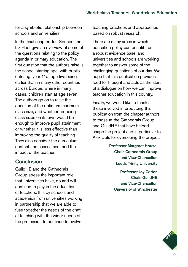for a symbiotic relationship between schools and universities.

In the final chapter, Jon Spence and Liz Fleet give an overview of some of the questions relating to the policy agenda in primary education. The first question that the authors raise is the school starting age, with pupils entering 'year 1' at age five being earlier than in many other countries across Europe, where in many cases, children start at age seven. The authors go on to raise the question of the optimum maximum class size, and whether reducing class sizes on its own would be enough to improve pupil attainment or whether it is less effective than improving the quality of teaching. They also consider the curriculum: content and assessment and the impact of the teacher.

#### Conclusion

GuildHE and the Cathedrals Group stress the important role that universities have, do and will continue to play in the education of teachers. It is by schools and academics from universities working in partnership that we are able to fuse together the needs of the craft of teaching with the wider needs of the profession to continue to evolve

teaching practices and approaches based on robust research.

There are many areas in which education policy can benefit from a robust evidence base, and universities and schools are working together to answer some of the challenging questions of our day. We hope that this publication provides food for thought and acts as the start of a dialogue on how we can improve teacher education in this country.

Finally, we would like to thank all those involved in producing this publication from the chapter authors to those at the Cathedrals Group and GuildHE that have helped shape the project and in particular to Alex Bols for overseeing the project.

> Professor Margaret House, Chair, Cathedrals Group and Vice-Chancellor, Leeds Trinity University

> > Professor Joy Carter, Chair, GuildHE and Vice-Chancellor, University of Winchester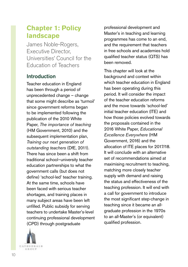# **Chapter 1: Policy landscape**

James Noble-Rogers, Executive Director, Universities' Council for the Education of Teachers

# Introduction

Teacher education in England has been through a period of unprecedented change – change that some might describe as 'turmoil' since government reforms began to be implemented following the publication of the 2010 White Paper, *The importance of teaching* (HM Government, 2010) and the subsequent implementation plan, *Training our next generation of outstanding teachers* (DfE, 2011). There has since been a shift from traditional school–university teacher education partnerships to what the government calls (but does not define) 'school-led' teacher training. At the same time, schools have been faced with serious teacher shortages, and training places in many subject areas have been left unfilled. Public subsidy for serving teachers to undertake Master's-level continuing professional development (CPD) through postgraduate



professional development and Master's in teaching and learning programmes has come to an end, and the requirement that teachers in free schools and academies hold qualified teacher status (QTS) has been removed.

This chapter will look at the background and context within which teacher education in England has been operating during this period. It will consider the impact of the teacher education reforms and the move towards 'school-led' initial teacher education (ITE) and how those policies evolved towards the proposals contained in the 2016 White Paper, *Educational Excellence Everywhere* (HM Government, 2016) and the allocation of ITE places for 2017/18. It will conclude with an alternative set of recommendations aimed at maximising recruitment to teaching, matching more closely teacher supply with demand and raising the status and effectiveness of the teaching profession. It will end with a call for government to introduce the most significant step-change in teaching since it became an allgraduate profession in the 1970s to an all-Master's (or equivalent) qualified profession.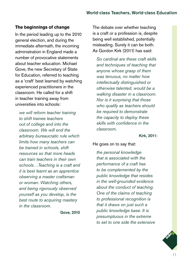#### **The beginnings of change**

In the period leading up to the 2010 general election, and during the immediate aftermath, the incoming administration in England made a number of provocative statements about teacher education. Michael Gove, the new Secretary of State for Education, referred to teaching as a 'craft' best learned by watching experienced practitioners in the classroom. He called for a shift in teacher training away from universities into schools:

*we will reform teacher training to shift trainee teachers out of college and into the classroom. We will end the arbitrary bureaucratic rule which limits how many teachers can be trained in schools, shift resources so that more heads can train teachers in their own schools…Teaching is a craft and it is best learnt as an apprentice observing a master craftsman or woman. Watching others, and being rigorously observed yourself as you develop, is the best route to acquiring mastery in the classroom.* 

Gove, 2010

The debate over whether teaching is a craft or a profession is, despite being well established, potentially misleading. Surely it can be both. As Gordon Kirk (2011) has said:

*So cardinal are these craft skills and techniques of teaching that anyone whose grasp of them was tenuous, no matter how intellectually distinguished or otherwise talented, would be a walking disaster in a classroom. Nor is it surprising that those who qualify as teachers should be required to demonstrate the capacity to deploy these skills with confidence in the classroom.*

Kirk, 2011:

#### He goes on to say that:

*the personal knowledge that is associated with the performance of a craft has to be complemented by the public knowledge that resides in the well-grounded evidence about the conduct of teaching. One of the claims of teaching to professional recognition is that it draws on just such a public knowledge base. It is presumptuous in the extreme to set to one side the extensive* 

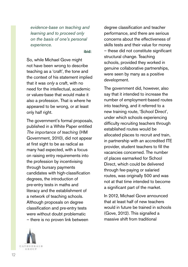*evidence-base on teaching and learning and to proceed only on the basis of one's personal experience.*

ibid:

So, while Michael Gove might not have been wrong to describe teaching as a 'craft', the tone and the context of his statement implied that it was *only* a craft, with no need for the intellectual, academic or values-base that would make it also a profession. That is where he appeared to be wrong, or at least only half right.

The government's formal proposals, published in a White Paper entitled *The importance of teaching* (HM Government, 2010), did not appear at first sight to be as radical as many had expected, with a focus on raising entry requirements into the profession by incentivising through bursary payments candidates with high-classification degrees, the introduction of pre-entry tests in maths and literacy and the establishment of a network of teaching schools. Although proposals on degree classification and pre-entry tests were without doubt problematic – there is no proven link between

degree classification and teacher performance, and there are serious concerns about the effectiveness of skills tests and their value for money – these did not constitute significant structural change. Teaching schools, provided they worked in genuine collaborative partnerships, were seen by many as a positive development.

The government did, however, also say that it intended to increase the number of employment-based routes into teaching, and it referred to a new training route, 'School Direct', under which schools experiencing difficulty recruiting teachers through established routes would be allocated places to recruit and train, in partnership with an accredited ITE provider, student teachers to fill the vacancies concerned. The number of places earmarked for School Direct, which could be delivered through fee-paying or salaried routes, was originally 500 and was not at that time intended to become a significant part of the market.

In 2012, Michael Gove announced that at least half of new teachers would in future be trained in schools (Gove, 2012). This signalled a massive shift from traditional

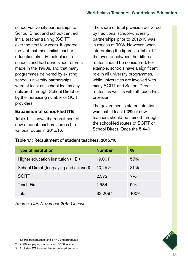school–university partnerships to School Direct and school-centred initial teacher training (SCITT) over the next few years. It ignored the fact that most initial teacher education already took place in schools and had done since reforms made in the 1990s, and that many programmes delivered by existing school–university partnerships were at least as 'school-led' as any delivered through School Direct or by the increasing number of SCITT providers.

#### **Expansion of school-led ITE**

Table 1.1 shows the recruitment of new student teachers across the various routes in 2015/16.

The share of total provision delivered by traditional school–university partnerships prior to 2012/13 was in excess of 90%. However, when interpreting the figures in Table 1.1, the overlap between the different routes should be considered. For example, schools have a significant role in all university programmes, while universities are involved with many SCITT and School Direct routes, as well as with all Teach First provision.

The government's stated intention was that at least 50% of new teachers should be trained through the school-led routes of SCITT or School Direct. Once the 5,440

#### Table 1.1: Recruitment of student teachers, 2015/16

| <b>Type of institution</b>              | <b>Number</b> | $\%$ |
|-----------------------------------------|---------------|------|
| Higher education institution (HEI)      | 19,001        | 57%  |
| School Direct (fee-paying and salaried) | $10,252^2$    | 31%  |
| <b>SCITT</b>                            | 2,372         | 7%   |
| <b>Teach First</b>                      | 1,584         | 5%   |
| Total                                   | $33,209^3$    | 100% |

*Source: DfE, November 2015 Census*



2. 7,086 fee-paying students and 3,166 salaried

3. Excludes 379 forecast late or deferred entrants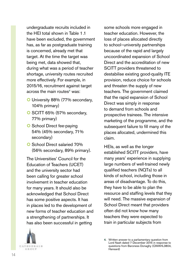undergraduate recruits included in the HEI total shown in Table 1.1 have been excluded, the government has, as far as postgraduate training is concerned, already met that target. At the time the target was being met, data showed that, during what was a period of teacher shortage, university routes recruited more effectively. For example, in 2015/16, recruitment against target across the main routes<sup>4</sup> was:

- O University 88% (77% secondary, 104% primary)
- O SCITT 65% (57% secondary, 77% primary)
- **O** School Direct fee-paying 54% (45% secondary, 71% secondary)
- **O** School Direct salaried 70% (56% secondary, 89% primary).

The Universities' Council for the Education of Teachers (UCET) and the university sector had been calling for greater school involvement in teacher education for many years. It should also be acknowledged that School Direct has some positive aspects. It has in places led to the development of new forms of teacher education and a strengthening of partnerships. It has also been successful in getting



some schools more engaged in teacher education. However, the loss of places allocated directly to school–university partnerships because of the rapid and largely uncoordinated expansion of School Direct and the accreditation of new SCITT providers threatened to destabilise existing good-quality ITE provision, reduce choice for schools and threaten the supply of new teachers. The government claimed that the rapid expansion of School Direct was simply in response to demand from schools and prospective trainees. The intensive marketing of the programme, and the subsequent failure to fill many of the places allocated, undermined this claim.

HEIs, as well as the longer established SCITT providers, have many years' experience in supplying large numbers of well-trained newly qualified teachers (NQTs) to all kinds of school, including those in areas of disadvantage. To do this, they have to be able to plan the resource and staffing levels that they will need. The massive expansion of School Direct meant that providers often did not know how many teachers they were expected to train in particular subjects from

<sup>4.</sup> Written answer to a parliamentary question from Lord Nash dated 7 December 2015 in response to questions from Baroness Donaghy (QWAHL3804, Hansard)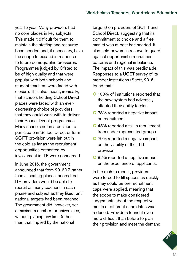year to year. Many providers had no core places in key subjects. This made it difficult for them to maintain the staffing and resource base needed and, if necessary, have the scope to expand in response to future demographic pressures. Programmes judged by Ofsted to be of high quality and that were popular with both schools and student teachers were faced with closure. This also meant, ironically, that schools holding School Direct places were faced with an everdecreasing choice of providers that they could work with to deliver their School Direct programmes. Many schools not in a position to participate in School Direct or form SCITT provision were left out in the cold as far as the recruitment opportunities presented by involvement in ITE were concerned.

In June 2015, the government announced that from 2016/17, rather than allocating places, accredited ITE providers would be able to recruit as many teachers in each phase and subject as they liked, until national targets had been reached. The government did, however, set a maximum number for universities, without placing any limit (other than that implied by the national

targets) on providers of SCITT and School Direct, suggesting that its commitment to choice and a free market was at best half-hearted. It also held powers in reserve to guard against opportunistic recruitment patterns and regional imbalance. The impact of this was predictable. Responses to a UCET survey of its member institutions (Scott, 2016) found that:

- **O** 100% of institutions reported that the new system had adversely affected their ability to plan
- **O** 78% reported a negative impact on recruitment
- **Q** 45% reported a fall in recruitment from under-represented groups
- O 79% reported a negative impact on the viability of their ITT provision
- O 82% reported a negative impact on the experience of applicants.

In the rush to recruit, providers were forced to fill spaces as quickly as they could before recruitment caps were applied, meaning that the scope to make considered judgements about the respective merits of different candidates was reduced. Providers found it even more difficult than before to plan their provision and meet the demand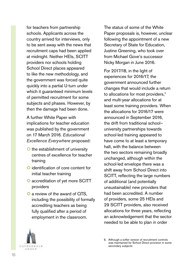for teachers from partnership schools. Applicants across the country arrived for interviews, only to be sent away with the news that recruitment caps had been applied at midnight. Neither HEIs, SCITT providers nor schools holding School Direct places appeared to like the new methodology, and the government was forced quite quickly into a partial U-turn under which it quaranteed minimum levels of permitted recruitment for some subjects and phases. However, by then the damage had been done.

A further White Paper with implications for teacher education was published by the government on 17 March 2016. *Educational Excellence Everywhere* proposed:

- **O** the establishment of university centres of excellence for teacher training
- **O** identification of core content for initial teacher training
- O accreditation of yet more SCITT providers
- O a review of the award of QTS, including the possibility of formally accrediting teachers as being fully qualified after a period of employment in the classroom.

The status of some of the White Paper proposals is, however, unclear following the appointment of a new Secretary of State for Education, Justine Greening, who took over from Michael Gove's successor Nicky Morgan in June 2016.

For 2017/18, in the light of experiences for 2016/17, the government announced further changes that would include a return to allocations for most providers,<sup>5</sup> and multi-year allocations for at least some training providers. When the allocations for 2016/17 were announced in September 2016, the drift from traditional school– university partnerships towards school-led training appeared to have come to at least a temporary halt, with the balance between the two sectors remaining broadly unchanged, although within the school-led envelope there was a shift away from School Direct into SCITT, reflecting the large numbers of additional (and potentially unsustainable) new providers that had been accredited. A number of providers, some 25 HEIs and 29 SCITT providers, also received allocations for three years, reflecting an acknowledgement that the sector needed to be able to plan in order



<sup>5.</sup> Although a softer version of recruitment controls was maintained for School Direct provision in some secondary subjects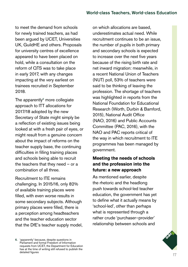to meet the demand from schools for newly trained teachers, as had been argued by UCET, Universities UK, GuildHE and others. Proposals for university centres of excellence appeared to have been placed on hold, while a consultation on the reform of QTS was to take place in early 2017, with any changes impacting at the very earliest on trainees recruited in September 2018.

The apparently $6 \text{ more colleague}$ approach to ITT allocations for 2017/18 adopted by the new Secretary of State might simply be a reflection of existing issues being looked at with a fresh pair of eyes, or might result from a genuine concern about the impact of reforms on the teacher supply base, the continuing difficulties in filling training places and schools being able to recruit the teachers that they need – or a combination of all three.

Recruitment to ITE remains challenging. In 2015/16, only 82% of available training places were filled, with even worse results in some secondary subjects. Although primary places were filled, there is a perception among headteachers and the teacher education sector that the DfE's teacher supply model, on which allocations are based, underestimates actual need. While recruitment continues to be an issue, the number of pupils in both primary and secondary schools is expected to increase over the next five years because of the rising birth rate and net inward migration: meanwhile, in a recent National Union of Teachers (NUT) poll, 53% of teachers were said to be thinking of leaving the profession. The shortage of teachers was highlighted in reports from the National Foundation for Educational Research (Worth, Durbin & Bamford, 2015), National Audit Office (NAO, 2016) and Public Accounts Committee (PAC, 2016), with the NAO and PAC reports critical of the way in which recruitment to ITE programmes has been managed by government.

#### **Meeting the needs of schools and the profession into the future: a new approach**

As mentioned earlier, despite the rhetoric and the headlong push towards school-led teacher education, the government has yet to define what it actually means by 'school-led', other than perhaps what is represented through a rather crude 'purchaser–provider' relationship between schools and

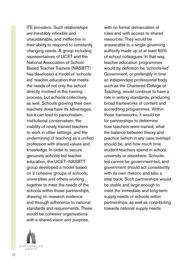ITE providers. Such relationships are inevitably inflexible and unsustainable, and ineffective in their ability to respond to constantly changing needs. A group including representatives of UCET and the National Association of School-Based Teacher Trainers (NASBTT) has developed a model of 'schoolsled' teacher education that meets the needs of not only the school directly involved in the training process, but schools collectively as well. Schools growing their own teachers does have its advantages, but it can lead to parochialism, institutional conservatism, the inability of newly trained teachers to work in other settings, and the undermining of teaching as a unified profession with shared values and knowledge. In order to secure genuinely schools-led teacher education, the UCET–NASBTT group developed a model based on a cohesive groups of schools, universities and others working together to meet the needs of the schools within those partnerships, drawing on research evidence and through adherence to national standards and requirements. These would be cohesive organisations with a shared vision and purpose,

with no formal demarcation of roles and with access to shared resources. They would be answerable to a single governing authority made up of at least 50% of school colleagues. In that way, teacher education programmes would by definition be 'schools-led'. Government, or preferably in time an independent professional body such as the Chartered College of Teaching, would continue to have a role in setting standards, producing broad frameworks of content and accrediting programmes. Within those frameworks, it would be for partnerships to determine how teachers were trained, what the balance between theory and practice (which in any case overlap) should be, and how much time student teachers spend in school, university or elsewhere. Schoolsled cannot be government-led, and government should act consistently with its own rhetoric and take a step back. Such partnerships would be stable and large enough to meet the immediate and long-term supply needs of schools within partnerships, as well as contributing towards national supply needs.

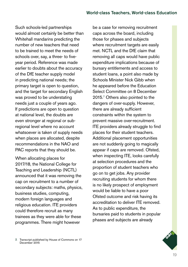Such schools-led partnerships would almost certainly be better than Whitehall mandarins predicting the number of new teachers that need to be trained to meet the needs of schools over, say, a three- to fiveyear period. Reference was made earlier to doubts about the accuracy of the DfE teacher supply model in predicting national needs; the primary target is open to question, and the target for secondary English was proved to be understating needs just a couple of years ago. If predictions are open to question at national level, the doubts are even stronger at regional or subregional level where no account whatsoever is taken of supply needs when places are allocated, despite recommendations in the NAO and PAC reports that they should be.

When allocating places for 2017/18, the National College for Teaching and Leadership (NCTL) announced that it was removing the cap on recruitment to a number of secondary subjects: maths, physics, business studies, computing, modern foreign languages and religious education. ITE providers could therefore recruit as many trainees as they were able for these programmes. There might however

be a case for removing recruitment caps across the board, including those for phases and subjects where recruitment targets are easily met. NCTL and the DfF claim that removing all caps would have public expenditure implications because of bursary entitlements and access to student loans, a point also made by Schools Minister Nick Gibb when he appeared before the Education Select Committee on 8 December 2015.<sup>7</sup> Others also pointed to the dangers of over-supply. However, there are already sufficient constraints within the system to prevent massive over-recruitment. ITE providers already struggle to find places for their student teachers. Additional placement opportunities are not suddenly going to magically appear if caps are removed. Ofsted, when inspecting ITE, looks carefully at selection procedures and the proportion of student teachers who go on to get jobs. Any provider recruiting students for whom there is no likely prospect of employment would be liable to have a poor Ofsted outcome and risk having its accreditation to deliver ITE removed. As to public expenditure, the bursaries paid to students in popular phases and subjects are already



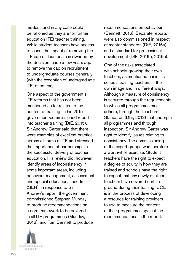modest, and in any case could be rationed as they are for further education (FE) teacher training. While student teachers have access to loans, the impact of removing the ITE cap on loan costs is dwarfed by the decision made a few years ago to remove the cap on recruitment to undergraduate courses generally (with the exception of undergraduate ITE, of course).

One aspect of the government's ITE reforms that has not been mentioned so far relates to the content of training. In his 2015 government-commissioned report into teacher training (DfE, 2015), Sir Andrew Carter said that there were examples of excellent practice across all forms of ITE and stressed the importance of partnerships in the successful delivery of teacher education. His review did, however, identify areas of inconsistency in some important areas, including behaviour management, assessment and special educational needs (SEN). In response to Sir Andrew's report, the government commissioned Stephen Munday to produce recommendations on a core framework to be covered in all ITE programmes (Munday, 2016), and Tom Bennett to produce



recommendations on behaviour (Bennett, 2016). Separate reports were also commissioned in respect of mentor standards (DfE, 2016a) and a standard for professional development (DfE, 2016b, 2016c).

One of the risks associated with schools growing their own teachers, as mentioned earlier, is schools training teachers in their own image and in different ways. Although a measure of consistency is secured through the requirements to which all programmes must adhere, through the Teachers' Standards (DfE, 2013) that underpin all programmes and through inspection, Sir Andrew Carter was right to identify issues relating to consistency. The commissioning of the expert groups was therefore a worthwhile exercise. Student teachers have the right to expect a degree of equity in how they are trained and schools have the right to expect that any newly qualified teachers have covered certain ground during their training. UCET is in the process of developing a resource for training providers to use to measure the content of their programmes against the recommendations in the report.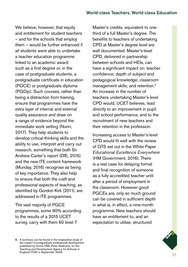We believe, however, that equity and entitlement for student teachers – and for the schools that employ them – would be further enhanced if all students were able to undertake a teacher education programme linked to an academic award such as a first degree or, in the case of postgraduate students, a postgraduate certificate in education (PGCE) or postgraduate diploma (PGDip). Such courses, rather than being a distraction from training, ensure that programmes have the extra layer of internal and external quality assurance and draw on a range of evidence beyond the immediate work setting (Nunn, 2017). They help students to develop critical-thinking skills and the ability to use, interpret and carry out research, something that both Sir Andrew Carter's report (DfE, 2015) and the new ITE content framework (Munday, 2016) recognise as being of key importance. They also help to ensure that both the craft and professional aspects of teaching, as identified by Gordon Kirk (2011), are addressed in ITE programmes.

The vast majority of PGCE programmes, some 90% according to the results of a 2015 UCET survey, carry with them 60 level 7

Master's credits, equivalent to onethird of a full Master's degree. The benefits to teachers of undertaking CPD at Master's degree level are well documented. Master's-level CPD, delivered in partnership between schools and HEIs, can have a significant impact on: teacher confidence; depth of subject and pedagogical knowledge; classroom management skills; and retention.<sup>8</sup> An increase in the number of teachers undertaking Master's-level CPD would, UCET believes, lead directly to an improvement in pupil and school performance, and to the recruitment of new teachers and their retention in the profession.

Increasing access to Master's-level CPD would fit well with the review of QTS set out in the White Paper *Educational Excellence Everywhere*  (HM Government, 2016). There is a real case for delaying formal and final recognition of someone as a fully accredited teacher until after a period of employment in the classroom. However good PGCEs are, only so much ground can be covered in sufficient depth in what is, in effect, a nine-month programme. New teachers should have an entitlement to, and an expectation to utilise, structured

<sup>8.</sup> A summary can be found in the longitudinal study of the impact of postgraduate professional development published by former HMI, Peter Seaborne, for the Teaching and Development Agency for Schools in England (TDA) in September 2009.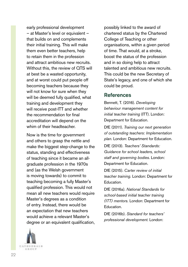early professional development – at Master's level or equivalent – that builds on and complements their initial training. This will make them even better teachers, help to retain them in the profession and attract ambitious new recruits. Without this, the review of QTS will at best be a wasted opportunity, and at worst could put people off becoming teachers because they will not know for sure when they will be deemed fully qualified, what training and development they will receive post-ITT and whether the recommendation for final accreditation will depend on the whim of their headteacher.

Now is the time for government and others to grasp the nettle and make the biggest step-change to the status, standing and effectiveness of teaching since it became an allgraduate profession in the 1970s and (as the Welsh government is moving towards) to commit to teaching becoming a fully Master's qualified profession. This would not mean all new teachers would require Master's degrees as a condition of entry. Instead, there would be an expectation that new teachers would achieve a relevant Master's degree or an equivalent qualification,

**CATHEDNALS** 石法の日井

possibly linked to the award of chartered status by the Chartered College of Teaching or other organisations, within a given period of time. That would, at a stroke, boost the status of the profession and in so doing help to attract talented and ambitious new recruits. This could be the new Secretary of State's legacy, and one of which she could be proud.

#### References

Bennett, T. (2016). *Developing behaviour management content for initial teacher training* (ITT). London: Department for Education.

DfE (2011). *Training our next generation of outstanding teachers: Implementation plan.* London: Department for Education.

DfE (2013). *Teachers' Standards: Guidance for school leaders, school staff and governing bodies.* London: Department for Education.

DfE (2015). *Carter review of initial teacher training.* London: Department for Education.

DfE (2016a). *National Standards for school-based initial teacher training (ITT) mentors.* London: Department for Education.

DfE (2016b). *Standard for teachers' professional development.* London: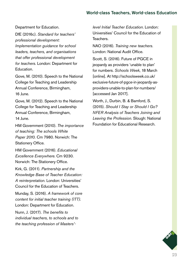Department for Education.

DfE (2016c). *Standard for teachers' professional development: Implementation guidance for school leaders, teachers, and organisations that offer professional development for teachers.* London: Department for Education.

Gove, M. (2010). Speech to the National College for Teaching and Leadership Annual Conference, Birmingham, 16 June.

Gove, M. (2012). Speech to the National College for Teaching and Leadership Annual Conference, Birmingham, 14  $\lim_{\theta}$ 

HM Government (2010). *The importance of teaching: The schools White Paper 2010.* Cm 7980. Norwich: The Stationery Office.

HM Government (2016). *Educational Excellence Everywhere.* Cm 9230. Norwich: The Stationery Office.

Kirk, G. (2011). *Partnership and the Knowledge Base of Teacher Education: A reinterpretation.* London: Universities' Council for the Education of Teachers.

Munday, S. (2016). *A framework of core content for initial teacher training (ITT).* London: Department for Education.

Nunn, J. (2017). *The benefits to individual teachers, to schools and to the teaching profession of Masters'-*

*level Initial Teacher Education.* London: Universities' Council for the Education of Teachers.

NAO (2016). *Training new teachers.* London: National Audit Office.

Scott, S. (2016). Future of PGCE in jeopardy as providers 'unable to plan' for numbers. *Schools Week*, 18 March [online]. At [http://schoolsweek.co.uk/](http://schoolsweek.co.uk/exclusive-future-of-pgce-in-jeopardy-as-providers-unable-to-plan-for-numbers/) [exclusive-future-of-pgce-in-jeopardy-as](http://schoolsweek.co.uk/exclusive-future-of-pgce-in-jeopardy-as-providers-unable-to-plan-for-numbers/)[providers-unable-to-plan-for-numbers/](http://schoolsweek.co.uk/exclusive-future-of-pgce-in-jeopardy-as-providers-unable-to-plan-for-numbers/)  [accessed Jan 2017].

Worth, J., Durbin, B. & Bamford, S. (2015). *Should I Stay or Should I Go? NFER Analysis of Teachers Joining and Leaving the Profession.* Slough: National Foundation for Educational Research.

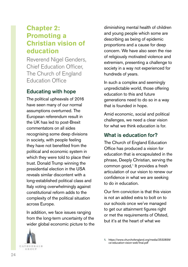# **Chapter 2: Promoting a Christian vision of education**

Reverend Nigel Genders, Chief Education Officer, The Church of England Education Office

# Educating with hope

The political upheavals of 2016 have seen many of our normal assumptions overturned. The European referendum result in the UK has led to post-Brexit commentators on all sides recognising some deep divisions in society, with people feeling they have not benefited from the political and economic system in which they were told to place their trust. Donald Trump winning the presidential election in the USA reveals similar discontent with a long-established political class and Italy voting overwhelmingly against constitutional reform adds to the complexity of the political situation across Europe.

In addition, we face issues ranging from the long-term uncertainty of the wider global economic picture to the



diminishing mental health of children and young people which some are describing as being of epidemic proportions and a cause for deep concern. We have also seen the rise of religiously motivated violence and extremism, presenting a challenge to society in a way not experienced for hundreds of years.

In such a complex and seemingly unpredictable world, those offering education to this and future generations need to do so in a way that is founded in hope.

Amid economic, social and political challenges, we need a clear vision for what we think education is for.

### What is education for?

The Church of England Education Office has produced a vision for education that is encapsulated in the phrase, Deeply Christian, serving the common good*,* 1 It provides a fresh articulation of our vision to renew our confidence in what we are seeking to do in education.

Our firm conviction is that this vision is not an added extra to bolt on to our schools once we've managed to get our attainment figures right or met the requirements of Ofsted, but it's at the heart of what we

<sup>1.</sup> [https://www.churchofengland.org/media/2532839/](https://www.churchofengland.org/media/2532839/ce-education-vision-web-final.pdf) [ce-education-vision-web-final.pdf](https://www.churchofengland.org/media/2532839/ce-education-vision-web-final.pdf)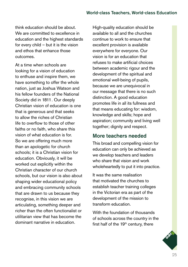think education should be about. We are committed to excellence in education and the highest standards for every child – but it is the vision and ethos that enhance those outcomes.

At a time when schools are looking for a vision of education to enthuse and inspire them, we have something to offer the whole nation, just as Joshua Watson and his fellow founders of the National Society did in 1811. Our deeply Christian vision of education is one that is generous and that seeks to allow the riches of Christian life to overflow to those of other faiths or no faith, who share this vision of what education is for. So we are offering much more than an apologetic for church schools; it is a Christian vision for education. Obviously, it will be worked out explicitly within the Christian character of our church schools, but our vision is also about shaping wider educational policy and embracing community schools that are drawn to us because they recognise, in this vision we are articulating, something deeper and richer than the often functionalist or utilitarian view that has become the dominant narrative in education.

High-quality education should be available to all and the churches continue to work to ensure that excellent provision is available everywhere for everyone. Our vision is for an education that refuses to make artificial choices between academic rigour and the development of the spiritual and emotional well-being of pupils, because we are unequivocal in our message that there is no such distinction. A good education promotes life in all its fullness and that means educating for: wisdom, knowledge and skills; hope and aspiration; community and living well together; dignity and respect.

#### More teachers needed

This broad and compelling vision for education can only be achieved as we develop teachers and leaders who share that vision and work wholeheartedly to put it into practice.

It was the same realisation that motivated the churches to establish teacher training colleges in the Victorian era as part of the development of the mission to transform education.

With the foundation of thousands of schools across the country in the first half of the  $19<sup>th</sup>$  century, there

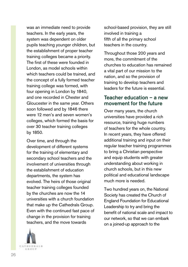was an immediate need to provide teachers. In the early years, the system was dependent on older pupils teaching younger children, but the establishment of proper teacher training colleges became a priority. The first of these were founded in London, as model schools within which teachers could be trained, and the concept of a fully formed teacher training college was formed, with four opening in London by 1840, and one recorded in Chester and Gloucester in the same year. Others soon followed and by 1846 there were 12 men's and seven women's colleges, which formed the basis for over 30 teacher training colleges by 1850.

Over time, and through the development of different systems for the training of elementary and secondary school teachers and the involvement of universities through the establishment of education departments, the system has evolved. The heirs of those original teacher training colleges founded by the churches are now the 14 universities with a church foundation that make up the Cathedrals Group. Even with the continued fast pace of change in the provision for training teachers, and the move towards



school-based provision, they are still involved in training a fifth of all the primary school teachers in the country.

Throughout those 200 years and more, the commitment of the churches to education has remained a vital part of our mission to the nation, and so the provision of training to develop teachers and leaders for the future is essential.

#### Teacher education – a new movement for the future

Over many years, the church universities have provided a rich resource, training huge numbers of teachers for the whole country. In recent years, they have offered additional training and input on their regular teacher training programmes to bring a Christian perspective and equip students with greater understanding about working in church schools, but in this new political and educational landscape much more is needed.

Two hundred years on, the National Society has created the Church of England Foundation for Educational Leadership to try and bring the benefit of national scale and impact to our network, so that we can embark on a joined-up approach to the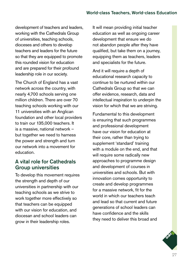development of teachers and leaders, working with the Cathedrals Group of universities, teaching schools, dioceses and others to develop teachers and leaders for the future so that they are equipped to promote this rounded vision for education and are prepared for their profound leadership role in our society.

The Church of England has a vast network across the country, with nearly 4,700 schools serving one million children. There are over 70 teaching schools working with our 11 universities with an Anglican foundation and other local providers to train our 135,000 teachers. It is a massive, national network – but together we need to harness the power and strength and turn our network into a movement for education.

#### A vital role for Cathedrals Group universities

To develop this movement requires the strength and depth of our universities in partnership with our teaching schools as we strive to work together more effectively so that teachers can be equipped with our vision for education, and diocesan and school leaders can grow in their leadership roles.

It will mean providing initial teacher education as well as ongoing career development that ensure we do not abandon people after they have qualified, but take them on a journey, equipping them as teachers, leaders and specialists for the future.

And it will require a depth of educational research capacity to continue to be nurtured within our Cathedrals Group so that we can offer evidence, research, data and intellectual inspiration to underpin the vision for which that we are striving.

Fundamental to this development is ensuring that such programmes and professional development have our vision for education at their core, rather than trying to supplement 'standard' training with a module on the end, and that will require some radically new approaches to programme design and development of courses in universities and schools. But with innovation comes opportunity to create and develop programmes for a massive network, fit for the world in which our teachers teach and lead so that current and future generations of school leaders can have confidence and the skills they need to deliver this broad and

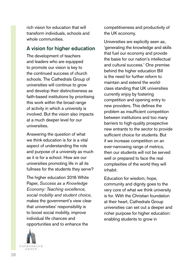rich vision for education that will transform individuals, schools and whole communities.

#### A vision for higher education

The development of teachers and leaders who are equipped to promote our vision is key to the continued success of church schools. The Cathedrals Group of universities will continue to grow and develop their distinctiveness as faith-based institutions by prioritising this work within the broad range of activity in which a university is involved. But the vision also impacts at a much deeper level for our universities.

Answering the question of what we think education is for is a vital aspect of understanding the role and purpose of a university as much as it is for a school. How are our universities promoting life in all its fullness for the students they serve?

The higher education 2016 White Paper, *Success as a Knowledge Economy: Teaching excellence, social mobility and student choice*, makes the government's view clear that universities' responsibility is to boost social mobility, improve individual life chances and opportunities and to enhance the



competitiveness and productivity of the UK economy.

Universities are explicitly seen as, 'generating the knowledge and skills that fuel our economy and provide the basis for our nation's intellectual and cultural success.' One premise behind the higher education Bill is the need for further reform to maintain and extend the worldclass standing that UK universities currently enjoy by fostering competition and opening entry to new providers. This defines the problem as insufficient competition between institutions and too many barriers to high-quality prospective new entrants to the sector to provide sufficient choice for students. But if we increase competition on an ever-narrowing range of metrics, then our students will not be served well or prepared to face the real complexities of the world they will inhabit.

Education for wisdom, hope, community and dignity goes to the very core of what we think university is for. With the Christian foundation at their heart, Cathedrals Group universities can set out a deeper and richer purpose for higher education: enabling students to grow in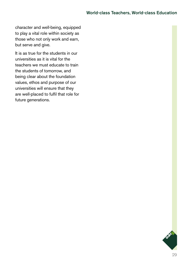character and well-being, equipped to play a vital role within society as those who not only work and earn, but serve and give.

It is as true for the students in our universities as it is vital for the teachers we must educate to train the students of tomorrow, and being clear about the foundation values, ethos and purpose of our universities will ensure that they are well-placed to fulfil that role for future generations.

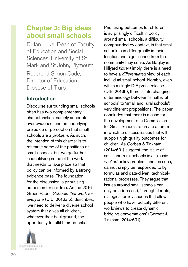# **Chapter 3: Big ideas about small schools**

Dr Ian Luke, Dean of Faculty of Education and Social Sciences, University of St Mark and St John, Plymouth Reverend Simon Cade, Director of Education, Diocese of Truro

# Introduction

Discourse surrounding small schools often has two complementary characteristics, namely anecdote over evidence, and an underlying prejudice or perception that small schools are a *problem*. As such, the intention of this chapter is to rehearse some of the positions on small schools, but we go further in identifying some of the work that needs to take place so that policy can be informed by a strong evidence-base. The foundation for the discussion is prioritising outcomes for children. As the 2016 Green Paper, *Schools that work for everyone* (DfE, 2016a:5), describes, 'we need to deliver a diverse school system that gives all children, whatever their background, the opportunity to fulfil their potential.'



Prioritising outcomes for children is surprisingly difficult in policy around small schools, a difficulty compounded by context, in that small schools can differ greatly in their location and significance from the community they serve. As Bagley & Hillyard (2014) imply, there is a need to have a *differentiated* view of each individual small school. Notably, even within a single DfE press release (DfE, 2016b), there is interchanging of terminology between 'small rural schools' to 'small and rural schools'; very different propositions. The paper concludes that there is a case for the development of a Commission for Small Schools to create a forum in which to discuss issues that will support high-quality outcomes for children. As Corbett & Tinkham (2014:691) suggest, the issue of small and rural schools is a 'classic *wicked* policy problem' and, as such, cannot simply be responded to by formulas and data-driven, technical– rational processes. They argue that issues around small schools can only be addressed, 'through flexible, dialogical policy spaces that allow people who have radically different worldviews to create dynamic, bridging conversations' (Corbett & Tinkham, 2014:691).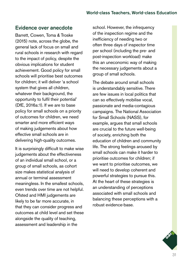### Evidence over anecdote

Barrett, Cowen, Toma & Troske (2015) note, across the globe, the general lack of focus on small and rural schools in research with regard to the impact of policy, despite the obvious implications for student achievement. Good policy for small schools will prioritise best outcomes for children; it will deliver 'a school system that gives all children. whatever their background, the opportunity to fulfil their potential' (DfE, 2016a:1). If we are to base policy for small schools on a priority of outcomes for children, we need smarter and more efficient ways of making judgements about how effective small schools are in delivering high-quality outcomes.

It is surprisingly difficult to make wise judgements about the effectiveness of an individual small school, or a group of small schools, as cohort size makes statistical analysis of annual or terminal assessment meaningless. In the smallest schools, even trends over time are not helpful. Ofsted and HMI judgements are likely to be far more accurate, in that they can consider progress and outcomes at child level and set these alongside the quality of teaching, assessment and leadership in the

school. However, the infrequency of the inspection regime and the inefficiency of needing two or often three days of inspector time per school (including the pre- and post-inspection workload) make this an uneconomic way of making the necessary judgements about a group of small schools.

The debate around small schools is understandably sensitive. There are few issues in local politics that can so effectively mobilise vocal, passionate and media-contagious campaigns. The National Association for Small Schools (NASS), for example, argues that small schools are crucial to the future well-being of society, enriching both the education of children and community life. The strong feelings aroused by small schools can make it harder to prioritise outcomes for children; if we want to prioritise outcomes, we will need to develop coherent and powerful strategies to pursue this. At the heart of these strategies is an understanding of perceptions associated with small schools and balancing these perceptions with a robust evidence-base.

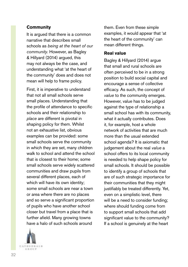#### **Community**

It is argued that there is a common narrative that describes small schools as *being at the heart of our community*. However, as Bagley & Hillyard (2014) argued, this may not always be the case, and understanding what 'at the heart of the community' does and does not mean will help to frame policy.

First, it is imperative to understand that not all small schools serve small places. Understanding that the profile of attendance to specific schools and their relationship to *place* are different is pivotal in shaping policy for them. Whilst not an exhaustive list, obvious examples can be provided: some small schools serve the community in which they are set, many children walk to school and attend the school that is closest to their home; some small schools serve widely scattered communities and draw pupils from several different places, each of which will have its own identity; some small schools are near a town or area where there are no places and so serve a significant proportion of pupils who have another school closer but travel from a place that is further afield. Many growing towns have a halo of such schools around



them. Even from these simple examples, it would appear that 'at the heart of the community' can mean different things.

#### **Real value**

Bagley & Hillyard (2014) argue that small and rural schools are often perceived to be in a strong position to build social capital and encourage a sense of collective efficacy. As such, the concept of *value* to the community emerges. However, value has to be judged against the type of relationship a small school has with its community, what it actually contributes. Does it, for example, host a whole network of activities that are much more than the usual extended school agenda? It is axiomatic that judgement about the real *value* a school offers to its local community is needed to help shape policy for small schools. It should be possible to identify a group of schools that are of such strategic importance for their communities that they might justifiably be treated differently. Yet, even on a simplistic level, there will be a need to consider funding; where should funding come from to support small schools that add significant value to the community? If a school is genuinely at the heart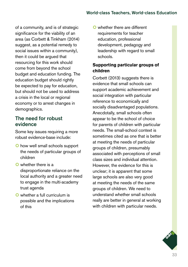of a community, and is of strategic significance for the viability of an area (as Corbett & Tinkham (2014) suggest, as a potential remedy to social issues within a community), then it could be argued that resourcing for this work should come from beyond the school budget and education funding. The education budget should rightly be expected to pay for education, but should not be used to address a crisis in the local or regional economy or to arrest changes in demographics.

# The need for robust evidence

Some key issues requiring a more robust evidence-base include:

- **O** how well small schools support the needs of particular groups of children
- **Q** whether there is a disproportionate reliance on the local authority and a greater need to engage in the multi-academy trust agenda
- O whether a full curriculum is possible and the implications of this

O whether there are different requirements for teacher education, professional development, pedagogy and leadership with regard to small schools.

#### **Supporting particular groups of children**

Corbett (2013) suggests there is evidence that small schools can support academic achievement and social integration with particular reference to economically and socially disadvantaged populations. Anecdotally, small schools often appear to be the school of choice for parents of children with particular needs. The small-school context is sometimes cited as one that is better at meeting the needs of particular groups of children, presumably associated with perceptions of small class sizes and individual attention. However, the evidence for this is unclear; it is apparent that some large schools are also very good at meeting the needs of the same groups of children. We need to understand whether small schools really are better in general at working with children with particular needs.

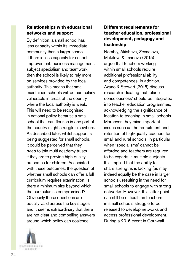#### **Relationships with educational networks and support**

By definition, a small school has less capacity within its immediate community than a larger school. If there is less capacity for school improvement, business management, subject specialism and teamwork, then the school is likely to rely more on services provided by the local authority. This means that small maintained schools will be particularly vulnerable in areas of the country where the local authority is weak. This will need to be recognised in national policy because a small school that can flourish in one part of the country might struggle elsewhere. As described later, whilst support is being suggested for small schools, it could be perceived that they *need* to join multi-academy trusts if they are to provide high-quality outcomes for children. Associated with these outcomes, the question of whether small schools can offer a full curriculum requires examination. Is there a minimum size beyond which the curriculum is compromised? Obviously these questions are equally valid across the key stages and it seems extraordinary that there are not clear and compelling answers around which policy can coalesce.

# CATHEDNAIN 石法の日井

#### **Different requirements for teacher education, professional development, pedagogy and leadership**

Notably, Akisheva, Zeynelova, Makitova & Imanova (2015) argue that teachers working within small schools require additional professional ability and competences. In addition, Azano & Stewart (2015) discuss research indicating that 'place consciousness' should be integrated into teacher education programmes, acknowledging the significance of location to teaching in small schools. Moreover, they raise important issues such as the recruitment and retention of high-quality teachers for small and rural schools, in particular when 'specialisms' cannot be afforded and teachers are required to be experts in multiple subjects. It is implied that the ability to share strengths is lacking (as may indeed equally be the case in larger schools), resulting in the need for small schools to engage with strong networks. However, this latter point can still be difficult, as teachers in small schools struggle to be released to develop networks and access professional development. During a 2016 event in Cornwall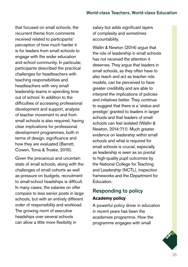that focused on small schools, the recurrent theme from comments received related to participants' perception of how much harder it is for leaders from small schools to engage with the wider education and school community. In particular, participants described the practical challenges for headteachers with teaching responsibilities and headteachers with very small leadership teams in spending time out of school. In addition to the difficulties of accessing professional development and support, analysis of teacher movement to and from small schools is also required, having clear implications for professional development programmes, both in terms of design, significance and how they are evaluated (Barrett, Cowen, Toma & Troske, 2015).

Given the precarious and uncertain state of small schools, along with the challenges of small cohorts as well as pressure on budgets, recruitment to small-school headships is difficult. In many cases, the salaries on offer compare to less senior posts in large schools, but with an entirely different order of responsibility and workload. The growing norm of executive headships over several schools can allow a little more flexibility in

salary but adds significant layers of complexity and sometimes accountability.

Wallin & Newton (2014) argue that the role of leadership in small schools has not received the attention it deserves. They argue that leaders in small schools, as they often have to also teach and act as teacher role models, can be perceived to have greater credibility and are able to interpret the implications of policies and initiatives better. They continue to suggest that there is a 'status and prestige' granted to leaders in larger schools and that leaders of small schools can feel isolated (Wallin & Newton, 2014:711). Much greater evidence on leadership within small schools and what is required for small schools is crucial, especially as leadership is seen as so pivotal to high-quality pupil outcomes by the National College for Teaching and Leadership (NCTL), inspection frameworks and the Department for Education.

# Responding to policy **Academy policy**

A powerful policy driver in education in recent years has been the academies programme. How the programme engages with small

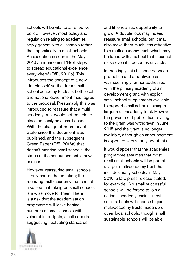schools will be vital to an effective policy. However, most policy and regulation relating to academies apply generally to all schools rather than specifically to small schools. An exception is seen in the May 2016 announcement 'Next steps to spread educational excellence everywhere' (DfE, 2016b). This introduces the concept of a new 'double lock' so that for a smallschool academy to close, both local and national government must agree to the proposal. Presumably this was introduced to reassure that a multiacademy trust would not be able to close so easily as a small school. With the change of Secretary of State since this document was published, and the subsequent Green Paper (DfE, 2016a) that doesn't mention small schools, the status of the announcement is now unclear.

However, reassuring small schools is only part of the equation; the receiving multi-academy trusts must also see that taking on small schools is a wise move for them. There is a risk that the academisation programme will leave behind numbers of small schools with vulnerable budgets, small cohorts suggesting fluctuating standards,



and little realistic opportunity to grow. A double lock may indeed reassure small schools, but it may also make them much less attractive to a multi-academy trust, which may be faced with a school that it cannot close even if it becomes unviable.

Interestingly, this balance between protection and attractiveness was seemingly further addressed with the primary academy chain development grant, with explicit small-school supplements available to support small schools joining a larger multi-academy trust. However, the government publication relating to the grant was withdrawn in June 2015 and the grant is no longer available, although an announcement is expected very shortly about this.

It would appear that the academies programme assumes that most or all small schools will be part of a larger multi-academy trust that includes many schools. In May 2016, a DfE press release stated, for example, 'No small successful schools will be forced to join a national academy chain – most small schools will choose to join multi-academy trusts made up of other local schools, though small sustainable schools will be able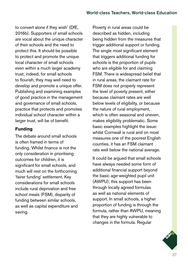to convert alone if they wish' (DfE, 2016b). Supporters of small schools are vocal about the unique character of their schools and the need to protect this. It should be possible to protect and promote the unique local character of small schools even within a much larger academy trust; indeed, for small schools to flourish, they may well need to develop and promote a unique offer. Publishing and examining examples of good practice in the management and governance of small schools, practice that protects and promotes individual school character within a larger trust, will be of benefit.

## **Funding**

The debate around small schools is often framed in terms of funding. Whilst finance is not the only consideration in prioritising outcomes for children, it is significant for small schools, and much will rest on the forthcoming 'fairer funding' settlement. Key considerations for small schools include rural deprivation and free school meals (FSM), disparity of funding between similar schools, as well as capital expenditure and saving.

Poverty in rural areas could be described as hidden, including being hidden from the measures that trigger additional support or funding. The single most significant element that triggers additional funding for schools is the proportion of pupils who are eligible for and claiming FSM. There is widespread belief that in rural areas, the claimant rate for FSM does not properly represent the level of poverty present, either because claimant rates are well below levels of eligibility, or because the nature of rural employment, which is often seasonal and uneven, makes eligibility problematic. Some basic examples highlight the issue: whilst Cornwall is rural and on most measures one of the poorest English counties, it has an FSM claimant rate well below the national average.

It could be argued that small schools have always needed some form of additional financial support beyond the basic age-weighted pupil unit (AWPU); this support has been through locally agreed formulas as well as national elements of support. In small schools, a higher proportion of funding is through the formula, rather than AWPU, meaning that they are highly vulnerable to changes in the formula. Regular

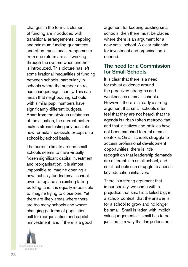changes in the formula element of funding are introduced with transitional arrangements, capping and minimum funding guarantees, and often transitional arrangements from one reform are still working through the system when another is introduced. This picture has left some irrational inequalities of funding between schools, particularly in schools where the number on roll has changed significantly. This can mean that neighbouring schools with similar pupil numbers have significantly different budgets. Apart from the obvious unfairness of the situation, the current picture makes stress testing any possible new formula impossible except on a school-by-school basis.

The current climate around small schools seems to have virtually frozen significant capital investment and reorganisation. It is almost impossible to imagine opening a new, publicly funded small school, even to replace an existing failing building, and it is equally impossible to imagine trying to close one. Yet there are likely areas where there are too many schools and where changing patterns of population call for reorganisation and capital reinvestment, and if there is a good



argument for keeping existing small schools, then there must be places where there is an argument for a new small school. A clear rationale for investment and organisation is needed.

## The need for a Commission for Small Schools

It is clear that there is a need for robust evidence around the perceived strengths and weaknesses of small schools. However, there is already a strong argument that small schools often feel that they are not heard, that the agenda is urban (often metropolitan) and that initiatives and policies have not been matched to rural or small contexts. Small schools struggle to access professional development opportunities, there is little recognition that leadership demands are different in a small school, and small schools can struggle to access key education initiatives.

There is a strong argument that in our society, we come with a prejudice that small is a failed big; in a school context, that the answer is for a school to grow and no longer be small. Small is laden with implicit value judgements – small has to be justified in a way that large does not.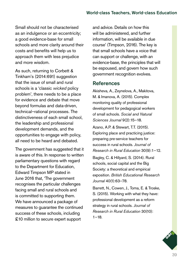Small should not be characterised as an indulgence or an eccentricity; a good evidence-base for small schools and more clarity around their costs and benefits will help us to approach them with less prejudice and more wisdom.

As such, returning to Corbett & Tinkham's (2014:691) suggestion that the issue of small and rural schools is a 'classic *wicked* policy problem', there needs to be a place for evidence and debate that move beyond formulas and data-driven, technical–rational processes. The distinctiveness of each small school, the leadership and professional development demands, and the opportunities to engage with policy, all need to be heard and debated.

The government has suggested that it is aware of this. In response to written parliamentary questions with regard to the Department for Education, Edward Timpson MP stated in June 2016 that, 'The government recognises the particular challenges facing small and rural schools and is committed to supporting them. We have announced a package of measures to guarantee the continued success of these schools, including £10 million to secure expert support

and advice. Details on how this will be administered, and further information, will be available in due course' (Timpson, 2016). The key is that small schools have a voice that can support or challenge, with an evidence-base, the principles that will be espoused, and govern how such government recognition evolves.

### References

Akisheva, A., Zeynelova, A., Makitova, M. & Imanova, A. (2015). Complex monitoring quality of professional development for pedagogical workers of small schools. *Social and Natural Sciences Journal* 9(2):15–18.

Azano, A.P. & Stewart, T.T. (2015). Exploring place and practicing justice: preparing pre-service teachers for success in rural schools. *Journal of Research in Rural Education* 30(9):1–12.

Bagley, C. & Hillyard, S. (2014). Rural schools, social capital and the Big Society: a theoretical and empirical exposition. *British Educational Research Journal* 40(1):63–78.

Barrett, N., Cowen, J., Toma, E. & Troske, S. (2015). Working with what they have: professional development as a reform strategy in rural schools. *Journal of Research in Rural Education* 30(10):  $1 - 18.$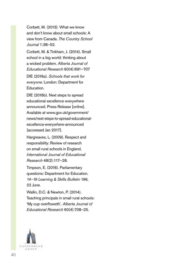Corbett, M. (2013). What we know and don't know about small schools: A view from Canada. *The Country School Journal* 1:38–52.

Corbett, M. & Tinkham, J. (2014). Small school in a big world: thinking about a wicked problem. *Alberta Journal of Educational Research* 60(4):691–707

DfE (2016a). *Schools that work for everyone.* London: Department for Education.

DfE (2016b). Next steps to spread educational excellence everywhere announced. Press Release [online]. Available at [www.gov.uk/government/](http://www.gov.uk/government/news/next-steps-to-spread-educational-excellence-everywhere-announced) [news/next-steps-to-spread-educational](http://www.gov.uk/government/news/next-steps-to-spread-educational-excellence-everywhere-announced)[excellence-everywhere-announced](http://www.gov.uk/government/news/next-steps-to-spread-educational-excellence-everywhere-announced) [accessed Jan 2017].

Hargreaves, L. (2009). Respect and responsibility: Review of research on small rural schools in England. *International Journal of Educational Research* 48(2):117–28.

Timpson, E. (2016). Parliamentary questions: Department for Education. *14–19 Learning & Skills Bulletin* 196, 22 June.

Wallin, D.C. & Newton, P. (2014). Teaching principals in small rural schools: 'My cup overfloweth'. *Alberta Journal of Educational Research* 60(4):708–25.

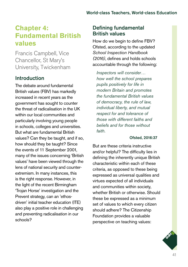# **Chapter 4: Fundamental British values**

Francis Campbell, Vice Chancellor, St Mary's University, Twickenham

## Introduction

The debate around fundamental British values (FBV) has markedly increased in recent years as the government has sought to counter the threat of radicalisation in the UK within our local communities and particularly involving young people in schools, colleges and universities. But what are fundamental British values? Can they be taught, and if so, how should they be taught? Since the events of 11 September 2001, many of the issues concerning 'British values' have been viewed through the lens of national security and counterextremism. In many instances, this is the right response. However, in the light of the recent Birmingham 'Trojan Horse' investigation and the Prevent strategy, can an 'ethosdriven' initial teacher education (ITE) also play a positive role in challenging and preventing radicalisation in our schools?

## Defining fundamental British values

How do we begin to define FBV? Ofsted, according to the updated *School Inspection Handbook (2016)*, defines and holds schools accountable through the following:

*Inspectors will consider… how well the school prepares pupils positively for life in modern Britain and promotes the fundamental British values of democracy, the rule of law, individual liberty, and mutual respect for and tolerance of those with different faiths and beliefs and for those without faith.*

#### Ofsted, 2016:37

But are these criteria instructive and/or helpful? The difficulty lies in defining the inherently unique British characteristic within each of these criteria, as opposed to these being expressed as universal qualities and virtues expected of all individuals and communities within society, whether British or otherwise. Should these be expressed as a minimum set of values to which every citizen should adhere? The Citizenship Foundation provides a valuable perspective on teaching values:

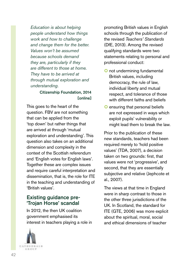*Education is about helping people understand how things work and how to challenge and change them for the better. Values won't be assumed because schools demand they are, particularly if they are different to those at home. They have to be arrived at through mutual exploration and understanding.*

#### Citizenship Foundation, 2014 [online]

This goes to the heart of the question. FBV are not something that can be applied from the 'top down' but rather things that are arrived at through 'mutual exploration and understanding'. This question also takes on an additional dimension and complexity in the context of the Scottish referendum and 'English votes for English laws'. Together these are complex issues and require careful interpretation and dissemination, that is, the role for ITE in the teaching and understanding of 'British values'.

## Existing guidance pre-'Trojan Horse' scandal

In 2012, the then UK coalition government emphasised its interest in teachers playing a role in



promoting British values in English schools through the publication of the revised *Teachers' Standards* (DfE, 2013). Among the revised qualifying standards were two statements relating to personal and professional conduct:

- O not undermining fundamental British values, including democracy, the rule of law, individual liberty and mutual respect, and tolerance of those with different faiths and beliefs
- O ensuring that personal beliefs are not expressed in ways which exploit pupils' vulnerability or might lead them to break the law.

Prior to the publication of these new standards, teachers had been required merely to 'hold positive values' (TDA, 2007), a decision taken on two grounds: first, that values were not 'progressive', and second, that they are essentially subjective and relative (Jephcote et al., 2007).

The views at that time in England were in sharp contrast to those in the other three jurisdictions of the UK. In Scotland, the standard for ITE (GTE, 2006) was more explicit about the spiritual, moral, social and ethical dimensions of teacher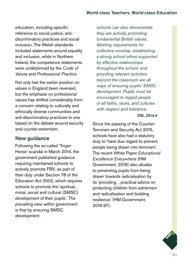education, including specific reference to social justice, antidiscriminatory practices and social inclusion. The Welsh standards included statements around equality and inclusion, while in Northern Ireland, the competence statements were underpinned by the *Code of Values* and *Professional Practice.* 

Not only has the earlier position on values in England been reversed, but the emphasis on professional values has shifted considerably from a concern relating to culturally and ethnically diverse communities and anti-discriminatory practices to one based on the debate around security and counter-extremism.

## New guidance

Following the so-called 'Trojan Horse' scandal in March 2014, the government published guidance requiring maintained schools to actively promote FBV, as part of their duty under Section 78 of the Education Act 2002, which requires schools to promote the 'spiritual, moral, social and cultural (SMSC) development of their pupils'. The prevailing view within government is that by ensuring SMSC development:

*schools can also demonstrate they are actively promoting fundamental British values. Meeting requirements for collective worship, establishing a strong school ethos supported by effective relationships throughout the school, and providing relevant activities beyond the classroom are all ways of ensuring pupils' SMSC development. Pupils must be encouraged to regard people of all faiths, races, and cultures with respect and tolerance.*

#### DfE, 2014:4

Since the passing of the Counter-Terrorism and Security Act 2015, schools have also had a statutory duty to 'have due regard to prevent people being drawn into terrorism'. The recent White Paper *Educational Excellence Everywhere* (HM Government, 2016) also alludes to preventing pupils from being drawn towards radicalisation by its 'providing…practical advice on protecting children from extremism and radicalisation and building resilience' (HM Government, 2016:97).

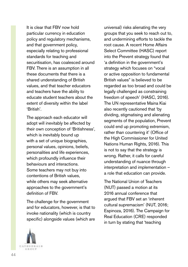It is clear that FBV now hold particular currency in education policy and regulatory mechanisms, and that government policy, especially relating to professional standards for teaching and securitisation, has coalesced around FBV. There is an assumption in all these documents that there is a shared understanding of British values, and that teacher educators and teachers have the ability to educate student teachers about the extent of diversity within the label 'British'.

The approach each educator will adopt will inevitably be affected by their own conception of 'Britishness', which is inevitably bound up with a set of unique biographies, personal values, opinions, beliefs, personalities and life experiences, which profoundly influence their behaviours and interactions. Some teachers may not buy into contentions of British values, while others may seek alternative approaches to the government's definition of FBV.

The challenge for the government and for educators, however, is that to invoke nationality (which is country specific) alongside values (which are

universal) risks alienating the very groups that you seek to reach out to, and undermining efforts to tackle the root cause. A recent Home Affairs Select Committee (HASC) report into the Prevent strategy found that 'a definition in the government's strategy which focuses on "vocal or active opposition to fundamental British values" is believed to be regarded as too broad and could be legally challenged as constraining freedom of speech' (HASC, 2016). The UN representative Maina Kiai also recently cautioned that 'by dividing, stigmatising and alienating segments of the population, Prevent could end up promoting extremism, rather than countering it' (Office of the High Commissioner for United Nations Human Rights, 2016). This is not to say that the strategy is wrong. Rather, it calls for careful understanding of nuance through interpretation and implementation – a role that education can provide.

The National Union of Teachers (NUT) passed a motion at its 2016 annual conference that argued that FBV set an 'inherent cultural supremacism' (NUT, 2016; Espinoza, 2016). The Campaign for Real Education (CRE) responded in turn by stating that 'teaching

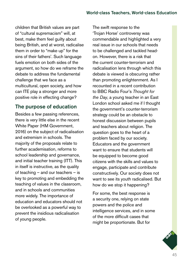children that British values are part of "cultural supremacism" will, at best, make them feel guilty about being British, and at worst, radicalise them in order to "make up" for the sins of their fathers'. Such language fuels emotion on both sides of the argument, so how do we reframe the debate to address the fundamental challenge that we face as a multicultural, open society, and how can ITE play a stronger and more positive role in effecting change?

## The purpose of education

Besides a few passing references, there is very little else in the recent White Paper (HM Government, 2016) on the subject of radicalisation and extremism in schools. The majority of the proposals relate to further academisation, reforms to school leadership and governance, and initial teacher training (ITT). This in itself is instructive, as the quality of teaching – and our teachers – is key to promoting and embedding the teaching of values in the classroom, and in schools and communities more widely. The importance of education and educators should not be overlooked as a powerful way to prevent the insidious radicalisation of young people.

The swift response to the 'Trojan Horse' controversy was commendable and highlighted a very real issue in our schools that needs to be challenged and tackled headon. However, there is a risk that the current counter-terrorism and radicalisation lens through which this debate is viewed is obscuring rather than promoting enlightenment. As I recounted in a recent contribution to BBC Radio Four's *Thought for the Day*, a young teacher in an East London school asked me if I thought the government's counter-terrorism strategy could be an obstacle to honest discussion between pupils and teachers about religion. The question goes to the heart of a problem faced by our society. Educators and the government want to ensure that students will be equipped to become good citizens with the skills and values to engage, participate and contribute constructively. Our society does not want to see its youth radicalised. But how do we stop it happening?

For some, the best response is a security one, relying on state powers and the police and intelligence services, and in some of the more difficult cases that might be proportionate. But for

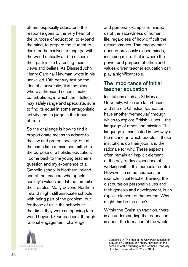others, especially educators, the response goes to the very heart of the purpose of education; to expand the mind, to prepare the student to think for themselves, to engage with the world critically and to discern their path in life by testing their views and beliefs. As Blessed John Henry Cardinal Newman wrote in his unrivalled 19th-century text on the idea of a university, 'it is the place where a thousand schools make contributions; in which the intellect may safely range and speculate, sure to find its equal in some antagonistic activity and its judge in the tribunal of truth  $1$ 

So the challenge is how to find a proportionate means to adhere to the law and protect society, but at the same time remain committed to the purpose of a holistic education. I come back to the young teacher's question and my experience of a Catholic school in Northern Ireland and of the teachers who upheld society's values amidst the turmoil of the Troubles. Many beyond Northern Ireland might still associate schools with being part of the problem, but for those of us in the schools at that time, they were an opening to a world beyond. Our teachers, through rational engagement, challenge

CATHEDEALS 石家の切片

and personal example, reminded us of the sacredness of human life, regardless of how difficult the circumstances. That engagement opened previously closed minds, including mine. That is where the power and purpose of ethos and values-driven teacher education can play a significant role.

## The importance of initial teacher education

Institutions such as St Mary's University, which are faith-based and share a Christian foundation, have another 'vernacular' through which to explore British values – the language of ethos and mission. This language is manifested in two ways: the manner in which people in these institutions do their jobs, and their rationale for why. These aspects often remain an implicit element of the day-to-day experience of working within this particular context. However, in some courses, for example initial teacher training, the discourse on personal values and their genesis and development, is an explicit element of the course. Why might this be the case?

Within the Christian tradition, there is an understanding that education is about the formation of the whole

<sup>1.</sup> Contained in 'The Idea of the University' a series of lectures by Cardinal John Henry Newman on the occasion of the founding of the Catholic University of Dublin, delivered in 1852 and 1854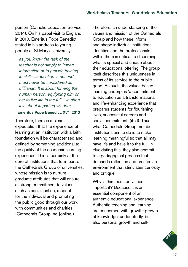person (Catholic Education Service, 2014). On his papal visit to England in 2010, Emeritus Pope Benedict stated in his address to young people at St Mary's University:

*as you know the task of the teacher is not simply to impart information or to provide training in skills....education is not and must never be considered as utilitarian. It is about forming the human person, equipping him or her to live life to the full – in short it is about imparting wisdom.*

#### Emeritus Pope Benedict, XV1, 2010

Therefore, there is a clear expectation that the experience of learning at an institution with a faith foundation will be characterised and defined by something additional to the quality of the academic learning experience. This is certainly at the core of institutions that form part of the Cathedrals Group of universities, whose mission is to nurture graduate attributes that will ensure a 'strong commitment to values such as social justice, respect for the individual and promoting the public good through our work with communities and charities' (Cathedrals Group, nd [online]).

Therefore, an understanding of the values and mission of the Cathedrals Group and how these inform and shape individual institutional identities and the professionals within them is critical to discerning what is special and unique about their educational offering. The group itself describes this uniqueness in terms of its service to the public good. As such, the values-based learning underpins 'a commitment to education as a transformational and life-enhancing experience that prepares students for flourishing lives, successful careers and social commitment' (ibid). Thus, what Cathedrals Group member institutions aim to do is to make learning meaningful so that all may have life and have it to the full. In elucidating this, they also commit to a pedagogical process that demands reflection and creates an environment that stimulates curiosity and critique.

Why is this focus on values important? Because it is an essential component of an authentic educational experience. Authentic teaching and learning are concerned with growth: growth of knowledge, undoubtedly, but also personal growth and self-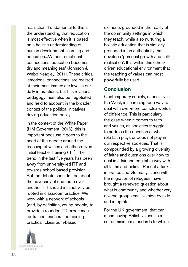realisation. Fundamental to this is the understanding that 'education is most effective when it is based on a holistic understanding of human development, learning and education. Without emotional connections, education becomes dry and meaningless' (Johnson & Webb Neagley, 2011). These critical 'emotional connections' are realised at their most immediate level in our daily interactions, but this relational pedagogy must also be negotiated and held to account in the broader context of the political initiatives driving education policy.

In the context of the White Paper (HM Government, 2016), this is important because it goes to the heart of the debate around the teaching of values and ethos-driven initial teacher training (ITT). The trend in the last five years has been away from university-led ITT and towards school-based provision. But the debate shouldn't be about the advocacy of one route over another. ITT should instinctively be rooted in classroom practice. We work with a network of schools (and, by definition, young people) to provide a rounded ITT experience for trainee teachers, combining practical, classroom-based

**CATHEDNALS** 石法のビタ

elements grounded in the reality of the community settings in which they teach, while also nurturing a holistic education that is similarly grounded in an authenticity that develops 'personal growth and selfrealisation'. It is within this ethosdriven educational environment that the teaching of values can most powerfully be used.

## Conclusion

Contemporary society, especially in the West, is searching for a way to deal with ever-more complex worlds of difference. This is particularly the case when it comes to faith and values, as societies struggle to address the question of what role faith plays or does not play in our respective societies. That is compounded by a growing diversity of faiths and questions over how to deal in a fair and equitable way with all faiths and beliefs. Recent attacks in France and Germany, along with the migration of refugees, have brought a renewed question about what is community and whether very diverse groups can live side by side and integrate.

For the UK government, that can mean having British values as a set of minimum standards to which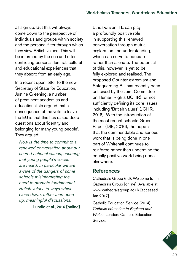all sign up. But this will always come down to the perspective of individuals and groups within society and the personal filter through which they view British values. This will be informed by the rich and often conflicting personal, familial, cultural and educational experiences that they absorb from an early age.

In a recent open letter to the new Secretary of State for Education, Justine Greening, a number of prominent academics and educationalists argued that a consequence of the vote to leave the EU is that this has raised deep questions about 'identity and belonging for many young people'. They argued:

*Now is the time to commit to a renewed conversation about our shared national values, ensuring that young people's voices are heard. In particular we are aware of the dangers of some schools misinterpreting the need to promote fundamental British values in ways which close down, rather than open up, meaningful discussions.*

Lundie et al., 2016 [online]

Ethos-driven ITE can play a profoundly positive role in supporting this renewed conversation through mutual exploration and understanding, which can serve to educate rather than alienate. The potential of this, however, is yet to be fully explored and realised. The proposed Counter-extremism and Safeguarding Bill has recently been criticised by the Joint Committee on Human Rights (JCHR) for not sufficiently defining its core issues, including 'British values' (JCHR, 2016). With the introduction of the most recent schools Green Paper (DfE, 2016), the hope is that the commendable and serious work that is being done in one part of Whitehall continues to reinforce rather than undermine the equally positive work being done elsewhere.

## **References**

Cathedrals Group (nd). Welcome to the Cathedrals Group [online]. Available at [www.cathedralsgroup.ac.uk](http://www.cathedralsgroup.ac.uk) [accessed Jan 2017].

Catholic Education Service (2014). *Catholic education in England and Wales.* London: Catholic Education Service.

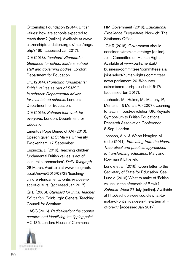Citizenship Foundation (2014). British values: how are schools expected to teach them? [online]. Available at [www.](http://www.citizenshipfoundation.org.uk/main/page.php?465) [citizenshipfoundation.org.uk/main/page.](http://www.citizenshipfoundation.org.uk/main/page.php?465) [php?465](http://www.citizenshipfoundation.org.uk/main/page.php?465) [accessed Jan 2017].

DfE (2013). *Teachers' Standards: Guidance for school leaders, school staff and governing bodies.* London: Department for Education.

DfE (2014). *Promoting fundamental British values as part of SMSC in schools: Departmental advice for maintained schools.* London: Department for Education.

DfE (2016). *Schools that work for everyone.* London: Department for Education.

Emeritus Pope Benedict XVI (2010). Speech given at St Mary's University, Twickenham, 17 September.

Espinoza, J. (2016). Teaching children fundamental British values is act of 'cultural supremacism'. *Daily Telegraph* 28 March. Available at [www.telegraph.](http://www.telegraph.co.uk/news/2016/03/28/teaching-children-fundamental-british-values-is-act-of-cultural) [co.uk/news/2016/03/28/teaching](http://www.telegraph.co.uk/news/2016/03/28/teaching-children-fundamental-british-values-is-act-of-cultural)[children-fundamental-british-values-is](http://www.telegraph.co.uk/news/2016/03/28/teaching-children-fundamental-british-values-is-act-of-cultural)[act-of-cultural](http://www.telegraph.co.uk/news/2016/03/28/teaching-children-fundamental-british-values-is-act-of-cultural) [accessed Jan 2017].

GTE (2006). *Standard for Initial Teacher Education.* Edinburgh: General Teaching Council for Scotland.

HASC (2016). *Radicalisation: the counternarrative and identifying the tipping point.*  HC 135. London: House of Commons.

HM Government (2016). *Educational Excellence Everywhere.* Norwich: The Stationery Office.

JCHR (2016). Government should consider extremism strategy [online]. Joint Committee on Human Rights. Available at [www.parliament.uk/](http://www.parliament.uk/business/committees/committees-a-z/joint-select/human-rights-committee/news-parliament-2015/counter-extremism-report-published-16-17/) [business/committees/committees-a-z/](http://www.parliament.uk/business/committees/committees-a-z/joint-select/human-rights-committee/news-parliament-2015/counter-extremism-report-published-16-17/) [joint-select/human-rights-committee/](http://www.parliament.uk/business/committees/committees-a-z/joint-select/human-rights-committee/news-parliament-2015/counter-extremism-report-published-16-17/) [news-parliament-2015/counter](http://www.parliament.uk/business/committees/committees-a-z/joint-select/human-rights-committee/news-parliament-2015/counter-extremism-report-published-16-17/)[extremism-report-published-16-17/](http://www.parliament.uk/business/committees/committees-a-z/joint-select/human-rights-committee/news-parliament-2015/counter-extremism-report-published-16-17/)  [accessed Jan 2017].

Jephcote, M., Hulme, M., Mahony, P., Menteri, I. & Moran, A. (2007). Learning to teach in post-devolution UK. Keynote Symposium to British Educational Research Association Conference. 8 Sep, London.

Johnson, A.N. & Webb Neagley, M. (eds) (2011). *Educating from the Heart: Theoretical and practical approaches to transforming education.* Maryland: Rowman & Littlefield.

Lundie et al. (2016). Open letter to the Secretary of State for Education. See Lundie (2016) What to make of 'British values' in the aftermath of Brexit?. *Schools Week* 27 July [online]. Available at [http://schoolsweek.co.uk/what-to](http://schoolsweek.co.uk/what-to-make-of-british-values-in-the-aftermath-of-brexit/)[make-of-british-values-in-the-aftermath](http://schoolsweek.co.uk/what-to-make-of-british-values-in-the-aftermath-of-brexit/)[of-brexit/](http://schoolsweek.co.uk/what-to-make-of-british-values-in-the-aftermath-of-brexit/) [accessed Jan 2017].

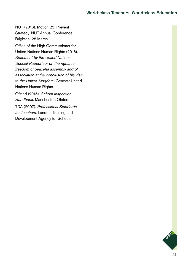NUT (2016). Motion 23: Prevent Strategy. NUT Annual Conference, Brighton, 28 March.

Office of the High Commissioner for United Nations Human Rights (2016). *Statement by the United Nations Special Rapporteur on the rights to freedom of peaceful assembly and of association at the conclusion of his visit to the United Kingdom.* Geneva: United Nations Human Rights.

Ofsted (2015). *School Inspection Handbook.* Manchester: Ofsted.

TDA (2007). *Professional Standards for Teachers.* London: Training and Development Agency for Schools.

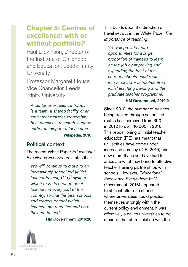# **Chapter 5: Centres of excellence: with or without portfolio?**

Paul Dickinson, Director of the Institute of Childhood and Education, Leeds Trinity **University** Professor Margaret House,

Vice Chancellor, Leeds Trinity University

*A center of excellence (CoE) is a team, a shared facility or an entity that provides leadership, best practices, research, support and/or training for a focus area.* Wikipedia, 2016

## Political context

The recent White Paper *Educational Excellence Everywhere* states that:

*We will continue to move to an increasingly school-led [initial teacher training (ITT)] system which recruits enough great teachers in every part of the country, so that the best schools and leaders control which teachers are recruited and how they are trained.* 

HM Government, 2016:28

This builds upon the direction of travel set out in the White Paper *The importance of teaching*:

*We will provide more opportunities for a larger proportion of trainees to learn on the job by improving and expanding the best of the current school-based routes into teaching – school-centred initial teaching training and the graduate teacher programme.* 

#### HM Government, 2010:9

Since 2010, the number of trainees being trained through school-led routes has increased from 350 in 2012 to over 10,000 in 2016. This repositioning of initial teacher education (ITE) has meant that universities have come under increased scrutiny (DfE, 2015) and now more than ever have had to articulate what they bring to effective teacher training partnerships with schools. However, *Educational Excellence Everywhere* (HM Government, 2016) appeared to at least offer one strand where universities could position themselves strongly within the current policy environment. It was effectively a call to universities to be a part of the future solution with the

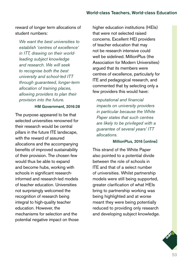reward of longer term allocations of student numbers:

*We want the best universities to establish 'centres of excellence' in ITT, drawing on their worldleading subject knowledge and research. We will seek to recognise both the best university and school-led ITT through guaranteed, longer-term allocation of training places, allowing providers to plan their provision into the future.*

#### HM Government, 2016:28

The purpose appeared to be that selected universities renowned for their research would be central pillars in the future ITE landscape, with the reward of assured allocations and the accompanying benefits of improved sustainability of their provision. The chosen few would thus be able to expand and become hubs, working with schools in significant researchinformed and research-led models of teacher education. Universities not surprisingly welcomed the recognition of research being integral to high-quality teacher education. However, the mechanisms for selection and the potential negative impact on those higher education institutions (HEIs) that were not selected raised concerns. Excellent HEI providers of teacher education that may not be research intensive could well be sidelined. MillionPlus (the Association for Modern Universities) arqued that its members were centres of excellence, particularly for ITE and pedagogical research, and commented that by selecting only a few providers this would have:

*reputational and financial impacts on university providers in particular because the White Paper states that such centres are likely to be privileged with a guarantee of several years' ITT allocations.*

#### MillionPlus, 2016 [online]

This strand of the White Paper also pointed to a potential divide between the role of schools in ITE and that of a select number of universities. Whilst partnership models were still being supported, greater clarification of what HEIs bring to partnership working was being highlighted and at worse meant they were being potentially reduced to providing only research and developing subject knowledge.

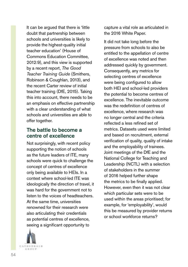It can be argued that there is 'little doubt that partnership between schools and universities is likely to provide the highest-quality initial teacher education' (House of Commons Education Committee, 2012:9), and this view is supported by a recent report, *The Good Teacher Training Guide* (Smithers, Robinson & Coughlan, 2013), and the recent Carter review of initial teacher training (DfE, 2015). Taking this into account, there needs to be an emphasis on effective partnership with a clear understanding of what schools and universities are able to offer together.

## The battle to become a centre of excellence

Not surprisingly, with recent policy supporting the notion of schools as the future leaders of ITE, many schools were quick to challenge the concept of centres of excellence only being available to HEIs. In a context where school-led ITE was ideologically the direction of travel, it was hard for the government not to listen to the voices of headteachers. At the same time, universities renowned for their research were also articulating their credentials as potential centres of excellence, seeing a significant opportunity to



capture a vital role as articulated in the 2016 White Paper.

It did not take long before the pressure from schools to also be entitled to the appellation of centre of excellence was noted and then addressed quickly by government. Consequently, any metrics for selecting centres of excellence were being configured to allow both HEI and school-led providers the potential to become centres of excellence. The inevitable outcome was the redefinition of centres of excellence, where research was no longer central and the criteria reflected a less refined set of metrics. Datasets used were limited and based on recruitment, external verification of quality, quality of intake and the employability of trainees. Joint meetings of the DfE and the National College for Teaching and Leadership (NCTL) with a selection of stakeholders in the summer of 2016 helped further shape the metrics to be finally applied. However, even then it was not clear which particular sets were to be used within the areas prioritised; for example, for 'employability', would this be measured by provider returns or school workforce returns?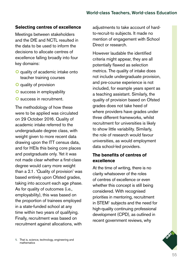#### **Selecting centres of excellence**

Meetings between stakeholders and the DfE and NCTL resulted in the data to be used to inform the decisions to allocate centres of excellence falling broadly into four key domains:

- **O** quality of academic intake onto teacher training courses
- **O** quality of provision
- **O** success in employability
- **O** success in recruitment.

The methodology of how these were to be applied was circulated on 29 October 2016. Quality of academic intake referred to the undergraduate degree class, with weight given to more recent data drawing upon the ITT census data, and for HEIs this being core places and postgraduate only. Yet it was not made clear whether a first-class degree would carry more weight than a 2.1. 'Quality of provision' was based entirely upon Ofsted grades, taking into account each age phase. As for quality of outcomes (i.e., employability), this was based on the proportion of trainees employed in a state-funded school at any time within two years of qualifying. Finally, recruitment was based on recruitment against allocations, with

adjustments to take account of hardto-recruit-to subjects. It made no mention of engagement with School Direct or research.

However laudable the identified criteria might appear, they are all potentially flawed as selection metrics. The quality of intake does not include undergraduate provision, and pre-course experience is not included, for example years spent as a teaching assistant. Similarly, the quality of provision based on Ofsted grades does not take heed of where providers have grades under three different frameworks, whilst recruitment for universities is likely to show little variability. Similarly, the role of research would favour universities, as would employment data school-led providers.

## **The benefits of centres of excellence**

At the time of writing, there is no clarity whatsoever of the roles of centres of excellence or even whether this concept is still being considered. With recognised priorities in mentoring, recruitment in STEM<sup>1</sup> subjects and the need for high-quality continuing professional development (CPD), as outlined in recent government reviews, why

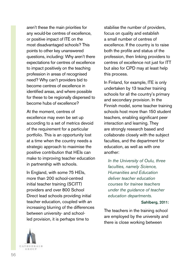aren't these the main priorities for any would-be centres of excellence, or positive impact of ITE on the most disadvantaged schools? This points to other key unanswered questions, including: Why aren't there expectations for centres of excellence to impact positively on the teaching profession in areas of recognised need? Why can't providers bid to become centres of excellence in identified areas, and where possible for these to be regionally dispersed to become hubs of excellence?

At the moment, centres of excellence may even be set up according to a set of metrics devoid of the requirement for a particular portfolio. This is an opportunity lost at a time when the country needs a strategic approach to maximise the positive contribution that HEIs can make to improving teacher education in partnership with schools.

In England, with some 75 HEIs, more than 200 school-centred initial teacher training (SCITT) providers and over 800 School Direct lead schools providing initial teacher education, coupled with an increasing blurring of the differences between university- and schoolled provision, it is perhaps time to

stabilise the number of providers, focus on quality and establish a small number of centres of excellence. If the country is to raise both the profile and status of the profession, then linking providers to centres of excellence not just for ITT but also for CPD may at least help this process.

In Finland, for example, ITE is only undertaken by 13 teacher training schools for all the country's primary and secondary provision. In the Finnish model, some teacher training schools host more than 150 student teachers, enabling significant peer interaction and learning. They are strongly research based and collaborate closely with the subject faculties, and the department for education, as well as with one another:

*In the University of Oulu, three faculties, namely Science, Humanities and Education deliver teacher education courses for trainee teachers under the guidance of teacher education departments.*

#### Sahlberg, 2011:

The teachers in the training school are employed by the university and there is close working between

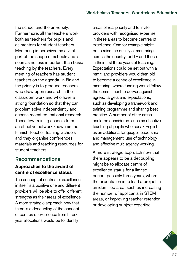the school and the university. Furthermore, all the teachers work both as teachers for pupils and as mentors for student teachers. Mentoring is perceived as a vital part of the scope of schools and is seen as no less important than basic teaching by the teachers. Every meeting of teachers has student teachers on the agenda. In Finland, the priority is to produce teachers who draw upon research in their classroom work and who have a strong foundation so that they can problem solve independently and access recent educational research. These few training schools form an effective network known as the Finnish Teacher Training Schools and they organise conferences, materials and teaching resources for student teachers.

## Recommendations

## **Approaches to the award of centre of excellence status**

The concept of centres of excellence in itself is a positive one and different providers will be able to offer different strengths as their areas of excellence. A more strategic approach now that there is a decoupling of the concept of centres of excellence from threeyear allocations would be to identify

areas of real priority and to invite providers with recognised expertise in these areas to become centres of excellence. One for example might be to raise the quality of mentoring across the country for ITE and those in their first three years of teaching. Expectations could be set out with a remit, and providers would then bid to become a centre of excellence in mentoring, where funding would follow the commitment to deliver against agreed targets and expectations, such as developing a framework and training programme and sharing best practice. A number of other areas could be considered, such as effective teaching of pupils who speak English as an additional language, leadership and management, use of technology and effective multi-agency working.

A more strategic approach now that there appears to be a decoupling might be to allocate centre of excellence status for a limited period, possibly three years, where the expectation is to lead a project in an identified area, such as increasing the number of applicants in STEM areas, or improving teacher retention or developing subject expertise.

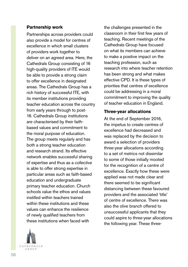#### **Partnership work**

Partnerships across providers could also provide a model for centres of excellence in which small clusters of providers work together to deliver on an agreed area. Here, the Cathedrals Group consisting of 16 high-quality providers of ITE would be able to provide a strong claim to offer excellence in designated areas. The Cathedrals Group has a rich history of successful ITE, with its member institutions providing teacher education across the country from early years through to post-16. Cathedrals Group institutions are characterised by their faithbased values and commitment to the moral purpose of education. The group meets regularly and has both a strong teacher education and research strand. Its effective network enables successful sharing of expertise and thus as a collective is able to offer strong expertise in particular areas such as faith-based education and undergraduate primary teacher education. Church schools value the ethos and values instilled within teachers trained within these institutions and these values can enhance the resilience of newly qualified teachers from these institutions when faced with



the challenges presented in the classroom in their first few years of teaching. Recent meetings of the Cathedrals Group have focused on what its members can achieve to make a positive impact on the teaching profession, such as research into where teacher retention has been strong and what makes effective CPD. It is these types of priorities that centres of excellence could be addressing in a moral commitment to improving the quality of teacher education in England.

### **Three-year allocations**

At the end of September 2016, the impetus to create centres of excellence had decreased and was replaced by the decision to award a selection of providers three-year allocations according to a set of metrics not dissimilar to some of those initially mooted for the recognition of a centre of excellence. Exactly how these were applied was not made clear and there seemed to be significant distancing between these favoured providers and the associated 'title' of centre of excellence. There was also the olive branch offered to unsuccessful applicants that they could aspire to three-year allocations the following year. These three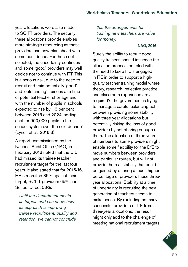year allocations were also made to SCITT providers. The security these allocations provide enables more strategic resourcing as these providers can now plan ahead with some confidence. For those not selected, the uncertainty continues and some 'good' providers may well decide not to continue with ITT. This is a serious risk, due to the need to recruit and train potentially 'good' and 'outstanding' trainees at a time of potential teacher shortage and with the number of pupils in schools expected to rise by '13 per cent between 2015 and 2024, adding another 900,000 pupils to the school system over the next decade' (Lynch et al., 2016:3).

A report commissioned by the National Audit Office (NAO) in February 2016 noted that the DfE had missed its trainee teacher recruitment target for the last four years. It also stated that for 2015/16, HEIs recruited 85% against their target, SCITT providers 65% and School Direct 58%:

*Until the Department meets its targets and can show how its approach is improving trainee recruitment, quality and retention, we cannot conclude* 

*that the arrangements for training new teachers are value for money.*

#### NAO, 2016:

Surely the ability to recruit goodquality trainees should influence the allocation process, coupled with the need to keep HEIs engaged in ITE in order to support a highquality teacher training model where theory, research, reflective practice and classroom experience are all required? The government is trying to manage a careful balancing act between providing some stability with three-year allocations but potentially risking the loss of good providers by not offering enough of them. The allocation of three years of numbers to some providers might enable some flexibility for the DfE to move numbers between providers and particular routes, but will not provide the real stability that could be gained by offering a much higher percentage of providers these threeyear allocations. Stability at a time of uncertainty in recruiting the next generation of teachers seems to make sense. By excluding so many successful providers of ITE from three-year allocations, the result might only add to the challenge of meeting national recruitment targets.

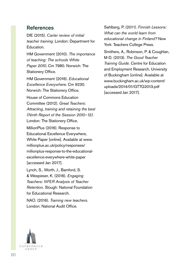## References

DfE (2015). *Carter review of initial teacher training.* London: Department for Education.

HM Government (2010). *The importance of teaching: The schools White Paper 2010.* Cm 7980. Norwich: The Stationery Office.

HM Government (2016). *Educational Excellence Everywhere.* Cm 9230. Norwich: The Stationery Office.

House of Commons Education Committee (2012). *Great Teachers: Attracting, training and retaining the best (Ninth Report of the Session 2010–12).*  London: The Stationery Office.

MillionPlus (2016). Response to Educational Excellence Everywhere, White Paper [online]. Available at [www.](http://www.millionplus.ac.uk/policy/responses/millionplus-response-to-the-educational-excellence-everywhere-white-paper) [millionplus.ac.uk/policy/responses/](http://www.millionplus.ac.uk/policy/responses/millionplus-response-to-the-educational-excellence-everywhere-white-paper) [millionplus-response-to-the-educational](http://www.millionplus.ac.uk/policy/responses/millionplus-response-to-the-educational-excellence-everywhere-white-paper)[excellence-everywhere-white-paper](http://www.millionplus.ac.uk/policy/responses/millionplus-response-to-the-educational-excellence-everywhere-white-paper) [accessed Jan 2017].

Lynch, S., Worth, J., Bamford, S. & Wespieser, K. (2016). *Engaging Teachers: NFER Analysis of Teacher Retention.* Slough: National Foundation for Educational Research.

NAO. (2016). *Training new teachers.*  London: National Audit Office.

Sahlberg, P. (2011). *Finnish Lessons: What can the world learn from educational change in Finland?* New York: Teachers College Press.

Smithers, A., Robinson, P. & Coughlan, M-D. (2013). *The Good Teacher Training Guide.* Centre for Education and Employment Research, University of Buckingham [online]. Available at [www.buckingham.ac.uk/wp-content/](http://www.buckingham.ac.uk/wp-content/uploads/2014/01/GTTG2013.pdf) [uploads/2014/01/GTTG2013.pdf](http://www.buckingham.ac.uk/wp-content/uploads/2014/01/GTTG2013.pdf) [accessed Jan 2017].

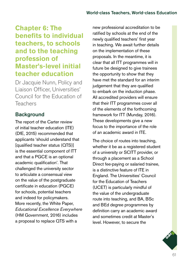# **Chapter 6: The benefits to individual teachers, to schools and to the teaching profession of Master's-level initial teacher education**

Dr Jacquie Nunn, Policy and Liaison Officer, Universities' Council for the Education of Teachers

## **Background**

The report of the Carter review of initial teacher education (ITE) (DfE, 2015) recommended that applicants 'should understand that [qualified teacher status (QTS)] is the essential component of ITT and that a PGCE is an optional academic qualification'. That challenged the university sector to articulate a consensual view on the value of the postgraduate certificate in education (PGCE) for schools, potential teachers and indeed for policymakers. More recently, the White Paper, *Educational Excellence Everywhere* (HM Government, 2016) includes a proposal to replace QTS with a

new professional accreditation to be ratified by schools at the end of the newly qualified teachers' first year in teaching. We await further details on the implementation of these proposals. In the meantime, it is clear that all ITT programmes will in future be designed to give trainees the opportunity to show that they have met the standard for an interim judgement that they are qualified to embark on the induction phase. All accredited providers will ensure that their ITT programmes cover all of the elements of the forthcoming framework for ITT (Munday, 2016). These developments give a new focus to the importance of the role of an academic award in ITE.

The choice of routes into teaching, whether it be as a registered student of a university or SCITT provider, or through a placement as a School Direct fee-paying or salaried trainee, is a distinctive feature of ITE in England. The Universities' Council for the Education of Teachers (UCET) is particularly mindful of the value of the undergraduate route into teaching, and BA, BSc and BEd degree programmes by definition carry an academic award and sometimes credit at Master's level. However, to secure the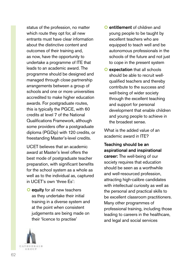status of the profession, no matter which route they opt for, all new entrants must have clear information about the distinctive content and outcomes of their training and, as now, have the opportunity to undertake a programme of ITE that leads to an academic award. The programme should be designed and managed through close partnership arrangements between a group of schools and one or more universities accredited to make higher education awards. For postgraduate routes, this is typically the PGCE, with 60 credits at level 7 of the National Qualifications Framework, although some providers offer a postgraduate diploma (PGDip) with 120 credits, or freestanding Master's-level credits.

UCET believes that an academic award at Master's level offers the best mode of postgraduate teacher preparation, with significant benefits for the school system as a whole as well as to the individual as, captured in UCET's own 'three Es':

O equity for all new teachers as they undertake their initial training in a diverse system and at the point when consistent judgements are being made on their 'licence to practise'

- **O** entitlement of children and young people to be taught by excellent teachers who are equipped to teach well and be autonomous professionals in the schools of the future and not just to cope in the present system
- **O** expectation that all schools should be able to recruit wellqualified teachers and thereby contribute to the success and well-being of wider society through the excellent teaching and support for personal development that enable children and young people to achieve in the broadest sense.

What is the added value of an academic award in ITE?

#### Teaching should be an aspirational and inspirational

career: The well-being of our society requires that education should be seen as a worthwhile and well-resourced profession, attracting high-calibre candidates with intellectual curiosity as well as the personal and practical skills to be excellent classroom practitioners. Many other programmes of professional training, including those leading to careers in the healthcare, and legal and social services

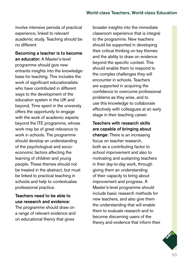involve intensive periods of practical experience, linked to relevant academic study. Teaching should be no different.

Becoming a teacher is to become an educator: A Master's-level programme should give new entrants insights into the knowledgebase for teaching. This includes the work of significant educationalists who have contributed in different ways to the development of the education system in the UK and beyond. Time spent in the university offers the opportunity to engage with the work of academic experts beyond the ITE programme, whose work may be of great relevance to work in schools. The programme should develop an understanding of the psychological and socioeconomic factors affecting the learning of children and young people. These themes should not be treated in the abstract, but must be linked to practical teaching in schools and help to contextualise professional practice.

## Teachers need to be able to use research and evidence:

The programme should draw on a range of relevant evidence and on educational theory that gives

broader insights into the immediate classroom experience that is integral to the programme. New teachers should be supported in developing their critical thinking on key themes and the ability to draw on evidence beyond the specific context. This should enable them to respond to the complex challenges they will encounter in schools. Teachers are supported in acquiring the confidence to overcome professional problems as they arise, and to use this knowledge to collaborate effectively with colleagues at an early stage in their teaching career.

## Teachers with research skills are capable of bringing about

change: There is an increasing focus on teacher research, both as a contributing factor to school improvement and also to motivating and sustaining teachers in their day-to-day work, through giving them an understanding of their capacity to bring about improvement and progress. A Master's-level programme should include basic research methods for new teachers, and also give them the understanding that will enable them to evaluate research and to become discerning users of the theory and evidence that inform their

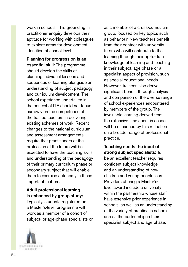work in schools. This grounding in practitioner enquiry develops their aptitude for working with colleagues to explore areas for development identified at school level.

Planning for progression is an essential skill: The programme should develop the skills of planning individual lessons and sequences of learning alongside an understanding of subject pedagogy and curriculum development. The school experience undertaken in the context of ITE should not focus narrowly on the competence of the trainee teachers in delivering existing schemes of work. Recent changes to the national curriculum and assessment arrangements require that practitioners of the profession of the future will be expected to have the teaching skills and understanding of the pedagogy of their primary curriculum phase or secondary subject that will enable them to exercise autonomy in these important matters.

Adult professional learning is enhanced by group study: Typically, students registered on a Master's-level programme will work as a member of a cohort of subject- or age-phase specialists or



Teaching needs the input of strong subject specialists: To be an excellent teacher requires confident subject knowledge and an understanding of how children and young people learn. Providers offering a Master'slevel award include a university within the partnership whose staff have extensive prior experience in schools, as well as an understanding of the variety of practice in schools across the partnership in their specialist subject and age phase.

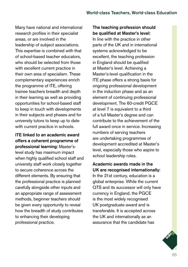Many have national and international research profiles in their specialist areas, or are involved in the leadership of subject associations. This expertise is combined with that of school-based teacher educators, who should be selected from those with excellent current practice in their own area of specialism. These complementary experiences enrich the programme of ITE, offering trainee teachers breadth and depth in their learning as well as providing opportunities for school-based staff to keep in touch with developments in their subjects and phases and for university tutors to keep up to date with current practice in schools.

### ITE linked to an academic award offers a coherent programme of professional learning: Master's-

level study has maximum impact when highly qualified school staff and university staff work closely together to secure coherence across the different elements. By ensuring that the professional practice is planned carefully alongside other inputs and an appropriate range of assessment methods, beginner teachers should be given every opportunity to reveal how the breadth of study contributes to enhancing their developing professional practice.

## The teaching profession should be qualified at Master's level:

In line with the practice in other parts of the UK and in international systems acknowledged to be excellent, the teaching profession in England should be qualified at Master's level. Achieving a Master's-level qualification in the ITE phase offers a strong basis for ongoing professional development in the induction phase and as an element of continuing professional development. The 60-credit PGCE at level 7 is equivalent to a third of a full Master's degree and can contribute to the achievement of the full award once in service. Increasing numbers of serving teachers are undertaking programmes of development accredited at Master's level, especially those who aspire to school leadership roles.

Academic awards made in the UK are recognised internationally: In the 21st century, education is a global enterprise. While the current QTS and its successor will only have currency in England, the PGCE is the most widely recognised UK postgraduate award and is transferable. It is accepted across the UK and internationally as an assurance that the candidate has

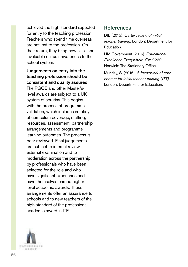achieved the high standard expected for entry to the teaching profession. Teachers who spend time overseas are not lost to the profession. On their return, they bring new skills and invaluable cultural awareness to the school system.

Judgements on entry into the teaching profession should be consistent and quality assured:

The PGCE and other Master'slevel awards are subject to a UK system of scrutiny. This begins with the process of programme validation, which includes scrutiny of curriculum coverage, staffing, resources, assessment, partnership arrangements and programme learning outcomes. The process is peer reviewed. Final judgements are subject to internal review, external examination and to moderation across the partnership by professionals who have been selected for the role and who have significant experience and have themselves earned higher level academic awards. These arrangements offer an assurance to schools and to new teachers of the high standard of the professional academic award in ITE.

## References

DfE (2015). *Carter review of initial teacher training.* London: Department for Education.

HM Government (2016). *Educational Excellence Everywhere.* Cm 9230. Norwich: The Stationery Office.

Munday, S. (2016). *A framework of core content for initial teacher training (ITT).*  London: Department for Education.

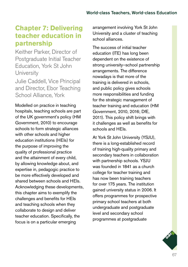# **Chapter 7: Delivering teacher education in partnership**

Keither Parker, Director of Postgraduate Initial Teacher Education, York St John **University** Julie Caddell, Vice Principal and Director, Ebor Teaching School Alliance, York

Modelled on practice in teaching hospitals, teaching schools are part of the UK government's policy (HM Government, 2010) to encourage schools to form strategic alliances with other schools and higher education institutions (HEIs) for the purpose of improving the quality of professional practice and the attainment of every child, by allowing knowledge about, and expertise in, pedagogic practice to be more effectively developed and shared between schools and HEIs. Acknowledging these developments, this chapter aims to exemplify the challenges and benefits for HEIs and teaching schools when they collaborate to design and deliver teacher education. Specifically, the focus is on a particular emerging

arrangement involving York St John University and a cluster of teaching school alliances.

The success of initial teacher education (ITE) has long been dependent on the existence of strong university–school partnership arrangements. The difference nowadays is that more of the training is delivered in schools, and public policy gives schools more responsibilities and funding for the strategic management of teacher training and education (HM Government, 2010, 2016; DfE, 2011). This policy shift brings with it challenges as well as benefits for schools and HEIs.

At York St John University (YSJU), there is a long-established record of training high-quality primary and secondary teachers in collaboration with partnership schools. YSJU was founded in 1841 as a church college for teacher training and has now been training teachers for over 175 years. The institution gained university status in 2006. It offers programmes for prospective primary school teachers at both undergraduate and postgraduate level and secondary school programmes at postgraduate

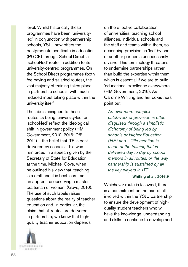level. Whilst historically these programmes have been 'universityled' in conjunction with partnership schools, YSJU now offers the postgraduate certificate in education (PGCE) through School Direct, a 'school-led' route, in addition to its university-centred programmes. On the School Direct programmes (both fee-paying and salaried routes), the vast majority of training takes place in partnership schools, with much reduced input taking place within the university itself.

The labels assigned to these routes as being 'university-led' or 'school-led' reflect the ideological shift in government policy (HM Government, 2010, 2016; DfE, 2011) – the belief that ITE is best delivered by schools. This was reinforced in a speech given by the Secretary of State for Education at the time, Michael Gove, when he outlined his view that 'teaching is a craft and it is best learnt as an apprentice observing a master craftsman or woman' (Gove, 2010). The use of such labels raises questions about the reality of teacher education and, in particular, the claim that all routes are delivered in partnership; we know that highquality teacher education depends



on the effective collaboration of universities, teaching school alliances, individual schools and the staff and teams within them, so describing provision as 'led' by one or another partner is unnecessarily divisive. This terminology threatens to undermine partnerships rather than build the expertise within them, which is essential if we are to build 'educational excellence everywhere' (HM Government, 2016). As Caroline Whiting and her co-authors point out:

*An ever more complex patchwork of provision is often disguised through a simplistic dichotomy of being led by schools or Higher Education (HE) and…little mention is made of the training that is delivered day to day by school mentors in all routes, or the way partnership is sustained by all the key players in ITT.*

#### Whiting et al., 2016:9

Whichever route is followed, there is a commitment on the part of all involved within the YSJU partnership to ensure the development of highquality student teachers who will have the knowledge, understanding and skills to continue to develop and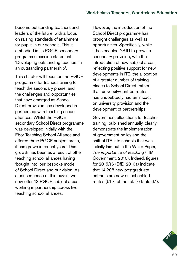become outstanding teachers and leaders of the future, with a focus on raising standards of attainment for pupils in our schools. This is embodied in its PGCE secondary programme mission statement, 'Developing outstanding teachers in an outstanding partnership'.

This chapter will focus on the PGCE programme for trainees aiming to teach the secondary phase, and the challenges and opportunities that have emerged as School Direct provision has developed in partnership with teaching school alliances. Whilst the PGCE secondary School Direct programme was developed initially with the Ebor Teaching School Alliance and offered three PGCE subject areas, it has grown in recent years. This growth has been as a result of other teaching school alliances having 'bought into' our bespoke model of School Direct and our vision. As a consequence of this buy-in, we now offer 13 PGCE subject areas, working in partnership across five teaching school alliances.

However, the introduction of the School Direct programme has brought challenges as well as opportunities. Specifically, while it has enabled YSJU to grow its secondary provision, with the introduction of new subject areas, reflecting positive support for new developments in ITE, the allocation of a greater number of training places to School Direct, rather than university-centred routes, has undoubtedly had an impact on university provision and the development of partnerships.

Government allocations for teacher training, published annually, clearly demonstrate the implementation of government policy and the shift of ITE into schools that was initially laid out in the White Paper, *The importance of teaching* (HM Government, 2010). Indeed, figures for 2015/16 (DfE, 2016a) indicate that 14,208 new postgraduate entrants are now on school-led routes (51% of the total) (Table 6.1).

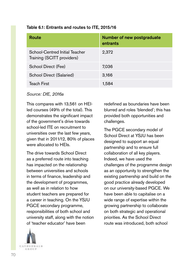| Route                                                        | Number of new postgraduate<br>entrants |
|--------------------------------------------------------------|----------------------------------------|
| School-Centred Initial Teacher<br>Training (SCITT providers) | 2,372                                  |
| School Direct (Fee)                                          | 7,036                                  |
| School Direct (Salaried)                                     | 3,166                                  |
| <b>Teach First</b>                                           | 1,584                                  |

#### Table 6.1: Entrants and routes to ITE, 2015/16

*Source: DfE, 2016a*

This compares with 13,561 on HEIled courses (49% of the total). This demonstrates the significant impact of the government's drive towards school-led ITE on recruitment to universities over the last few years, given that in 2011/12, 80% of places were allocated to HEIs.

The drive towards School Direct as a preferred route into teaching has impacted on the relationship between universities and schools in terms of finance, leadership and the development of programmes, as well as in relation to how student teachers are prepared for a career in teaching. On the YSJU PGCE secondary programme, responsibilities of both school and university staff, along with the notion of 'teacher educator' have been



redefined as boundaries have been blurred and roles 'blended'; this has provided both opportunities and challenges.

The PGCE secondary model of School Direct at YSJU has been designed to support an equal partnership and to ensure full collaboration of all key players. Indeed, we have used the challenges of the programme design as an opportunity to strengthen the existing partnership and build on the good practice already developed on our university-based PGCE. We have been able to capitalise on a wide range of expertise within the growing partnership to collaborate on both strategic and operational priorities. As the School Direct route was introduced, both school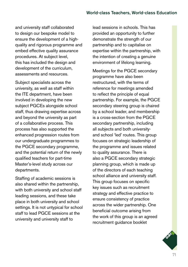and university staff collaborated to design our bespoke model to ensure the development of a highquality and rigorous programme and embed effective quality assurance procedures. At subject level, this has included the design and development of the curriculum, assessments and resources.

Subject specialists across the university, as well as staff within the ITE department, have been involved in developing the new subject PGCEs alongside school staff, thus drawing expertise across and beyond the university as part of a collaborative process. This process has also supported the enhanced progression routes from our undergraduate programmes to the PGCE secondary programme, and the potential return of the newly qualified teachers for part-time Master's-level study across our departments.

Staffing of academic sessions is also shared within the partnership, with both university and school staff leading sessions, and these take place in both university and school settings. It is not untypical for school staff to lead PGCE sessions at the university and university staff to

lead sessions in schools. This has provided an opportunity to further demonstrate the strength of our partnership and to capitalise on expertise within the partnership, with the intention of creating a genuine environment of lifelong learning.

Meetings for the PGCE secondary programme have also been restructured, with the terms of reference for meetings amended to reflect the principle of equal partnership. For example, the PGCE secondary steering group is chaired by a school leader, and membership is a cross-section from the PGCE secondary partnership, including all subjects and both universityand school 'led' routes. This group focuses on strategic leadership of the programme and issues related to quality assurance. There is also a PGCE secondary strategic planning group, which is made up of the directors of each teaching school alliance and university staff. This group focuses on specific key issues such as recruitment strategy and effective practice to ensure consistency of practice across the wider partnership. One beneficial outcome arising from the work of this group is an agreed recruitment guidance booklet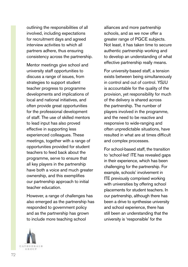outlining the responsibilities of all involved, including expectations for recruitment days and agreed interview activities to which all partners adhere, thus ensuring consistency across the partnership.

Mentor meetings give school and university staff opportunities to discuss a range of issues, from strategies to support student teacher progress to programme developments and implications of local and national initiatives, and often provide great opportunities for the professional development of staff. The use of skilled mentors to lead input has also proved effective in supporting less experienced colleagues. These meetings, together with a range of opportunities provided for student teachers to feed back about the programme, serve to ensure that all key players in the partnership have both a voice and much greater ownership, and this exemplifies our partnership approach to initial teacher education.

However, a range of challenges has also emerged as the partnership has responded to government policy and as the partnership has grown to include more teaching school

alliances and more partnership schools, and as we now offer a greater range of PGCE subjects. Not least, it has taken time to secure authentic partnership working and to develop an understanding of what effective partnership really means.

For university-based staff, a tension exists between being simultaneously in control and out of control. YSJU is accountable for the quality of the provision, yet responsibility for much of the delivery is shared across the partnership. The number of players involved in the programme, and the need to be reactive and responsive to wide-ranging and often unpredictable situations, have resulted in what are at times difficult and complex processes.

For school-based staff, the transition to 'school-led' ITE has revealed gaps in their experience, which has been challenging for the partnership. For example, schools' involvement in ITE previously comprised working with universities by offering school placements for student teachers. In our partnership, although there has been a drive to synthesise university and school experience, there has still been an understanding that the university is 'responsible' for the

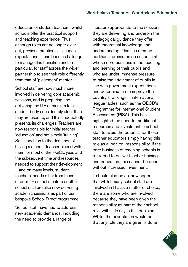education of student teachers, whilst schools offer the practical support and teaching experience. Thus, although roles are no longer clear cut, previous practice still shapes expectations; it has been a challenge to manage this transition and, in particular, for staff across the wider partnership to see their role differently from that of 'placement' mentor.

School staff are now much more involved in delivering core academic sessions, and in preparing and delivering the ITE curriculum to a student body considerably older than they are used to, and this undoubtedly presents its challenges. Teachers are now responsible for initial teacher 'education' and not simply 'training'. So, in addition to the demands of having a student teacher placed with them for most of the PGCE year, and the subsequent time and resources needed to support their development – and on many levels, student teachers' needs differ from those of pupils – school mentors or other school staff are also now delivering academic sessions as part of our bespoke School Direct programme.

School staff have had to address new academic demands, including the need to provide a range of

literature appropriate to the sessions they are delivering and underpin the pedagogical guidance they offer with theoretical knowledge and understanding. This has created additional pressures on school staff, whose core business is the teaching and learning of their pupils and who are under immense pressure to raise the attainment of pupils in line with government expectations and determination to improve the country's rankings in international league tables, such as the OECD's Programme for International Student Assessment (PISA). This has highlighted the need for additional resources and investment in school staff to avoid the potential for these teacher educators simply having this role as a 'bolt-on' responsibility. If the core business of teaching schools is to extend to deliver teacher training and education, this cannot be done without increased investment.

It should also be acknowledged that whilst many school staff are involved in ITE as a matter of choice, there are some who are involved because they have been given the responsibility as part of their school role, with little say in this decision. Whilst the expectation would be that any role they are given is done

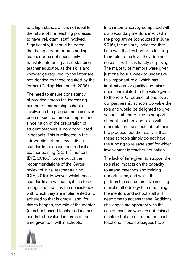to a high standard, it is not ideal for the future of the teaching profession to have 'reluctant' staff involved. Significantly, it should be noted that being a good or outstanding teacher does not necessarily translate into being an outstanding teacher educator, as the skills and knowledge required by the latter are not identical to those required by the former (Darling-Hammond, 2006).

The need to ensure consistency of practice across the increasing number of partnership schools involved in the programme has never been of such paramount importance, since much of the preparation of student teachers is now conducted in schools. This is reflected in the introduction of the new national standards for school-centred initial teacher training (SCITT) mentors (DfE, 2016b), borne out of the recommendations of the Carter review of initial teacher training (DfE, 2015). However, whilst these standards are welcome, it has to be recognised that it is the consistency with which they are implemented and adhered to that is crucial, and, for this to happen, the role of the mentor (or school-based teacher educator) needs to be valued in terms of the time given to it within schools.

CATHEDEALS 石法の日井

In an internal survey completed with our secondary mentors involved in the programme (conducted in June 2016), the majority indicated that time was the key barrier to fulfilling their role to the level they deemed necessary. This is hardly surprising. The majority of mentors were given just one hour a week to undertake this important role, which has implications for quality and raises questions related to the value given to the role. Of course, at one level, our partnership schools do value the role and would be delighted to give school staff more time to support student teachers and liaise with other staff in the school about their ITE practice, but the reality is that these schools simply do not have the funding to release staff for wider involvement in teacher education.

The lack of time given to support the role also impacts on the capacity to attend meetings and training opportunities, and whilst the partnership can be creative in using digital methodology for some things, the mentors and school staff still need time to access these. Additional challenges are apparent with the use of teachers who are not trained mentors but are often termed 'host' teachers. These colleagues have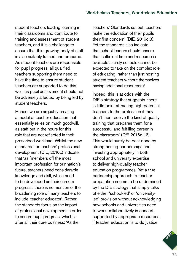student teachers leading learning in their classrooms and contribute to training and assessment of student teachers, and it is a challenge to ensure that this growing body of staff is also suitably trained and prepared. As student teachers are responsible for pupil progress, all qualified teachers supporting them need to have the time to ensure student teachers are supported to do this well, as pupil achievement should not be adversely affected by being led by student teachers.

Hence, we are arguably creating a model of teacher education that essentially relies on much goodwill, as staff put in the hours for this role that are not reflected in their prescribed workload. Whilst the new standards for teachers' professional development (DfE, 2016c) indicate that 'as [members of] the most important profession for our nation's future, teachers need considerable knowledge and skill, which need to be developed as their careers progress', there is no mention of the broadening role of many teachers to include 'teacher educator'. Rather, the standards focus on the impact of professional development in order to secure pupil progress, which is after all their core business: 'As the

Teachers' Standards set out, teachers make the education of their pupils their first concern' (DfE, 2016c:3). Yet the standards also indicate that school leaders should ensure that 'sufficient time and resource is available': surely schools cannot be expected to take on the complex role of educating, rather than just hosting student teachers without themselves having additional resources?

Indeed, this is at odds with the DfE's strategy that suggests 'there is little point attracting high-potential teachers to the profession if they don't then receive the kind of quality training that prepares them for a successful and fulfilling career in the classroom' (DfE 2016d:16). This would surely be best done by strengthening partnerships and investing appropriately in both school and university expertise to deliver high-quality teacher education programmes. Yet a true partnership approach to teacher preparation seems to be undermined by the DfE strategy that simply talks of either 'school-led' or 'universityled' provision without acknowledging how schools and universities need to work collaboratively in concert, supported by appropriate resources, if teacher education is to do justice

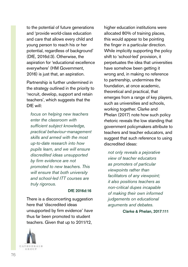to the potential of future generations and 'provide world-class education and care that allows every child and young person to reach his or her potential, regardless of background' (DfE, 2016d:3). Otherwise, the aspiration for 'educational excellence everywhere' (HM Government, 2016) is just that, an aspiration.

Partnership is further undermined in the strategy outlined in the priority to 'recruit, develop, support and retain teachers', which suggests that the DfE will:

*focus on helping new teachers enter the classroom with sufficient subject knowledge, practical behaviour-management skills and armed with the most up-to-date research into how pupils learn, and we will ensure discredited ideas unsupported by firm evidence are not promoted to new teachers. This will ensure that both university and school-led ITT courses are truly rigorous.*

#### DfE 2016d:16

There is a disconcerting suggestion here that 'discredited ideas unsupported by firm evidence' *have* thus far been promoted to student teachers. Given that up to 2011/12,



*not only reveals a pejorative view of teacher educators as promoters of particular viewpoints rather than facilitators of any viewpoint; it also positions teachers as non-critical dupes incapable of making their own informed judgements on educational arguments and debates.*

Clarke & Phelan, 2017:111

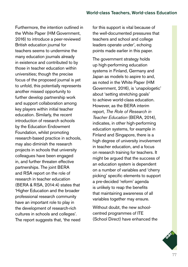Furthermore, the intention outlined in the White Paper (HM Government, 2016) to introduce a peer-reviewed British education journal for teachers seems to undermine the many education journals already in existence and contributed to by those in teacher education within universities; though the precise focus of the proposed journal is yet to unfold, this potentially represents another missed opportunity to further develop partnership work and support collaboration among key players within initial teacher education. Similarly, the recent introduction of research schools by the Education Endowment Foundation, whilst promoting research-based practice in schools, may also diminish the research projects in schools that university colleagues have been engaged in, and further threaten effective partnerships. The joint BERA and RSA report on the role of research in teacher education (BERA & RSA, 2014:4) states that 'Higher Education and the broader professional research community have an important role to play in the development of research-rich cultures in schools and colleges'. The report suggests that, 'the need

for this support is vital because of the well-documented pressures that teachers and school and college leaders operate under', echoing points made earlier in this paper.

The government strategy holds up high-performing education systems in Finland, Germany and Japan as models to aspire to and, as noted in the White Paper (HM Government, 2016), is 'unapologetic' about 'setting stretching goals' to achieve world-class education. However, as the BERA interim report, *The Role of Research in Teacher Education* (BERA, 2014), indicates, in other high-performing education systems, for example in Finland and Singapore, there is a high degree of university involvement in teacher education, and a focus on research training for teachers. It might be argued that the success of an education system is dependent on a number of variables and 'cherry picking' specific elements to support a pre-decided 'reform' agenda is unlikely to reap the benefits that maintaining awareness of all variables together may ensure.

Without doubt, the new schoolcentred programmes of ITE (School Direct) have enhanced the

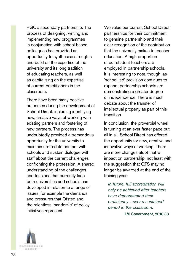PGCE secondary partnership. The process of designing, writing and implementing new programmes in conjunction with school-based colleagues has provided an opportunity to synthesise strengths and build on the expertise of the university and its long tradition of educating teachers, as well as capitalising on the expertise of current practitioners in the classroom.

There have been many positive outcomes during the development of School Direct, including identifying new, creative ways of working with existing partners and fostering of new partners. The process has undoubtedly provided a tremendous opportunity for the university to maintain up-to-date contact with schools and sustain dialogue with staff about the current challenges confronting the profession. A shared understanding of the challenges and tensions that currently face both universities and schools has developed in relation to a range of issues, for example the demands and pressures that Ofsted and the relentless 'pandemic' of policy initiatives represent.

We value our current School Direct partnerships for their commitment to genuine partnership and their clear recognition of the contribution that the university makes to teacher education. A high proportion of our student teachers are employed in partnership schools. It is interesting to note, though, as 'school-led' provision continues to expand, partnership schools are demonstrating a greater degree of independence. There is much debate about the transfer of intellectual property as part of this transition.

In conclusion, the proverbial wheel is turning at an ever-faster pace but all in all, School Direct has offered the opportunity for new, creative and innovative ways of working. There are more changes afoot that will impact on partnership, not least with the suggestion that QTS may no longer be awarded at the end of the training year:

*In future, full accreditation will only be achieved after teachers have demonstrated their proficiency…over a sustained period in the classroom.*

HM Government, 2016:33

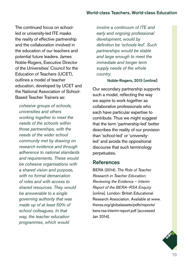The continued focus on schoolled or university-led ITE masks the reality of effective partnership and the collaboration involved in the education of our teachers and potential future leaders. James Noble-Rogers, Executive Director of the Universities' Council for the Education of Teachers (UCET), outlines a model of teacher education, developed by UCET and the National Association of School-Based Teacher Trainers as:

*cohesive groups of schools, universities and others working together to meet the needs of the schools within those partnerships, with the needs of the wider school community met by drawing on research evidence and through adherence to national standards and requirements. These would be cohesive organisations with a shared vision and purpose, with no formal demarcation of roles and with access to shared resources. They would be answerable to a single governing authority that was made up of at least 50% of school colleagues. In that way, the teacher education programmes, which would* 

*involve a continuum of ITE and early and ongoing professional development, would by definition be 'schools-led'. Such partnerships would be stable and large enough to meet the immediate and longer term supply needs of the whole country.*

#### Noble-Rogers, 2015 [online]

Our secondary partnership supports such a model, reflecting the way we aspire to work together as collaborative professionals who each have particular expertise to contribute. Thus we might suggest that the term 'partnership-led' better describes the reality of our provision than 'school-led' or 'universityled' and avoids the oppositional discourse that such terminology perpetuates.

### **References**

BERA (2014). *The Role of Teacher Research in Teacher Education: Reviewing the Evidence – Interim Report of the BERA–RSA Enquiry* [online]. London: British Educational Research Association. Available at [www.](http://www.thersa.org/globalassets/pdfs/reports/bera-rsa-interim-report.pdf) [thersa.org/globalassets/pdfs/reports/](http://www.thersa.org/globalassets/pdfs/reports/bera-rsa-interim-report.pdf) [bera-rsa-interim-report.pdf](http://www.thersa.org/globalassets/pdfs/reports/bera-rsa-interim-report.pdf) [accessed Jan 2014].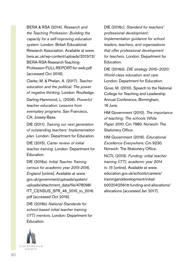BERA & RSA (2014). *Research and the Teaching Profession: Building the capacity for a self-improving education system.* London: British Educational Research Association. Available at [www.](http://www.bera.ac.uk/wp-content/uploads/2013/12/BERA-RSA-Research-Teaching-Profession-FULL-REPORT-for-web.pdf) [bera.ac.uk/wp-content/uploads/2013/12/](http://www.bera.ac.uk/wp-content/uploads/2013/12/BERA-RSA-Research-Teaching-Profession-FULL-REPORT-for-web.pdf) [BERA-RSA-Research-Teaching-](http://www.bera.ac.uk/wp-content/uploads/2013/12/BERA-RSA-Research-Teaching-Profession-FULL-REPORT-for-web.pdf)[Profession-FULL-REPORT-for-web.pdf](http://www.bera.ac.uk/wp-content/uploads/2013/12/BERA-RSA-Research-Teaching-Profession-FULL-REPORT-for-web.pdf) [accessed Oct 2016].

Clarke, M. & Phelan, A. (2017). *Teacher education and the political: The power of negative thinking.* London: Routledge.

Darling-Hammond, L. (2006). *Powerful teacher education: Lessons from exemplary programs.* San Francisco, CA: Jossey-Bass.

DfE (2011). *Training our next generation of outstanding teachers: Implementation plan.* London: Department for Education.

DfE (2015). *Carter review of initial teacher training.* London: Department for Education.

DfE (2016a). *Initial Teacher Training census for academic year 2015-2016, England* [online]. Available at [www.](http://www.gov.uk/government/uploads/system/uploads/attachment_data/file/478098/ITT_CENSUS_SFR_46_2015_to_2016.pdf) [gov.uk/government/uploads/system/](http://www.gov.uk/government/uploads/system/uploads/attachment_data/file/478098/ITT_CENSUS_SFR_46_2015_to_2016.pdf) [uploads/attachment\\_data/file/478098/](http://www.gov.uk/government/uploads/system/uploads/attachment_data/file/478098/ITT_CENSUS_SFR_46_2015_to_2016.pdf) [ITT\\_CENSUS\\_SFR\\_46\\_2015\\_to\\_2016.](http://www.gov.uk/government/uploads/system/uploads/attachment_data/file/478098/ITT_CENSUS_SFR_46_2015_to_2016.pdf) [pdf](http://www.gov.uk/government/uploads/system/uploads/attachment_data/file/478098/ITT_CENSUS_SFR_46_2015_to_2016.pdf) [accessed Oct 2016].

DfE (2016b) *National Standards for school-based initial teacher training (ITT) mentors.* London: Department for Education.

DfE (2016c). *Standard for teachers' professional development: Implementation guidance for school leaders, teachers, and organisations that offer professional development for teachers.* London: Department for Education.

DfE (2016d). *DfE strategy 2015–2020: World-class education and care.* London: Department for Education.

Gove, M. (2010). Speech to the National College for Teaching and Leadership Annual Conference, Birmingham, 16 June.

HM Government (2010). *The importance of teaching: The schools White Paper 2010.* Cm 7980. Norwich: The Stationery Office.

HM Government (2016). *Educational Excellence Everywhere.* Cm 9230. Norwich: The Stationery Office.

NCTL (2013). *Funding: initial teacher training (ITT), academic year 2014 to 15* [online]. Available at [www.](http://www.education.gov.uk/schools/careers/traininganddevelopment/initial/b00204256/itt-funding-and-allocations/allocations) [education.gov.uk/schools/careers/](http://www.education.gov.uk/schools/careers/traininganddevelopment/initial/b00204256/itt-funding-and-allocations/allocations) [traininganddevelopment/initial/](http://www.education.gov.uk/schools/careers/traininganddevelopment/initial/b00204256/itt-funding-and-allocations/allocations) [b00204256/itt-funding-and-allocations/](http://www.education.gov.uk/schools/careers/traininganddevelopment/initial/b00204256/itt-funding-and-allocations/allocations) [allocations](http://www.education.gov.uk/schools/careers/traininganddevelopment/initial/b00204256/itt-funding-and-allocations/allocations) [accessed Jan 2017].

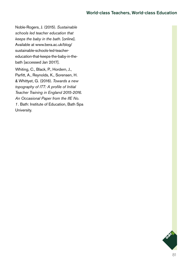Noble-Rogers, J. (2015). *Sustainable schools led teacher education that keeps the baby in the bath.* [online]. Available at [www.bera.ac.uk/blog/](http://www.bera.ac.uk/blog/sustainable-schools-led-teacher-education-that-keeps-the-baby-in-the-bath) [sustainable-schools-led-teacher](http://www.bera.ac.uk/blog/sustainable-schools-led-teacher-education-that-keeps-the-baby-in-the-bath)[education-that-keeps-the-baby-in-the](http://www.bera.ac.uk/blog/sustainable-schools-led-teacher-education-that-keeps-the-baby-in-the-bath)[bath](http://www.bera.ac.uk/blog/sustainable-schools-led-teacher-education-that-keeps-the-baby-in-the-bath) [accessed Jan 2017]. Whiting, C., Black, P., Hordern, J., Parfitt, A., Reynolds, K., Sorensen, H.

& Whittyet, G. (2016). *Towards a new topography of ITT: A profile of Initial Teacher Training in England 2015-2016. An Occasional Paper from the IfE No. 1.* Bath: Institute of Education, Bath Spa University.

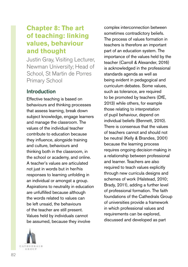# **Chapter 8: The art of teaching: linking values, behaviour and thought**

Justin Gray, Visiting Lecturer, Newman University; Head of School, St Martin de Porres Primary School

# Introduction

Effective teaching is based on behaviours and thinking processes that assess learning, break down subject knowledge, engage learners and manage the classroom. The values of the individual teacher contribute to education because they influence, alongside training and culture, behaviours and thinking both in the classroom, in the school or academy, and online. A teacher's values are articulated not just in words but in her/his responses to learning unfolding in an individual or amongst a group. Aspirations to neutrality in education are unfulfilled because although the words related to values can be left unsaid, the behaviours of the teacher are still present. Values held by individuals cannot be assumed, because they involve



complex interconnection between sometimes contradictory beliefs. The process of values formation in teachers is therefore an important part of an education system. The importance of the values held by the teacher (Carroll & Alexander, 2016) is acknowledged in the professional standards agenda as well as being evident in pedagogical and curriculum debates. Some values, such as tolerance, are required to be promoted by teachers (DfE, 2013) while others, for example those relating to interpretation of pupil behaviour, depend on individual beliefs (Bennett, 2010). There is consensus that the values of teachers cannot and should not be neutral (Kelly & Brandes, 2001) because the learning process requires ongoing decision-making in a relationship between professional and learner. Teachers are also required to teach values explicitly through new curricula designs and schemes of work (Halstead, 2010; Brady, 2011), adding a further level of professional formation. The faith foundations of the Cathedrals Group of universities provide a framework in which professional values and requirements can be explored, discussed and developed as part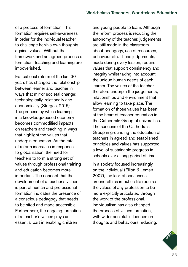of a process of formation. This formation requires self-awareness in order for the individual teacher to challenge her/his own thoughts against values. Without the framework and an agreed process of formation, teaching and learning are impoverished.

Educational reform of the last 30 years has changed the relationship between learner and teacher in ways that mirror societal change: technologically, relationally and economically (Sturges, 2015). The process by which learning in a knowledge-based economy becomes commodified impacts on teachers and teaching in ways that highlight the values that underpin education. As the rate of reform increases in response to globalisation, the need for teachers to form a strong set of values through professional training and education becomes more important. The concept that the development of a teacher's values is part of human and professional formation indicates the presence of a conscious pedagogy that needs to be sited and made accessible. Furthermore, the ongoing formation of a teacher's values plays an essential part in enabling children

and young people to learn. Although the reform process is reducing the autonomy of the teacher, judgements are still made in the classroom about pedagogy, use of resources, behaviour etc. These judgements, made during every lesson, require values that support consistency and integrity whilst taking into account the unique human needs of each learner. The values of the teacher therefore underpin the judgements, relationships and environment that allow learning to take place. The formation of those values has been at the heart of teacher education in the Cathedrals Group of universities. The success of the Cathedrals Group in grounding the education of teachers in agreed and established principles and values has supported a level of sustainable progress in schools over a long period of time.

In a society focused increasingly on the individual (Elliott & Lemert, 2007), the lack of consensus around ethics in public life requires the values of any profession to be more explicitly articulated through the work of the professional. Individualism has also changed the process of values formation, with wider societal influences on thoughts and behaviours reducing.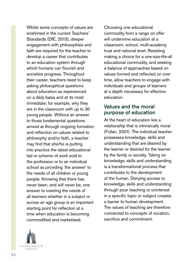Whilst some concepts of values are enshrined in the current Teachers' Standards (DfE, 2013), deeper engagement with philosophies and faith are required for the teacher to develop a career that contributes to an education system through which humans can flourish and societies progress. Throughout their career, teachers need to keep asking philosophical questions about education as experienced on a daily basis and at its most immediate; for example, why they are in the classroom with up to 30 young people. Without an answer to those fundamental questions arrived at through ongoing formation and reflection on values related to philosophy and/or faith, a teacher may find that she/he is putting into practice the latest educational fad or scheme of work sold to the profession or to an individual school as providing 'the answer' to the needs of all children or young people. Knowing that there has never been, and will never be, one answer to meeting the needs of all learners whether in a subject or across an age group is an important starting point for reflection at a time when education is becoming commodified and marketised.

Choosing one educational commodity from a range on offer will undermine education at a classroom, school, multi-academy trust and national level. Resisting making a choice for a one-size-fits-all educational commodity, and seeking a balance of approaches based on values formed and reflected on over time, allow teachers to engage with individuals and groups of learners at a depth necessary for effective education.

### Values and the moral purpose of education

At the heart of education lies a relationship that is intrinsically moral (Fullan, 2001). The individual teacher possesses knowledge, skills and understanding that are desired by the learner or desired for the learner by the family or society. Taking on knowledge, skills and understanding is a transformational process that contributes to the development of the human. Denying access to knowledge, skills and understanding through poor teaching or uninterest in a specific topic or subject creates a barrier to human development. The values of teaching are therefore connected to concepts of vocation, sacrifice and commitment.

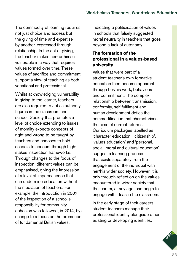The commodity of learning requires not just choice and access but the giving of time and expertise by another, expressed through relationship. In the act of giving. the teacher makes her- or himself vulnerable in a way that requires values formed over time. These values of sacrifice and commitment support a view of teaching as both vocational and professional.

Whilst acknowledging vulnerability in giving to the learner, teachers are also required to act as authority figures in the classroom and school. Society that promotes a level of choice extending to issues of morality expects concepts of right and wrong to be taught by teachers and chooses to hold schools to account through highstakes inspection frameworks. Through changes to the focus of inspection, different values can be emphasised, giving the impression of a level of impermanence that can undermine education without the mediation of teachers. For example, the introduction in 2007 of the inspection of a school's responsibility for community cohesion was followed, in 2014, by a change to a focus on the promotion of fundamental British values,

indicating a politicisation of values in schools that falsely suggested moral neutrality in teachers that goes beyond a lack of autonomy.

### **The formation of the professional in a values-based university**

Values that were part of a student teacher's own formative education then become apparent through her/his work, behaviours and commitment. The complex relationship between transmission, conformity, self-fulfilment and human development defies the commodification that characterises the aims of current reforms. Curriculum packages labelled as 'character education', 'citizenship', 'values education' and 'personal, social, moral and cultural education' suggest a learning process that exists separately from the engagement of the individual with her/his wider society. However, it is only through reflection on the values encountered in wider society that the learner, at any age, can begin to engage with ideas in the classroom.

In the early stage of their careers, student teachers manage their professional identity alongside other existing or developing identities.

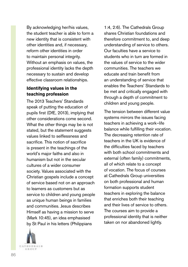By acknowledging her/his values, the student teacher is able to form a new identity that is consistent with other identities and, if necessary, reform other identities in order to maintain personal integrity. Without an emphasis on values, the professional identity lacks the depth necessary to sustain and develop effective classroom relationships.

### **Identifying values in the teaching profession**

The 2013 Teachers' Standards speak of putting the education of pupils first (DfE, 2013), implying that other considerations come second. What the other things may be is not stated, but the statement suggests values linked to selflessness and sacrifice. This notion of sacrifice is present in the teachings of the world's major faiths and also in humanism but not in the secular cultures of a wider consumer society. Values associated with the Christian gospels include a concept of service based not on an approach to learners as customers but as service to children and young people as unique human beings in families and communities. Jesus describes Himself as having a mission to serve (Mark 10:45), an idea emphasised by St Paul in his letters (Philippians



1:4, 2:6). The Cathedrals Group shares Christian foundations and therefore commitment to, and deep understanding of service to others. Our faculties have a service to students who in turn are formed in the values of service to the wider communities. The teachers we educate and train benefit from an understanding of service that enables the Teachers' Standards to be met and critically engaged with through a depth of commitment to children and young people.

The tension between different value systems mirrors the issues facing teachers in achieving a work–life balance while fulfilling their vocation. The decreasing retention rate of teachers in the UK is evidence of the difficulties faced by teachers with both school commitments and external (often family) commitments, all of which relate to a concept of vocation. The focus of courses at Cathedrals Group universities on both professional and human formation supports student teachers in exploring the balance that enriches both their teaching and their lives of service to others. The courses aim to provide a professional identity that is neither taken on nor abandoned lightly.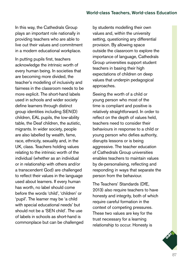In this way, the Cathedrals Group plays an important role nationally in providing teachers who are able to live out their values and commitment in a modern educational workplace.

In putting pupils first, teachers acknowledge the intrinsic worth of every human being. In societies that are becoming more divided, the teacher's modelling of inclusivity and fairness in the classroom needs to be more explicit. The short-hand labels used in schools and wider society define learners through distinct group identities including SEN(D) children, EAL pupils, the low-ability table, the Deaf children, the autistic, migrants. In wider society, people are also labelled by wealth, fame, race, ethnicity, sexuality and, in the UK, class. Teachers holding values relating to the intrinsic worth of the individual (whether as an individual or in relationship with others and/or a transcendent God) are challenged to reflect their values in the language used about learners. If every human has worth, no label should come before the words 'child', 'children' or 'pupil'. The learner may be 'a child with special educational needs' but should not be a 'SEN child'. The use of labels in schools as short-hand is commonplace but can be challenged

by students modelling their own values and, within the university setting, questioning any differential provision. By allowing space outside the classroom to explore the importance of language, Cathedrals Group universities support student teachers in basing their high expectations of children on deep values that underpin pedagogical approaches.

Seeing the worth of a child or young person who most of the time is compliant and positive is relatively straightforward. In order to reflect on the depth of values held, teachers need to consider their behaviours in response to a child or young person who defies authority, disrupts lessons or is being aggressive. The teacher education of Cathedrals Group universities enables teachers to maintain values by de-personalising, reflecting and responding in ways that separate the person from the behaviour.

The Teachers' Standards (DfE, 2013) also require teachers to have honesty and integrity, both of which require careful formation in the context of competing pressures. These two values are key for the trust necessary for a learning relationship to occur. Honesty is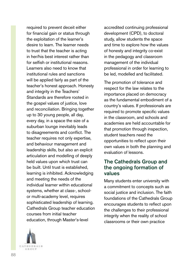required to prevent deceit either for financial gain or status through the exploitation of the learner's desire to learn. The learner needs to trust that the teacher is acting in her/his best interest rather than for selfish or institutional reasons. Learners also need to know that institutional rules and sanctions will be applied fairly as part of the teacher's honest approach. Honesty and integrity in the Teachers' Standards are therefore rooted in the gospel values of justice, love and reconciliation. Bringing together up to 30 young people, all day, every day, in a space the size of a suburban lounge inevitably leads to disagreements and conflict. The teacher requires not only expertise, and behaviour management and leadership skills, but also an explicit articulation and modelling of deeply held values upon which trust can be built. Until trust is established, learning is inhibited. Acknowledging and meeting the needs of the individual learner within educational systems, whether at class-, schoolor multi-academy level, requires sophisticated leadership of learning. Cathedrals Group teacher education courses from initial teacher education, through Master's-level

accredited continuing professional development (CPD), to doctoral study, allow students the space and time to explore how the values of honesty and integrity co-exist in the pedagogy and classroom management of the individual professional in order for learning to be led, modelled and facilitated.

The promotion of tolerance and respect for the law relates to the importance placed on democracy as the fundamental embodiment of a country's values. If professionals are required to promote specific values in the classroom, and schools and academies are held accountable for that promotion through inspection, student teachers need the opportunities to reflect upon their own values in both the planning and evaluation of lessons.

## The Cathedrals Group and the ongoing formation of values

Many students enter university with a commitment to concepts such as social justice and inclusion. The faith foundations of the Cathedrals Group encourages students to reflect upon the challenges to their professional integrity when the reality of school classrooms or their own practice

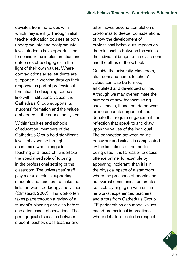deviates from the values with which they identify. Through initial teacher education courses at both undergraduate and postgraduate level, students have opportunities to consider the implementation and outcomes of pedagogies in the light of their own values. Where contradictions arise, students are supported in working through their response as part of professional formation. In designing courses in line with institutional values, the Cathedrals Group supports its students' formation and the values embedded in the education system.

Within faculties and schools of education, members of the Cathedrals Group hold significant levels of expertise through academics who, alongside teaching and research, undertake the specialised role of tutoring in the professional setting of the classroom. The universities' staff play a crucial role in supporting students and teachers to make the links between pedagogy and values (Olmstead, 2007). This work often takes place through a review of a student's planning and also before and after lesson observations. The pedagogical discussion between student teacher, class teacher and

tutor moves beyond completion of pro-formas to deeper considerations of how the development of professional behaviours impacts on the relationship between the values the individual brings to the classroom and the ethos of the school.

Outside the university, classroom, staffroom and home, teachers' values can also be formed, articulated and developed online. Although we may overestimate the numbers of new teachers using social media, those that do network online encounter argument and debate that require engagement and reflection that speak to and draw upon the values of the individual. The connection between online behaviour and values is complicated by the limitations of the media being used. It is far easier to cause offence online, for example by appearing intolerant, than it is in the physical space of a staffroom where the presence of people and non-verbal communication creates context. By engaging with online networks, experienced teachers and tutors from Cathedrals Group ITE partnerships can model valuesbased professional interactions where debate is rooted in respect.

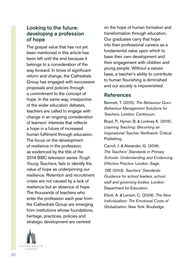# Looking to the future: developing a profession of hope

The gospel value that has not yet been mentioned in this article has been left until the end because it belongs to a consideration of the way forward. In times of significant reform and change, the Cathedrals Group has engaged with successive proposals and policies through a commitment to the concept of hope. In the same way, irrespective of the wider education debates, teachers are called to engage with change in an ongoing consideration of learners' interests that reflects a hope in a future of increased human fulfilment through education. The focus on the development of resilience in the profession, as evidenced by the title of the 2014 BBC television series *Tough Young Teachers*, fails to identify the value of hope as underpinning our resilience. Retention and recruitment crises are not caused by a lack of resilience but an absence of hope. The thousands of teachers who enter the profession each year from the Cathedrals Group are emerging from institutions whose foundations, heritage, practices, policies and strategic development are centred

**CATHEDNALS** 石法の日井

on the hope of human formation and transformation through education. Our graduates carry that hope into their professional careers as a fundamental value upon which to base their own development and their engagement with children and young people. Without a valuesbase, a teacher's ability to contribute to human flourishing is diminished and our society is impoverished.

### References

Bennett, T. (2010). *The Behaviour Guru: Behaviour Management Solutions for Teachers.* London: Continuum.

Boyd, P., Hymer, B. & Lockney K. (2015). *Learning Teaching: Becoming an Inspirational Teacher.* Northwich: Critical Publishing.

Carroll, J. & Alexander, G. (2016). *The Teachers' Standards in Primary Schools: Understanding and Evidencing Effective Practice.* London: Sage.

 DfE (2013). *Teachers' Standards: Guidance for school leaders, school staff and governing bodies.* London: Department for Education.

Elliott, A. & Lemert, C. (2009). *The New Individualism: The Emotional Costs of Globalization.* New York: Routledge.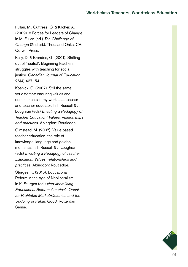Fullan, M., Cuttress, C. & Kilcher, A. (2009). 8 Forces for Leaders of Change. In M. Fullan (ed.) *The Challenge of Change* (2nd ed.). Thousand Oaks, CA: Corwin Press.

Kelly, D. & Brandes, G. (2001). Shifting out of 'neutral': Beginning teachers' struggles with teaching for social justice. *Canadian Journal of Education*  26(4):437–54.

Kosnick, C. (2007). Still the same yet different: enduring values and commitments in my work as a teacher and teacher educator. In T. Russell & J. Loughran (eds) *Enacting a Pedagogy of Teacher Education: Values, relationships and practices.* Abingdon: Routledge.

Olmstead, M. (2007). Value-based teacher education: the role of knowledge, language and golden moments. In T. Russell & J. Loughran (eds) *Enacting a Pedagogy of Teacher Education: Values, relationships and practices.* Abingdon: Routledge.

Sturges, K. (2015). Educational Reform in the Age of Neoliberalism. In K. Sturges (ed.) *Neo-liberalising Educational Reform: America's Quest for Profitable Market-Colonies and the Undoing of Public Good.* Rotterdam: Sense.

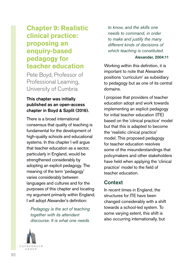# **Chapter 9: Realistic clinical practice: proposing an enquiry-based pedagogy for teacher education**

Pete Boyd, Professor of Professional Learning, University of Cumbria

### This chapter was initially published as an open-access chapter in Boyd & Szplit (2016).

There is a broad international consensus that quality of teaching is fundamental for the development of high-quality schools and educational systems. In this chapter I will argue that teacher education as a sector, particularly in England, would be strengthened considerably by adopting an explicit pedagogy. The meaning of the term 'pedagogy' varies considerably between languages and cultures and for the purposes of this chapter and locating my argument primarily within England, I will adopt Alexander's definition:

*Pedagogy is the act of teaching together with its attendant discourse. It is what one needs* 

*to know, and the skills one needs to command, in order to make and justify the many different kinds of decisions of which teaching is constituted.*

#### Alexander, 2004:11

Working within this definition, it is important to note that Alexander positions 'curriculum' as subsidiary to pedagogy but as one of its central domains.

I propose that providers of teacher education adopt and work towards implementing an explicit pedagogy for initial teacher education (ITE) based on the 'clinical practice' model but that this is adapted to become the 'realistic clinical practice' model. This proposed pedagogy for teacher education resolves some of the misunderstandings that policymakers and other stakeholders have held when applying the 'clinical practice' model to the field of teacher education.

# Context

In recent times in England, the structures for ITE have been changed considerably with a shift towards a school-led system. To some varying extent, this shift is also occurring internationally, but

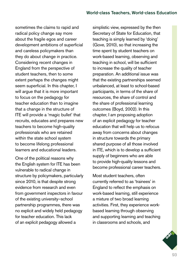sometimes the claims to rapid and radical policy change say more about the fragile egos and career development ambitions of superficial and careless policymakers than they do about change in practice. Considering recent changes in England from the perspective of student teachers, then to some extent perhaps the changes might seem superficial. In this chapter, I will argue that it is more important to focus on the pedagogy for teacher education than to imagine that a change in the structure of ITE will provide a 'magic bullet' that recruits, educates and prepares new teachers to become high-quality professionals who are retained within the state school system to become lifelong professional learners and educational leaders.

One of the political reasons why the English system for ITE has been vulnerable to radical change in structure by policymakers, particularly since 2010, is that despite strong evidence from research and even from government inspectors in favour of the existing university–school partnership programmes, there was no explicit and widely held pedagogy for teacher education. This lack of an explicit pedagogy allowed a

simplistic view, expressed by the then Secretary of State for Education, that teaching is simply learned by 'doing' (Gove, 2010), so that increasing the time spent by student teachers on work-based learning, observing and teaching in school, will be sufficient to increase the quality of teacher preparation. An additional issue was that the existing partnerships seemed unbalanced, at least to school-based participants, in terms of the share of resources, the share of control and the share of professional learning outcomes (Boyd, 2002). In this chapter, I am proposing adoption of an explicit pedagogy for teacher education that will help us to refocus away from concerns about changes in structure towards the primary shared purpose of all those involved in ITE, which is to develop a sufficient supply of beginners who are able to provide high-quality lessons and become professional career teachers.

Most student teachers, often currently referred to as 'trainees' in England to reflect the emphasis on work-based learning, still experience a mixture of two broad learning activities. First, they experience workbased learning through observing and supporting learning and teaching in classrooms and schools, and

93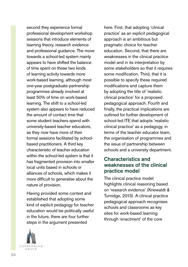second they experience formal professional development workshop sessions that introduce elements of learning theory, research evidence and professional guidance. The move towards a school-led system mainly appears to have shifted the balance of time spent on these two kinds of learning activity towards more work-based learning, although most one-year postgraduate partnership programmes already involved at least 50% of time on work-based learning. The shift to a school-led system also appears to have reduced the amount of contact time that some student teachers spend with university-based teacher educators, as they now have more of their formal sessions facilitated by schoolbased practitioners. A third key characteristic of teacher education within the school-led system is that it has fragmented provision into smaller local units based in schools or alliances of schools, which makes it more difficult to generalise about the nature of provision.

Having provided some context and established that adopting some kind of explicit pedagogy for teacher education would be politically useful in the future, there are four further steps in the argument presented



here. First, that adopting 'clinical practice' as an explicit pedagogical approach is an ambitious but pragmatic choice for teacher education. Second, that there are weaknesses in the clinical practice model and in its interpretation by some stakeholders so that it requires some modification. Third, that it is possible to specify these required modifications and capture them by adopting the title of 'realistic clinical practice' for a proposed pedagogical approach. Fourth and finally, the practical implications are outlined for further development of school-led ITE that adopts 'realistic clinical practice' as a pedagogy, in terms of the teacher educator team, the organisation of programmes and the issue of partnership between schools and a university department.

### Characteristics and weaknesses of the clinical practice model

The clinical practice model highlights clinical reasoning based on 'research evidence' (Kriewaldt & Turnidge, 2013). A clinical practice pedagogical approach recognises schools and classrooms as key sites for work-based learning through 'enactment' of the core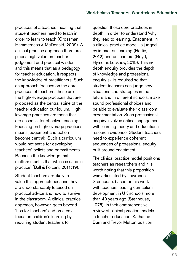practices of a teacher, meaning that student teachers need to teach in order to learn to teach (Grossman, Hammerness & McDonald, 2009). A clinical practice approach therefore places high value on teacher judgement and practical wisdom and this means that as a pedagogy for teacher education, it respects the knowledge of practitioners. Such an approach focuses on the core practices of teachers; these are the high-leverage practices that are proposed as the central spine of the teacher education curriculum. Highleverage practices are those that are essential for effective teaching. Focusing on high-leverage practices means judgement and action become central: 'Such a curriculum would not settle for developing teachers' beliefs and commitments. Because the knowledge that matters most is that which is used in practice' (Ball & Forzani, 2011:19).

Student teachers are likely to value this approach because they are understandably focused on practical advice and how to survive in the classroom. A clinical practice approach, however, goes beyond 'tips for teachers' and creates a focus on children's learning by requiring student teachers to

question these core practices in depth, in order to understand 'why' they lead to learning. Enactment, in a clinical practice model, is judged by impact on learning (Hattie, 2012) and on learners (Boyd, Hymer & Lockney, 2015). This indepth enquiry provides the depth of knowledge and professional enquiry skills required so that student teachers can judge new situations and strategies in the future and in different schools, make sound professional choices and be able to evaluate their classroom experimentation. Such professional enquiry involves critical engagement with learning theory and educational research evidence. Student teachers need to experience coherent sequences of professional enquiry built around enactment.

The clinical practice model positions teachers as researchers and it is worth noting that this proposition was articulated by Lawrence Stenhouse, based on his work with teachers leading curriculum development in UK schools more than 40 years ago (Stenhouse, 1975). In their comprehensive review of clinical practice models in teacher education, Katharine Burn and Trevor Mutton position

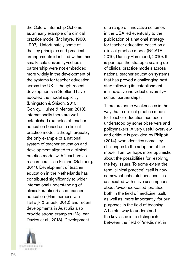the Oxford Internship Scheme as an early example of a clinical practice model (McIntyre, 1980, 1997). Unfortunately some of the key principles and practical arrangements identified within this small-scale university–schools partnership were not embedded more widely in the development of the systems for teacher education across the UK, although recent developments in Scotland have adopted the model explicitly (Livingston & Shiach, 2010; Conroy, Hulme & Menter, 2013). Internationally there are wellestablished examples of teacher education based on a clinical practice model, although arguably the only example of a national system of teacher education and development aligned to a clinical practice model with 'teachers as researchers' is in Finland (Sahlberg, 2011). Development of teacher education in the Netherlands has contributed significantly to wider international understanding of clinical-practice-based teacher education (Hammerness van Tartwijk & Snoek, 2012) and recent developments in Australia also provide strong examples (McLean Davies et al., 2013). Development



of a range of innovative schemes in the USA led eventually to the publication of a national strategy for teacher education based on a clinical practice model (NCATE, 2010; Darling-Hammond, 2010). It is perhaps the strategic scaling up of clinical practice models across national teacher education systems that has proved a challenging next step following its establishment in innovative individual university– school partnerships.

There are some weaknesses in the way that a clinical practice model for teacher education has been understood by some observers and policymakers. A very useful overview and critique is provided by Philpott (2014), who identifies some key challenges to the adoption of the model. I am perhaps more optimistic about the possibilities for resolving the key issues. To some extent the term 'clinical practice' itself is now somewhat unhelpful because it is associated with naive assumptions about 'evidence-based' practice both in the field of medicine itself, as well as, more importantly, for our purposes in the field of teaching. A helpful way to understand the key issue is to distinguish between the field of 'medicine', in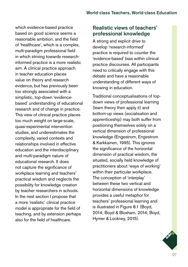which evidence-based practice based on good science seems a reasonable ambition, and the field of 'healthcare', which is a complex, multi-paradigm professional field in which striving towards researchinformed practice is a more realistic aim. A clinical practice approach in teacher education places value on theory and research evidence, but has previously been too strongly associated with a simplistic, top-down 'evidencebased' understanding of educational research and of change in practice. This view of clinical practice places too much weight on large-scale, quasi-experimental intervention studies, and underestimates the complexity, varied contexts and relationships involved in effective education and the interdisciplinary and multi-paradigm nature of educational research. It does not capture the significance of workplace learning and teachers' practical wisdom and neglects the possibility for knowledge creation by teacher researchers in schools. In the next section I propose that a more 'realistic' clinical practice model is appropriate for the field of teaching, and by extension perhaps also for the field of healthcare.

# Realistic views of teachers' professional knowledge

A strong and explicit drive to develop 'research-informed' practice is required to counter the 'evidence-based' bias within clinical practice discourses. All participants need to critically engage with this debate and have a reasonable understanding of different ways of knowing in education.

Traditional conceptualisations of topdown views of professional learning (learn theory then apply it) and bottom-up views (socialisation and apprenticeship) may both suffer from positioning themselves solely on a vertical dimension of professional knowledge (Engestrom, Engestrom & Karkkainen, 1995). This ignores the significance of the horizontal dimension of practical wisdom, the situated, socially held knowledge of practitioners about 'ways of working' within their particular workplace. The conception of 'interplay' between these two vertical and horizontal dimensions of knowledge provides a useful metaphor for teachers' professional learning and is illustrated in Figure 8.1 (Boyd, 2014; Boyd & Bloxham, 2014; Boyd, Hymer & Lockney, 2015).

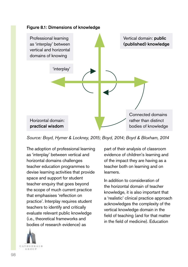

*Source: Boyd, Hymer & Lockney, 2015; Boyd, 2014; Boyd & Bloxham, 2014*

The adoption of professional learning as 'interplay' between vertical and horizontal domains challenges teacher education programmes to devise learning activities that provide space and support for student teacher enquiry that goes beyond the scope of much current practice that emphasises 'reflection on practice'. Interplay requires student teachers to identify and critically evaluate relevant public knowledge (i.e., theoretical frameworks and bodies of research evidence) as



part of their analysis of classroom evidence of children's learning and of the impact they are having as a teacher both on learning and on learners.

In addition to consideration of the horizontal domain of teacher knowledge, it is also important that a 'realistic' clinical practice approach acknowledges the complexity of the vertical knowledge domain in the field of teaching (and for that matter in the field of medicine). Education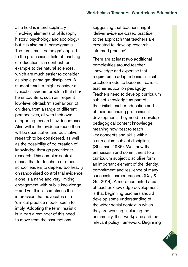as a field is interdisciplinary (involving elements of philosophy, history, psychology and sociology) but it is also multi-paradigmatic. The term 'multi-paradigm' applied to the professional field of teaching or education is in contrast for example to the natural sciences, which are much easier to consider as single-paradigm disciplines. A student teacher might consider a typical classroom problem that she/ he encounters, such as frequent low-level off-task 'misbehaviour' of children, from a range of different perspectives, all with their own supporting research 'evidence-base'. Also within the evidence-base there will be quantitative and qualitative research to be considered, as well as the possibility of co-creation of knowledge through practitioner research. This complex context means that for teachers or other school leaders to depend too heavily on randomised control trial evidence alone is a naive and very limiting engagement with public knowledge – and yet this is sometimes the impression that advocates of a 'clinical practice model' seem to imply. Adopting the term 'realistic' is in part a reminder of this need to move from the assumptions

suggesting that teachers might 'deliver evidence-based practice' to the approach that teachers are expected to 'develop researchinformed practice'.

There are at least two additional complexities around teacher knowledge and expertise that require us to adapt a basic clinical practice model to become 'realistic' teacher education pedagogy. Teachers need to develop curriculum subject knowledge as part of their initial teacher education and of their continuing professional development. They need to develop pedagogical content knowledge, meaning how best to teach key concepts and skills within a curriculum subject discipline (Shulman, 1986). We know that enthusiasm and commitment to a curriculum subject discipline form an important element of the identity, commitment and resilience of many successful career teachers (Day & Gu, 2014). A more contested area of teacher knowledge development is that beginning teachers should develop some understanding of the wider social context in which they are working, including the community, their workplace and the relevant policy framework. Beginning

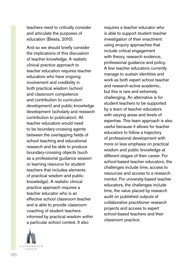teachers need to critically consider and articulate the purposes of education (Biesta, 2010).

And so we should briefly consider the implications of this discussion of teacher knowledge. A realistic clinical practice approach to teacher education requires teacher educators who have ongoing involvement and credibility in both practical wisdom (school and classroom competence and contribution to curriculum development) and public knowledge development (scholarly and research contribution to publication). All teacher educators would need to be boundary-crossing agents between the overlapping fields of school teaching and educational research and be able to produce boundary-crossing objects (such as a professional guidance session or learning resource for student teachers that includes elements of practical wisdom and public knowledge). A realistic clinical practice approach requires a teacher educator who is an effective school classroom teacher and is able to provide classroom coaching of student teachers informed by practical wisdom within a particular school context. It also



requires a teacher educator who is able to support student teacher investigation of their enactment using enquiry approaches that include critical engagement with theory, research evidence, professional guidance and policy. A few teacher educators currently manage to sustain identities and work as both expert school teacher and research-active academic, but this is rare and extremely challenging. An alternative is for student teachers to be supported by a *team* of teacher educators with varying areas and levels of expertise. This team approach is also useful because it allows for teacher educators to follow a trajectory of professional development with more or less emphasis on practical wisdom and public knowledge at different stages of their career. For school-based teacher educators, the challenges include time, access to resources and access to a research mentor. For university-based teacher educators, the challenges include time, the value placed by research audit on published outputs of collaborative practitioner research projects and access to expert school-based teachers and their classroom practice.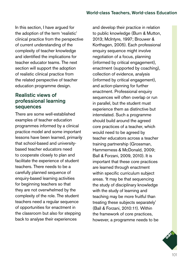In this section, I have argued for the adoption of the term 'realistic' clinical practice from the perspective of current understanding of the complexity of teacher knowledge and identified the implications for teacher educator teams. The next section will support the adoption of realistic clinical practice from the related perspective of teacher education programme design.

# Realistic views of professional learning sequences

There are some well-established examples of teacher education programmes informed by a clinical practice model and some important lessons have been learned, primarily that school-based and universitybased teacher educators need to cooperate closely to plan and facilitate the experience of student teachers. There needs to be a carefully planned sequence of enquiry-based learning activities for beginning teachers so that they are not overwhelmed by the complexity of the role. The student teachers need a regular sequence of opportunities for enactment in the classroom but also for stepping back to analyse their experiences

and develop their practice in relation to public knowledge (Burn & Mutton, 2013; McIntyre, 1997; Brouwer & Korthagen, 2005). Each professional enquiry sequence might involve negotiation of a focus, planning (informed by critical engagement), enactment (supported by coaching), collection of evidence, analysis (informed by critical engagement), and action-planning for further enactment. Professional enquiry sequences will often overlap or run in parallel, but the student must experience them as distinctive but interrelated. Such a programme should build around the agreed core practices of a teacher, which would need to be agreed by teacher educators across a teacher training partnership (Grossman, Hammerness & McDonald, 2009; Ball & Forzani, 2009, 2010). It is important that these core practices are learned through enactment within specific curriculum subject areas. 'It may be that sequencing the study of disciplinary knowledge with the study of learning and teaching may be more fruitful than treating these subjects separately' (Ball & Forzani, 2010:11). Within the framework of core practices, however, a programme needs to be

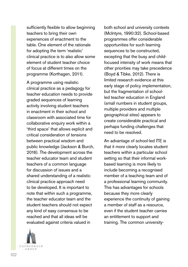sufficiently flexible to allow beginning teachers to bring their own experiences of enactment to the table. One element of the rationale for adopting the term 'realistic' clinical practice is to also allow some element of student teacher choice of focus at different times on the programme (Korthagen, 2011).

A programme using realistic clinical practice as a pedagogy for teacher education needs to provide graded sequences of learning activity involving student teachers in enactment in their school and classroom with associated time for collaborative enquiry work within a 'third space' that allows explicit and critical consideration of tensions between practical wisdom and public knowledge (Jackson & Burch, 2016). The development across the teacher educator team and student teachers of a common language for discussion of issues and a shared understanding of a realistic clinical practice approach need to be developed. It is important to note that within such a programme, the teacher educator team and the student teachers should not expect any kind of easy consensus to be reached and that all ideas will be evaluated against criteria valued in

CATHEDEALS GROUP

both school and university contexts (McIntyre, 1990:32). School-based programmes offer considerable opportunities for such learning sequences to be constructed, excepting that the busy and childfocused intensity of work means that other priorities may take precedence (Boyd & Tibke, 2012). There is limited research evidence at this early stage of policy implementation, but the fragmentation of schoolled teacher education in England (small numbers in student groups, multiple providers and multiple geographical sites) appears to create considerable practical and perhaps funding challenges that need to be resolved.

An advantage of school-led ITE is that it more clearly locates student teachers within a particular school setting so that their informal workbased learning is more likely to include becoming a recognised member of a teaching team and of a professional learning community. This has advantages for schools because they more clearly experience the continuity of gaining a member of staff as a resource, even if the student teacher carries an entitlement to support and training. The common university-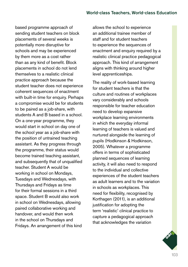based programme approach of sending student teachers on block placements of several weeks is potentially more disruptive for schools and may be experienced by them more as a cost rather than as any kind of benefit. Block placements in school do not lend themselves to a realistic clinical practice approach because the student teacher does not experience coherent sequences of enactment with built-in time for enquiry. Perhaps a compromise would be for students to be paired as a job-share, with students A and B based in a school. On a one-year programme, they would start in school on day one of the school year as a job-share with the position of untrained teaching assistant. As they progress through the programme, their status would become trained teaching assistant, and subsequently that of unqualified teacher. Student A would be working in school on Mondays, Tuesdays and Wednesdays, with Thursdays and Fridays as time for their formal sessions in a third space. Student B would also work in school on Wednesdays, allowing paired collaborative working and handover, and would then work in the school on Thursdays and Fridays. An arrangement of this kind

allows the school to experience an additional trainee member of staff and for student teachers to experience the sequences of enactment and enquiry required by a realistic clinical practice pedagogical approach. This kind of arrangement aligns with thinking around higher level apprenticeships.

The reality of work-based learning for student teachers is that the culture and routines of workplaces vary considerably and schools responsible for teacher education need to develop expansive workplace learning environments in which the everyday informal learning of teachers is valued and nurtured alongside the learning of pupils (Hodkinson & Hodkinson, 2005). Whatever a programme offers in terms of sophisticated planned sequences of learning activity, it will also need to respond to the individual and collective experiences of the student teachers as adult learners and to the variation in schools as workplaces. This need for flexibility, recognised by Korthagen (2011), is an additional justification for adopting the term 'realistic' clinical practice to capture a pedagogical approach that acknowledges the variation

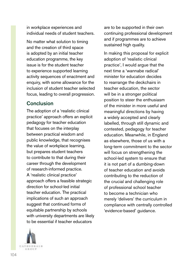in workplace experiences and individual needs of student teachers.

No matter what solution to timing and the creation of third space is adopted by an initial teacher education programme, the key issue is for the student teacher to experience supported learning activity sequences of enactment and enquiry, with some allowance for the inclusion of student teacher selected focus, leading to overall progression.

# **Conclusion**

The adoption of a 'realistic clinical practice' approach offers an explicit pedagogy for teacher education that focuses on the interplay between practical wisdom and public knowledge, that recognises the value of workplace learning, but prepares student teachers to contribute to that during their career through the development of research-informed practice. A 'realistic clinical practice' approach offers a feasible strategic direction for school-led initial teacher education. The practical implications of such an approach suggest that continued forms of equitable partnership by schools with university departments are likely to be essential if teacher educators



are to be supported in their own continuing professional development and if programmes are to achieve sustained high quality.

In making this proposal for explicit adoption of 'realistic clinical practice', I would argue that the next time a 'wannabe radical' minister for education decides to rearrange the deckchairs in teacher education, the sector will be in a stronger political position to steer the enthusiasm of the minister in more useful and meaningful directions by having a widely accepted and clearly labelled, through still dynamic and contested, pedagogy for teacher education. Meanwhile, in England as elsewhere, those of us with a long-term commitment to the sector will focus on strengthening the school-led system to ensure that it is not part of a dumbing-down of teacher education and avoids contributing to the reduction of the crucial and challenging role of professional school teacher to become a technician who merely 'delivers' the curriculum in compliance with centrally controlled 'evidence-based' guidance.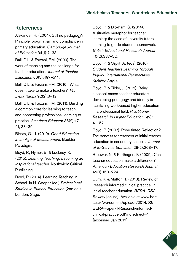## References

Alexander, R. (2004). Still no pedagogy? Principle, pragmatism and compliance in primary education. *Cambridge Journal of Education* 34(1):7–33.

Ball, D.L. & Forzani, F.M. (2009). The work of teaching and the challenge for teacher education. *Journal of Teacher Education* 60(5):497–511.

Ball, D.L. & Forzani, F.M. (2010). What does it take to make a teacher?. *Phi Delta Kappa* 92(2):8–12.

Ball, D.L. & Forzani, F.M. (2011). Building a common core for learning to teach, and connecting professional learning to practice. *American Educator* 35(2):17– 21, 38–39.

Biesta, G.J.J. (2010). *Good Education in an Age of Measurement.* Boulder: Paradigm.

Boyd, P., Hymer, B. & Lockney, K. (2015). *Learning Teaching: becoming an inspirational teacher.* Northwich: Critical Publishing.

Boyd, P. (2014). Learning Teaching in School. In H. Cooper (ed.) *Professional Studies in Primary Education* (2nd ed.). London: Sage.

Boyd, P. & Bloxham, S. (2014). A situative metaphor for teacher learning: the case of university tutors learning to grade student coursework. *British Educational Research Journal*  40(2):337–52.

Boyd, P. & Szplit, A. (eds) (2016). *Student Teachers Learning Through Inquiry: International Perspectives.* Kraków: Attyka.

Boyd, P. & Tibke, J. (2012). Being a school-based teacher educator: developing pedagogy and identity in facilitating work-based higher education in a professional field. *Practitioner Research in Higher Education* 6(2): 41–57.

Boyd, P. (2002). Rose-tinted Reflection? The benefits for teachers of initial teacher education in secondary schools. *Journal of In-Service Education* 28(2):203–17.

Brouwer, N. & Korthagen, F. (2005). Can teacher education make a difference? *American Education Research Journal* 42(1):153–224.

Burn, K. & Mutton, T. (2013). Review of 'research-informed clinical practice' in initial teacher education. *BERA–RSA Review* [online]. Available at [www.bera.](http://www.bera.ac.uk/wp-content/uploads/2014/02/BERA-Paper-4-Research-informed-clinical-practice.pdf?noredirect=1) [ac.uk/wp-content/uploads/2014/02/](http://www.bera.ac.uk/wp-content/uploads/2014/02/BERA-Paper-4-Research-informed-clinical-practice.pdf?noredirect=1) [BERA-Paper-4-Research-informed](http://www.bera.ac.uk/wp-content/uploads/2014/02/BERA-Paper-4-Research-informed-clinical-practice.pdf?noredirect=1)[clinical-practice.pdf?noredirect=1](http://www.bera.ac.uk/wp-content/uploads/2014/02/BERA-Paper-4-Research-informed-clinical-practice.pdf?noredirect=1) [accessed Jan 2017].

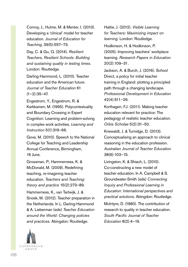Conroy, J., Hulme, M. & Menter, I. (2013). Developing a 'clinical' model for teacher education. *Journal of Education for Teaching*, 39(5):557–73.

Day, C. & Gu, Q. (2014). *Resilient Teachers, Resilient Schools: Building and sustaining quality in testing times.* London: Routledge.

Darling-Hammond, L. (2010). Teacher education and the American future. *Journal of Teacher Education* 61  $(1-2):35-47.$ 

Engestrom, Y., Engestrom, R. & Karkkainen, M. (1995). Polycontextuality and Boundary Crossing in Expert Cognition: Learning and problem-solving in complex work activities. *Learning and Instruction* 5(1):319–66.

Gove, M. (2010). Speech to the National College for Teaching and Leadership Annual Conference, Birmingham, 16 June.

Grossman, P., Hammerness, K. & McDonald, M. (2009). Redefining teaching, re-imagining teacher education. *Teachers and Teaching: theory and practice* 15(2):273–89.

Hammerness, K., van Tartwijk, J. & Snoek, M. (2012). Teacher preparation in the Netherlands. In L. Darling-Hammond & A. Lieberman (eds) *Teacher Education around the World: Changing policies and practices.* Abingdon: Routledge.

Hattie, J. (2012). *Visible Learning for Teachers: Maximizing impact on learning.* London: Routledge.

Hodkinson, H. & Hodkinson, P. (2005). Improving teachers' workplace learning. *Research Papers in Education* 20(2):109–31.

Jackson, A. & Burch, J. (2016). School Direct, a policy for initial teacher training in England: plotting a principled path through a changing landscape. *Professional Development in Education* 42(4):511–26.

Korthagen, F.J. (2011). Making teacher education relevant for practice: The pedagogy of realistic teacher education. *Orbis Scholae* 5(2):31–50.

Kriewaldt, J. & Turnidge, D. (2013). Conceptualising an approach to clinical reasoning in the education profession. *Australian Journal of Teacher Education* 38(6):103–15.

Livingston, K. & Shiach, L. (2010). Co-constructing a new model of teacher education. In A. Campbell & S. Groundwater-Smith (eds) *Connecting Inquiry and Professional Learning in Education: International perspectives and practical solutions.* Abingdon: Routledge.

McIntyre, D. (1980). The contribution of research to quality in teacher education. *South Pacific Journal of Teacher Education* 8(2):4–19.

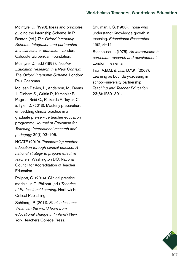McIntyre, D. (1990). Ideas and principles guiding the Internship Scheme. In P. Benton (ed.) *The Oxford Internship Scheme: Integration and partnership in initial teacher education.* London: Calouste Gulbenkian Foundation.

McIntyre, D. (ed.) (1997). *Teacher Education Research in a New Context: The Oxford Internship Scheme.* London: Paul Chapman.

McLean Davies, L., Anderson, M., Deans J., Dinham S., Griffin P., Kameniar B., Page J., Reid C., Rickards F., Tayler, C. & Tyler, D. (2013). Masterly preparation: embedding clinical practice in a graduate pre-service teacher education programme. *Journal of Education for Teaching: International research and pedagogy* 39(1):93–106.

NCATE (2010). *Transforming teacher education through clinical practice: A national strategy to prepare effective teachers.* Washington DC: National Council for Accreditation of Teacher Education.

Philpott, C. (2014). Clinical practice models. In C. Philpott (ed.) *Theories of Professional Learning.* Northwich: Critical Publishing.

Sahlberg, P. (2011). *Finnish lessons: What can the world learn from educational change in Finland?* New York: Teachers College Press.

Shulman, L.S. (1986). Those who understand: Knowledge growth in teaching. *Educational Researcher*  15(2):4–14.

Stenhouse, L. (1975). *An introduction to curriculum research and development.*  London: Heineman.

Tsui, A.B.M. & Law, D.Y.K. (2007). Learning as boundary-crossing in school–university partnership. *Teaching and Teacher Education* 23(8):1289–301.

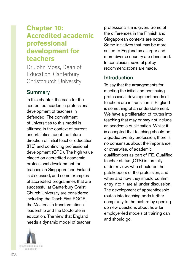# **Chapter 10: Accredited academic professional development for teachers**

Dr John Moss, Dean of Education, Canterbury Christchurch University

# **Summary**

In this chapter, the case for the accredited academic professional development of teachers in defended. The commitment of universities to this model is affirmed in the context of current uncertainties about the future direction of initial teacher education (ITE) and continuing professional development (CPD). The high value placed on accredited academic professional development for teachers in Singapore and Finland is discussed, and some examples of accredited programmes that are successful at Canterbury Christ Church University are considered, including the Teach First PGCE, the Master's in transformational leadership and the Doctorate in education. The view that England needs a dynamic model of teacher

CATHEDNAIS 石法の日井

professionalism is given. Some of the differences in the Finnish and Singaporean contexts are noted. Some initiatives that may be more suited to England as a larger and more diverse country are described. In conclusion, several policy recommendations are made.

# Introduction

To say that the arrangements for meeting the initial and continuing professional development needs of teachers are in transition in England is something of an understatement. We have a proliferation of routes into teaching that may or may not include an academic qualification. Whilst it is accepted that teaching should be a graduate-entry profession, there is no consensus about the importance, or otherwise, of academic qualifications as part of ITE. Qualified teacher status (QTS) is formally under review: who should be the gatekeepers of the profession, and when and how they should confirm entry into it, are all under discussion. The development of apprenticeship routes into teaching adds further complexity to the picture by opening up new questions about how far employer-led models of training can and should go.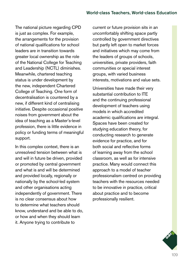The national picture regarding CPD is just as complex. For example, the arrangements for the provision of national qualifications for school leaders are in transition towards greater local ownership as the role of the National College for Teaching and Leadership (NCTL) diminishes. Meanwhile, chartered teaching status is under development by the new, independent Chartered College of Teaching. One form of decentralisation is countered by a new, if different kind of centralising initiative. Despite occasional positive noises from government about the idea of teaching as a Master's-level profession, there is little evidence in policy or funding terms of meaningful support.

In this complex context, there is an unresolved tension between what is and will in future be driven, provided or promoted by central government and what is and will be determined and provided locally, regionally or nationally by the school-led system and other organisations acting independently of government. There is no clear consensus about how to determine what teachers should know, understand and be able to do, or how and when they should learn it. Anyone trying to contribute to

current or future provision sits in an uncomfortably shifting space partly controlled by government directives but partly left open to market forces and initiatives which may come from the leaders of groups of schools, universities, private providers, faith communities or special interest groups, with varied business interests, motivations and value sets.

Universities have made their very substantial contribution to ITE and the continuing professional development of teachers using models in which accredited academic qualifications are integral. Spaces have been created for studying education theory, for conducting research to generate evidence for practice, and for both social and reflective forms of learning away from the school classroom, as well as for intensive practice. Many would connect this approach to a model of teacher professionalism centred on providing teachers with the resources needed to be innovative in practice, critical about practice and to become professionally resilient.

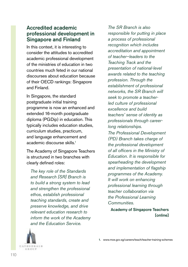## Accredited academic professional development in Singapore and Finland

In this context, it is interesting to consider the attitudes to accredited academic professional development of the ministries of education in two countries much feted in our national discourses about education because of their OECD rankings: Singapore and Finland.

In Singapore, the standard postgraduate initial training programme is now an enhanced and extended 16-month postgraduate diploma (PGDip) in education. This typically includes education studies, curriculum studies, practicum, and language enhancement and academic discourse skills.<sup>1</sup>

The Academy of Singapore Teachers is structured in two branches with clearly defined roles:

*The key role of the Standards and Research [SR] Branch is to build a strong system to lead and strengthen the professional ethos, establish professional teaching standards, create and preserve knowledge, and drive relevant education research to inform the work of the Academy and the Education Service.* 

*The SR Branch is also responsible for putting in place a process of professional recognition which includes accreditation and appointment of teacher–leaders to the Teaching Track and the presentation of national-level awards related to the teaching profession. Through the establishment of professional networks, the SR Branch will seek to promote a teacherled culture of professional excellence and build teachers' sense of identity as professionals through careerlong relationships.*

*The Professional Development (PD) Branch takes charge of the professional development of all officers in the Ministry of Education. It is responsible for spearheading the development and implementation of flagship programmes of the Academy. It will work on enhancing professional learning through teacher collaboration via the Professional Learning Communities.*

Academy of Singapore Teachers [online]

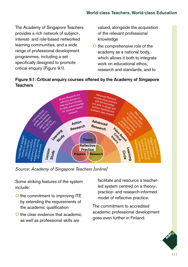The Academy of Singapore Teachers provides a rich network of subject-, interest- and role-based networked learning communities, and a wide range of professional development programmes, including a set specifically designed to promote critical enquiry (Figure 9.1).

valued, alongside the acquisition of the relevant professional knowledge

**O** the comprehensive role of the academy as a national body, which allows it both to integrate work on educational ethos. research and standards, and to



### Figure 9.1: Critical enquiry courses offered by the Academy of Singapore **Teachers**

*Source: Academy of Singapore Teachers [online]*

Some striking features of the system include:

- **O** the commitment to improving ITE by extending the requirements of the academic qualification
- O the clear evidence that academic as well as professional skills are

facilitate and resource a teacherled system centred on a theory-, practice- and research-informed model of reflective practice.

The commitment to accredited academic professional development goes even further in Finland:

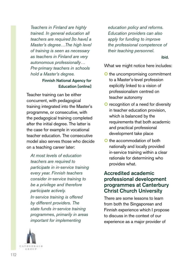*Teachers in Finland are highly trained. In general education all teachers are required [to have] a Master's degree…The high level of training is seen as necessary as teachers in Finland are very autonomous professionally… Pre-primary teachers in schools hold a Master's degree.*

### Finnish National Agency for Education [online]

Teacher training can be either concurrent, with pedagogical training integrated into the Master's programme, or consecutive, with the pedagogical training completed after the initial degree. The latter is the case for example in vocational teacher education. The consecutive model also serves those who decide on a teaching career later:

*At most levels of education teachers are required to participate in in-service training every year. Finnish teachers consider in-service training to be a privilege and therefore participate actively. In-service training is offered by different providers. The state funds in-service training programmes, primarily in areas important for implementing* 



*education policy and reforms. Education providers can also apply for funding to improve the professional competence of their teaching personnel.* 

ibid.

What we might notice here includes:

- **O** the uncompromising commitment to a Master's-level profession explicitly linked to a vision of professionalism centred on teacher autonomy
- **O** recognition of a need for diversity in teacher education provision, which is balanced by the requirements that both academic and practical professional development take place
- **O** the accommodation of both nationally and locally provided in-service training within a clear rationale for determining who provides what.

## Accredited academic professional development programmes at Canterbury Christ Church University

There are some lessons to learn from both the Singaporean and Finnish experience which I propose to discuss in the context of our experience as a major provider of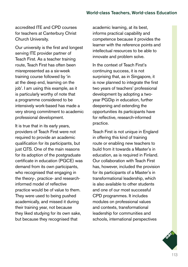accredited ITE and CPD courses for teachers at Canterbury Christ Church University.

Our university is the first and longest serving ITE provider partner of Teach First. As a teacher training route, Teach First has often been misrepresented as a six-week training course followed by 'in at the deep end, learning on the job'. I am using this example, as it is particularly worthy of note that a programme considered to be intensively work-based has made a very strong commitment to academic professional development.

It is true that in its early years, providers of Teach First were not required to provide an academic qualification for its participants, but just QTS. One of the main reasons for its adoption of the postgraduate certificate in education (PGCE) was demand from its own participants, who recognised that engaging in the theory-, practice- and researchinformed model of reflective practice would be of value to them. They were used to being pushed academically, and missed it during their training year, not because they liked studying for its own sake, but because they recognised that

academic learning, at its best, informs practical capability and competence because it provides the learner with the reference points and intellectual resources to be able to innovate and problem solve.

In the context of Teach First's continuing success, it is not surprising that, as in Singapore, it is now planned to integrate the first two years of teachers' professional development by adopting a twoyear PGDip in education, further deepening and extending the opportunities its participants have for reflective, research-informed practice.

Teach First is not unique in England in offering this kind of training route or enabling new teachers to build from it towards a Master's in education, as is required in Finland. Our collaboration with Teach First has, however, included the provision for its participants of a Master's in transformational leadership, which is also available to other students and one of our most successful CPD programmes. It includes modules on professional values and contexts, transformational leadership for communities and schools, international perspectives

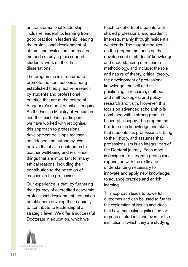on transformational leadership, inclusive leadership, learning from good practice in leadership, leading the professional development of others, and evaluation and research methods (studying this supports students' work on their final dissertations).

The programme is structured to promote the connections among established theory, active research by students and professional practice that are at the centre of Singapore's model of critical enquiry. As the Finnish Ministry of Education and the Teach First participants we have worked with recognise. this approach to professional development develops teacher confidence and autonomy. We believe that it also contributes to teacher well-being and resilience, things that are important for many ethical reasons, including their contribution to the retention of teachers in the profession.

Our experience is that, by furthering their journey of accredited academic professional development, education practitioners develop their capacity to contribute to leadership at a strategic level. We offer a successful Doctorate in education, which we

teach to cohorts of students with shared professional and academic interests, mainly through residential weekends. The taught modules on the programme focus on the development of students' knowledge and understanding of research methodology, and include: the role and nature of theory, critical theory, the development of professional knowledge, the self and selfpositioning in research, methods and methodologies, and policy research and truth. However, this focus on advanced scholarship is combined with a strong practicebased philosophy. The programme builds on the knowledge and skills that students, as professionals, bring to their study, and assumes that professionalism is an integral part of the Doctoral journey. Each module is designed to integrate professional experience with the skills and understanding necessary to innovate and apply new knowledge, to advance practice and enrich learning.

This approach leads to powerful outcomes and can be used to further the exploration of issues and ideas that have particular significance for a group of students and even for the institution in which they are studying.

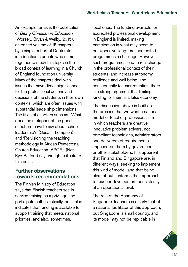An example for us is the publication of *Being Christian in Education* (Worsely, Bryan & Welby, 2015), an edited volume of 15 chapters by a single cohort of Doctorate in education students who came together to study this topic in the broad context of learning in a Church of England foundation university. Many of the chapters deal with issues that have direct significance for the professional actions and decisions of the students in their own contexts, which are often issues with substantial leadership dimensions. The titles of chapters such as, 'What does the metaphor of the good shepherd have to say about school leadership?' (Susan Thompson) and 'Re-visioning the teaching methodology in African Pentecostal Church Education (APCE)' (Nan Kye-Baffour) say enough to illustrate this point.

## Further observations towards recommendations

The Finnish Ministry of Education says that Finnish teachers see inservice training as a privilege and participate enthusiastically, but it also indicates that funding is available to support training that meets national priorities, and also, sometimes,

local ones. The funding available for accredited professional development in England is limited, making participation in what may seem to be expensive, long-term accredited programmes a challenge. However, if such programmes lead to real change in the professional context of their students, and increase autonomy, resilience and well-being, and consequently teacher retention, there is a strong argument that limiting funding for them is a false economy.

The discussion above is built on the premise that we want a national model of teacher professionalism in which teachers are creative, innovative problem-solvers, not compliant technicians, administrators and deliverers of requirements imposed on them by government or other stakeholders. It is apparent that Finland and Singapore are, in different ways, seeking to implement this kind of model, and that being clear about it informs their approach to teacher development consistently at an operational level.

The role of the Academy of Singapore Teachers is clearly that of a national facilitator of this approach, but Singapore is small country, and its model may not be replicable in

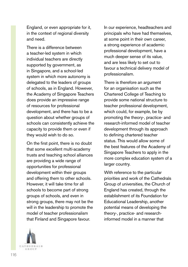England, or even appropriate for it, in the context of regional diversity and need.

There is a difference between a teacher-led system in which individual teachers are directly supported by government, as in Singapore, and a school-led system in which more autonomy is delegated to the leaders of groups of schools, as in England. However, the Academy of Singapore Teachers does provide an impressive range of resources for professional development, and there has to be a question about whether groups of schools can consistently achieve the capacity to provide them or even if they would wish to do so.

On the first point, there is no doubt that some excellent multi-academy trusts and teaching school alliances are providing a wide range of opportunities for professional development within their groups and offering them to other schools. However, it will take time for all schools to become part of strong groups of schools, and even in strong groups, there may not be the will in the leadership to promote the model of teacher professionalism that Finland and Singapore favour.

In our experience, headteachers and principals who have had themselves, at some point in their own career, a strong experience of academic professional development, have a much deeper sense of its value, and are less likely to set out to favour a technical delivery model of professionalism.

There is therefore an argument for an organisation such as the Chartered College of Teaching to provide some national structure to teacher professional development, which could, for example, be by promoting the theory-, practice- and research-informed model of teacher development through its approach to defining chartered teacher status. This would allow some of the best features of the Academy of Singapore Teachers to apply in the more complex education system of a larger country.

With reference to the particular priorities and work of the Cathedrals Group of universities, the Church of England has created, through the establishment of its Foundation for Educational Leadership, another potential means of developing the theory-, practice- and researchinformed model in a manner that

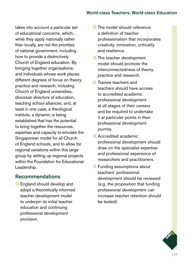takes into account a particular set of educational concerns, which, while they apply nationally rather than locally, are not the priorities of national government, including how to provide a distinctively Church of England education. By bringing together organisations. and individuals whose work places different degrees of focus on theory, practice and research, including Church of England universities, diocesan directors of education, teaching school alliances, and, at least in one case, a theological institute, a dynamic is being established that has the potential to bring together the resources, expertise and capacity to emulate the Singaporean model for all Church of England schools, and to allow for regional variations within this large group by setting up regional projects within the Foundation for Educational Leadership.

## Recommendations

**O** England should develop and adopt a theoretically informed teacher development model to underpin its initial teacher education and continuing professional development provision.

- **O** The model should reference a definition of teacher professionalism that incorporates creativity, innovation, criticality and resilience.
- **O** The teacher development model should promote the interconnectedness of theory, practice and research.
- **O** Trainee teachers and teachers should have access to accredited academic professional development at all stages of their careers and be required to undertake it at particular points in their professional development journey.
- **Q** Accredited academic professional development should draw on the specialist expertise and professional experience of researchers and practitioners.
- **O** Funding assumptions about teachers' professional development should be reviewed (e.g. the proposition that funding professional development can increase teacher retention should be tested).

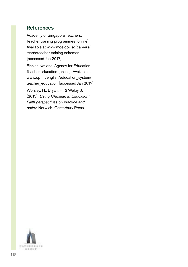# References

Academy of Singapore Teachers. Teacher training programmes [online]. Available at [www.moe.gov.sg/careers/](http://www.moe.gov.sg/careers/teach/teacher-training-schemes) [teach/teacher-training-schemes](http://www.moe.gov.sg/careers/teach/teacher-training-schemes)  [accessed Jan 2017].

Finnish National Agency for Education. Teacher education [online]. Available at [www.oph.fi/english/education\\_system/](http://www.oph.fi/english/education_system/teacher_education) teacher education [accessed Jan 2017].

Worsley, H., Bryan, H. & Welby, J. (2015). *Being Christian in Education: Faith perspectives on practice and policy.* Norwich: Canterbury Press.

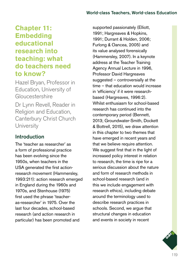# **Chapter 11: Embedding educational research into teaching: what do teachers need to know?**

Hazel Bryan, Professor in Education, University of Gloucestershire Dr Lynn Revell, Reader in

Religion and Education, Canterbury Christ Church **University** 

# Introduction

The 'teacher as researcher' as a form of professional practice has been evolving since the 1950s, when teachers in the USA generated the first actionresearch movement (Hammersley, 1993:211): action research emerged in England during the 1960s and 1970s, and Stenhouse (1975) first used the phrase 'teacheras-researcher' in 1975. Over the last four decades, school-based research (and action research in particular) has been promoted and

supported passionately (Elliott, 1991; Hargreaves & Hopkins, 1991; Durrant & Holden, 2006; Furlong & Oancea, 2005) and its value analysed forensically (Hammersley, 2007). In a keynote address at the Teacher Training Agency Annual Lecture in 1996, Professor David Hargreaves suggested – controversially at the time – that education would increase in 'efficiency' if it were researchbased (Hargreaves, 1996:2). Whilst enthusiasm for school-based research has continued into the contemporary period (Bennett, 2013; Groundwater-Smith, Dockett & Bottrell, 2015), we draw attention in this chapter to two themes that have emerged in recent years and that we believe require attention. We suggest first that in the light of increased policy interest in relation to research, the time is ripe for a serious discussion about the nature and form of research methods in school-based research (and in this we include engagement with research ethics), including debate around the terminology used to describe research practices in schools. Second, we argue that structural changes in education and events in society in recent

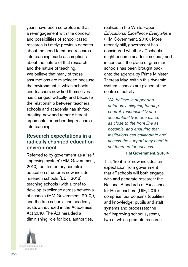years have been so profound that a re-engagement with the concept and possibilities of school-based research is timely: previous debates about the need to embed research into teaching made assumptions about the nature of that research and the nature of teaching. We believe that many of those assumptions are misplaced because the environment in which schools and teachers now find themselves has changed radically, and because the relationship between teachers, schools and academia has shifted, creating new and rather different arguments for embedding research into teaching.

## Research expectations in a radically changed education environment

Referred to by government as a 'selfimproving system' (HM Government, 2010), contemporary complex education structures now include research schools (EEF, 2016), teaching schools (with a brief to develop excellence across networks of schools (HM Government, 2010)), and the free schools and academy trusts announced in the Academies Act 2010. The Act heralded a diminishing role for local authorities,



realised in the White Paper *Educational Excellence Everywhere* (HM Government, 2016). More recently still, government has considered whether *all* schools might become academies (ibid.) and in contrast, the place of grammar schools has been brought back onto the agenda by Prime Minister Theresa May. Within this dynamic system, schools are placed at the centre of activity:

*We believe in supported autonomy: aligning funding, control, responsibility and accountability in one place, as close to the front line as possible, and ensuring that institutions can collaborate and access the support they need to set them up for success.*

### HM Government, 2016:4

This 'front line' now includes an expectation from government that *all* schools will both engage with and generate research: the National Standards of Excellence for Headteachers (DfE, 2015) comprise four domains (qualities and knowledge; pupils and staff; systems and processes; the self-improving school system), two of which promote research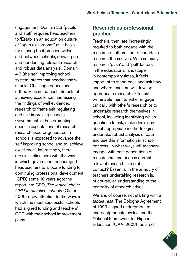engagement. Domain 2.3 (pupils and staff) requires headteachers to 'Establish an education culture of "open classrooms" as a basis for sharing best practice within and between schools, drawing on and conducting relevant research and robust data analysis'. Domain 4.3 (the self-improving school system) states that headteachers should 'Challenge educational orthodoxies in the best interests of achieving excellence, harnessing the findings of well evidenced research to frame self-regulating and self-improving schools'. Government is thus promoting specific expectations of research: research used or generated in schools is expected to advance the self-improving school and to 'achieve excellence'. Interestingly, there are similarities here with the way in which government encouraged headteachers to allocate funding for continuing professional development (CPD) some 10 years ago: the report into CPD, *The logical chain: CPD in effective schools* (Ofsted, 2006) drew attention to the ways in which the most successful schools had aligned funding and teachers' CPD with their school improvement plans.

# Research as professional practice

Teachers, then, are increasingly required to both engage with the research of others and to undertake research themselves. With so many research 'push' and 'pull' factors in the educational landscape in contemporary times, it feels important to stand back and ask how and where teachers will develop appropriate research skills that will enable them to either engage critically with other's research or to undertake research themselves in school, including identifying which questions to ask, make decisions about appropriate methodologies, undertake robust analysis of data and use this information in school contexts. In what ways will teachers engage with past generations of researchers and access current relevant research in a global context? Essential in the armoury of teachers undertaking research is, of course, an understanding of the centrality of research ethics.

We are, of course, not starting with a *tabula rasa*. The Bologna Agreement of 1999 aligned undergraduate and postgraduate cycles and the National Framework for Higher Education (QAA, 2008) required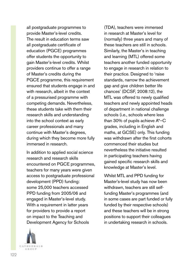all postgraduate programmes to provide Master's-level credits. The result in education terms saw all postgraduate certificate of education (PGCE) programmes offer students the opportunity to gain Master's-level credits. Whilst providers continue to offer a range of Master's credits during the PGCE programme, this requirement ensured that students engage in and with research, albeit in the context of a pressurised programme with competing demands. Nevertheless, these students take with them their research skills and understanding into the school context as early career professionals and many continue with Master's degrees, during which they become more fully immersed in research.

In addition to applied social science research and research skills encountered on PGCE programmes, teachers for many years were given access to postgraduate professional development (PPD) funding: some 25,000 teachers accessed PPD funding from 2005/06 and engaged in Master's-level study. With a requirement in latter years for providers to provide a report on impact to the Teaching and Development Agency for Schools



(TDA), teachers were immersed in research at Master's level for (normally) three years and many of these teachers are still in schools. Similarly, the Master's in teaching and learning (MTL) offered some teachers another funded opportunity to engage in research in relation to their practice. Designed to 'raise standards, narrow the achievement gap and give children better life chances' (DCSF, 2008:12), the MTL was offered to newly qualified teachers and newly appointed heads of department in national challenge schools (i.e., schools where less than 30% of pupils achieve A\*–C grades, including in English and maths, at GCSE) only. This funding was withdrawn after the first cohorts commenced their studies but nevertheless the initiative resulted in participating teachers having gained specific research skills and knowledge at Master's level.

Whilst MTL and PPD funding for Master's-level study has now been withdrawn, teachers are still selffunding Master's programmes (and in some cases are part funded or fully funded by their respective schools) and these teachers will be in strong positions to support their colleagues in undertaking research in schools.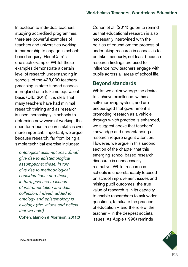In addition to individual teachers studying accredited programmes. there are powerful examples of teachers and universities working in partnership to engage in schoolbased enquiry: HertsCam<sup>1</sup> is one such example. Whilst these examples demonstrate a certain level of research understanding in schools, of the 438,000 teachers practising in state-funded schools in England on a full-time equivalent basis (DfE, 2014), it is clear that many teachers have had minimal research training and as research is used increasingly in schools to determine new ways of working, the need for robust research skills is ever more important. Important, we argue, because research, far from being a simple technical exercise includes:

*ontological assumptions…[that] give rise to epistemological assumptions; these, in turn give rise to methodological considerations; and these, in turn, give rise to issues of instrumentation and data collection. Indeed, added to ontology and epistemology is axiology (the values and beliefs that we hold).*

Cohen, Manion & Morrison, 2011:3

Cohen et al. (2011) go on to remind us that educational research is also necessarily intertwined with the politics of education: the process of undertaking research in schools is to be taken seriously, not least because research findings are used to influence how teachers engage with pupils across all areas of school life.

## Beyond standards

Whilst we acknowledge the desire to 'achieve excellence' within a self-improving system, and are encouraged that government is promoting research as a vehicle through which practice is enhanced, we suggest above that teachers' knowledge and understanding of research require urgent attention. However, we argue in this second section of the chapter that this emerging school-based research discourse is unnecessarily restrictive. Whilst research in schools is understandably focused on school improvement issues and raising pupil outcomes, the true value of research is in its capacity to enable researchers to ask wider questions, to situate the practice of education – and the role of the teacher – in the deepest societal issues. As Apple (1996) reminds

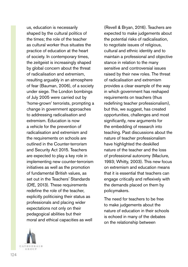us, education is necessarily shaped by the cultural politics of the times; the role of the teacher as cultural worker thus situates the practice of education at the heart of society. In contemporary times, the zeitgeist is increasingly shaped by global concern about the threat of radicalisation and extremism, resulting arguably in an atmosphere of fear (Bauman, 2006), of a society under siege. The London bombings of July 2005 were carried out by 'home-grown' terrorists, prompting a change in government approaches to addressing radicalisation and extremism. Education is now a vehicle for the prevention of radicalisation and extremism and the requirements on schools are outlined in the Counter-terrorism and Security Act 2015. Teachers are expected to play a key role in implementing new counter-terrorism initiatives as well as the promotion of fundamental British values, as set out in the Teachers' Standards (DfE, 2013). These requirements redefine the role of the teacher, explicitly politicising their status as professionals and placing wider expectations not only on their pedagogical abilities but their moral and ethical capacities as well

(Revell & Bryan, 2016). Teachers are expected to make judgements about the potential risks of radicalisation, to negotiate issues of religious, cultural and ethnic identity and to maintain a professional and objective stance in relation to the many sensitive and controversial issues raised by their new roles. The threat of radicalisation and extremism provides a clear example of the way in which government has reshaped requirements on teachers (thus redefining teacher professionalism), but this, we suggest, has created opportunities, challenges and most significantly, new arguments for the embedding of research into teaching. Past discussions about the nature of teacher professionalism have highlighted the deskilled nature of the teacher and the loss of professional autonomy (Maclure, 1993; Whitty, 2003). This new focus on extremism and education means that it is essential that teachers can engage critically and reflexively with the demands placed on them by policymakers.

The need for teachers to be free to make judgements about the nature of education in their schools is echoed in many of the debates on the relationship between

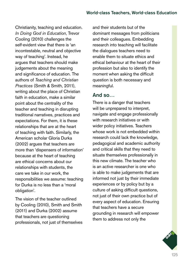Christianity, teaching and education. *In Doing God in Education*, Trevor Cooling (2010) challenges the self-evident view that there is 'an incontestable, neutral and objective way of teaching'. Instead, he argues that teachers should make judgements about the meaning and significance of education. The authors of *Teaching and Christian Practices* (Smith & Smith, 2011), writing about the place of Christian faith in education, make a similar point about the centrality of the teacher and teaching in disrupting traditional narratives, practices and expectations. For them, it is these relationships that are at the heart of teaching with faith. Similarly, the American scholar Gloria Durka (2002) argues that teachers are more than 'dispensers of information' because at the heart of teaching are ethical concerns about our relationships with students, the care we take in our work, the responsibilities we assume: teaching for Durka is no less than a 'moral obligation'.

The vision of the teacher outlined by Cooling (2010), Smith and Smith (2011) and Durka (2002) assume that teachers are questioning professionals, not just of themselves and their students but of the dominant messages from politicians and their colleagues. Embedding research into teaching will facilitate the dialogues teachers need to enable them to situate ethics and ethical behaviour at the heart of their profession but also to identify the moment when asking the difficult question is both necessary and meaningful.

## And so…

There is a danger that teachers will be unprepared to interpret, navigate and engage professionally with research initiatives or with wider policy initiatives. Teachers whose work is not embedded within research could lack the knowledge, pedagogical and academic authority and critical skills that they need to situate themselves professionally in this new climate. The teacher who is an active researcher is one who is able to make judgements that are informed not just by their immediate experiences or by policy but by a culture of asking difficult questions, not just of their own practice but of every aspect of education. Ensuring that teachers have a secure grounding in research will empower them to address not only the

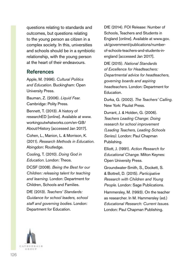questions relating to standards and outcomes, but questions relating to the young person as citizen in a complex society. In this, universities and schools should be in a symbiotic relationship, with the young person at the heart of their endeavours.

## References

Apple, M. (1996). *Cultural Politics and Education.* Buckingham: Open University Press.

Bauman, Z. (2006). *Liquid Fear.*  Cambridge: Polity Press.

Bennett, T. (2013). A history of researchED [online]. Available at [www.](http://www.workingoutwhatworks.com/en-GB/About/History) [workingoutwhatworks.com/en-GB/](http://www.workingoutwhatworks.com/en-GB/About/History) [About/History](http://www.workingoutwhatworks.com/en-GB/About/History) [accessed Jan 2017].

Cohen, L., Manion, L. & Morrison, K. (2011). *Research Methods in Education.*  Abingdon: Routledge.

Cooling, T. (2010). *Doing God in Education.* London: Theos.

DCSF (2008). *Being the Best for our Children: releasing talent for teaching and learning.* London: Department for Children, Schools and Families.

DfE (2013). *Teachers' Standards: Guidance for school leaders, school staff and governing bodies.* London: Department for Education.

DfE (2014). FOI Release: Number of Schools, Teachers and Students in England [online]. Available at [www.gov.](http://www.gov.uk/government/publications/number-of-schools-teachers-and-students-in-england) [uk/government/publications/number](http://www.gov.uk/government/publications/number-of-schools-teachers-and-students-in-england)[of-schools-teachers-and-students-in](http://www.gov.uk/government/publications/number-of-schools-teachers-and-students-in-england)[england](http://www.gov.uk/government/publications/number-of-schools-teachers-and-students-in-england) [accessed Jan 2017].

DfE (2015). *National Standards of Excellence for Headteachers: Departmental advice for headteachers, governing boards and aspiring headteachers*. London: Department for Education.

Durka, G. (2002). *The Teachers' Calling.*  New York: Paulist Press.

Durrant, J. & Holden, G. (2006). *Teachers Leading Change: Doing research for school improvement (Leading Teachers, Leading Schools Series).* London: Paul Chapman Publishing.

Elliott, J. (1991). *Action Research for Educational Change.* Milton Keynes: Open University Press.

Groundwater-Smith, S., Dockett, S. & Bottrell, D. (2015). *Participative Research with Children and Young People.* London: Sage Publications.

Hammersley, M. (1993). On the teacher as researcher. In M. Hammersley (ed.) *Educational Research: Current Issues.* London: Paul Chapman Publishing.

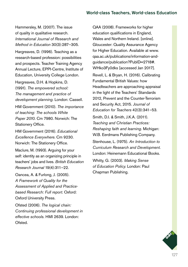Hammersley, M. (2007). The issue of quality in qualitative research. *International Journal of Research and Method in Education* 30(3):287–305.

Hargreaves, D. (1996). Teaching as a research-based profession: possibilities and prospects. Teacher Training Agency Annual Lecture, EPPI-Centre, Institute of Education, University College London.

Hargreaves, D.H. & Hopkins, D. (1991). *The empowered school: The management and practice of development planning.* London: Cassell.

HM Government (2010). *The importance of teaching: The schools White Paper 2010.* Cm 7980. Norwich: The Stationery Office.

HM Government (2016). *Educational Excellence Everywhere.* Cm 9230. Norwich: The Stationery Office.

Maclure, M. (1993). Arguing for your self: identity as an organizing principle in teachers' jobs and lives. *British Education Research Journal* 19(4):311–22.

Oancea, A. & Furlong, J. (2005). *A Framework of Quality for the Assessment of Applied and Practicebased Research: Full report.* Oxford: Oxford University Press.

Ofsted (2006). *The logical chain: Continuing professional development in effective schools.* HMI 2639. London: Ofsted.

QAA (2008). Frameworks for higher education qualifications in England, Wales and Northern Ireland. [online]. Gloucester: Quality Assurance Agency for Higher Education. Available at [www.](http://www.qaa.ac.uk/publications/information-and-guidance/publication?PubID=2718#.WHko3Fy0dks) [qaa.ac.uk/publications/information-and](http://www.qaa.ac.uk/publications/information-and-guidance/publication?PubID=2718#.WHko3Fy0dks)[guidance/publication?PubID=2718#.](http://www.qaa.ac.uk/publications/information-and-guidance/publication?PubID=2718#.WHko3Fy0dks) [WHko3Fy0dks](http://www.qaa.ac.uk/publications/information-and-guidance/publication?PubID=2718#.WHko3Fy0dks) [accessed Jan 2017].

Revell, L. & Bryan, H. (2016). Calibrating Fundamental British Values: how Headteachers are approaching appraisal in the light of the Teachers' Standards 2012, Prevent and the Counter-Terrorism and Security Act, 2015. *Journal of Education for Teachers* 42(3):341–53.

Smith, D.I. & Smith, J.K.A. (2011). *Teaching and Christian Practices: Reshaping faith and learning.* Michigan: W.B. Eerdmans Publishing Company.

Stenhouse, L. (1975). *An Introduction to Curriculum Research and Development.*  London: Heinemann Educational Books.

Whitty, G. (2003). *Making Sense of Education Policy.* London: Paul Chapman Publishing.

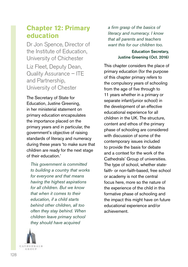# **Chapter 12: Primary education**

Dr Jon Spence, Director of the Institute of Education, University of Chichester Liz Fleet, Deputy Dean, Quality Assurance – ITE and Partnership, University of Chester

The Secretary of State for Education, Justine Greening, in her ministerial statement on primary education encapsulates the importance placed on the primary years and in particular, the government's objective of raising standards of literacy and numeracy during these years 'to make sure that children are ready for the next stage of their education.'

*This government is committed to building a country that works for everyone and that means having the highest aspirations for all children. But we know that when it comes to their education, if a child starts behind other children, all too often they stay behind. When children leave primary school they should have acquired* 



*a firm grasp of the basics of literacy and numeracy. I know that all parents and teachers want this for our children too.*

### Education Secretary, Justine Greening (Oct. 2016)

This chapter considers the place of primary education (for the purpose of this chapter primary refers to the compulsory years of schooling from the age of five through to 11 years whether in a primary or separate infant/junior school) in the development of an effective educational experience for all children in the UK. The structure, content and ethos of the primary phase of schooling are considered with discussion of some of the contemporary issues included to provide the basis for debate and a context for the work of the Cathedrals' Group of universities. The type of school, whether statefaith- or non-faith-based, free school or academy is not the central focus here, more so the nature of the experience of the child in this formative phase of schooling and the impact this might have on future educational experience and/or achievement.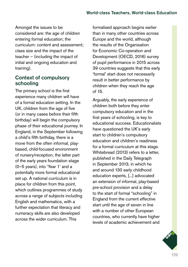Amongst the issues to be considered are: the age of children entering formal education; the curriculum: content and assessment; class size and the impact of the teacher – (including the impact of initial and ongoing education and training).

## Context of compulsory schooling

The primary school is the first experience many children will have of a formal education setting. In the UK, children from the age of five (or in many cases before their fifth birthday) will begin the compulsory phase of their educational journey. In England, in the September following a child's fifth birthday, there is a move from the often informal, playbased, child-focused environment of nursery/reception, the latter part of the early years foundation stage (0–5 years), into 'Year 1' and a potentially more formal educational set up. A national curriculum is in place for children from this point, which outlines programmes of study across a range of subjects including English and mathematics, with a further expectation that literacy and numeracy skills are also developed across the wider curriculum. This

formalised approach begins earlier than in many other countries across Europe and the world, although the results of the Organisation for Economic Co-operation and Development (OECD, 2016) survey of pupil performance in 2015 across 39 countries suggests that this early 'formal' start does not necessarily result in better performance by children when they reach the age of 15.

Arguably, the early experience of children both before they enter compulsory education and in the first years of schooling, is key to educational success. Educationalists have questioned the UK's early start to children's compulsory education and children's readiness for a formal curriculum at this stage. Whitebread (2013) refers to a letter, published in the Daily Telegraph in September 2013, in which he and around 130 early childhood education experts, [...] advocated an extension of informal, play-based pre-school provision and a delay to the start of formal "schooling" in England from the current effective start until the age of seven in line with a number of other European countries, who currently have higher levels of academic achievement and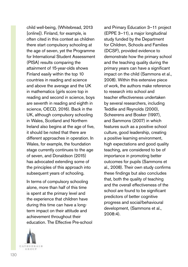child well-being, (Whitebread, 2013 [online]). Finland, for example, is often cited in this context as children there start compulsory schooling at the age of seven, yet the Programme for International Student Assessment (PISA) results comparing the attainment of 15-year-olds shows Finland easily within the top 10 countries in reading and science and above the average and the UK in mathematics (girls score top in reading and second in science, boys are seventh in reading and eighth in science, OECD, 2016). Back in the UK, although compulsory schooling in Wales, Scotland and Northern Ireland also begins at the age of five, it should be noted that there are different approaches in operation. In Wales, for example, the foundation stage currently continues to the age of seven, and Donaldson (2015) has advocated extending some of the principles of this approach into subsequent years of schooling.

In terms of compulsory schooling alone, more than half of this time is spent at the primary level and the experience that children have during this time can have a longterm impact on their attitude and achievement throughout their education. The Effective Pre-school



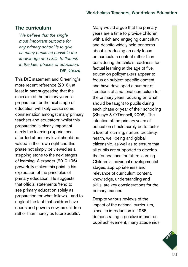## The curriculum

*We believe that the single most important outcome for any primary school is to give as many pupils as possible the knowledge and skills to flourish in the later phases of education.* DfE, 2014:4

This DfE statement and Greening's more recent reference (2016), at least in part suggesting that the main aim of the primary years is preparation for the next stage of education will likely cause some consternation amongst many primary teachers and educators; whilst this preparation is clearly important, surely the learning experiences afforded at primary level should be valued in their own right and this phase not simply be viewed as a stepping stone to the next stages of learning. Alexander (2010:196) powerfully makes this point in his exploration of the principles of primary education. He suggests that official statements 'tend to see primary education solely as preparation for what follows... and to neglect the fact that children have needs and powers now, as children rather than merely as future adults'.

Many would argue that the primary years are a time to provide children with a rich and engaging curriculum and despite widely held concerns about introducing an early focus on curriculum content rather than considering the child's readiness for factual learning at the age of five, education policymakers appear to focus on subject-specific content and have developed a number of iterations of a national curriculum for the primary years focusing on what should be taught to pupils during each phase or year of their schooling (Shuayb & O'Donnell, 2008). The intention of the primary years of education should surely be to foster a love of learning, nurture creativity, health, well-being and global citizenship, as well as to ensure that all pupils are supported to develop the foundations for future learning. Children's individual developmental stages, appropriateness and relevance of curriculum content, knowledge, understanding and skills, are key considerations for the primary teacher.

Despite various reviews of the impact of the national curriculum, since its introduction in 1988, demonstrating a positive impact on pupil achievement, many academics

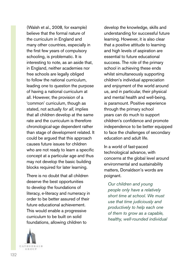(Walsh et al., 2008, for example) believe that the formal nature of the curriculum in England and many other countries, especially in the first few years of compulsory schooling, is problematic. It is interesting to note, as an aside that, in England, neither academies nor free schools are legally obliged to follow the national curriculum, leading one to question the purpose of having a national curriculum at all. However, the provision of a 'common' curriculum, though as stated, not actually *for all*, implies that all children develop at the same rate and the curriculum is therefore chronological-age dependent rather than stage of development related. It could be argued that this approach causes future issues for children who are not ready to learn a specific concept at a particular age and thus may not develop the basic building blocks required for later learning.

There is no doubt that all children deserve the best opportunities to develop the foundations of literacy, e-literacy and numeracy in order to be better assured of their future educational achievement. This would enable a progressive curriculum to be built on solid foundations, allowing children to



develop the knowledge, skills and understanding for successful future learning. However, it is also clear that a positive attitude to learning and high levels of aspiration are essential to future educational success. The role of the primary school in achieving these ends whilst simultaneously supporting children's individual appreciation and enjoyment of the world around us, and in particular, their physical and mental health and well-being, is paramount. Positive experience through the primary school years can do much to support children's confidence and promote independence to be better equipped to face the challenges of secondary education and adult life.

In a world of fast-paced technological advance, with concerns at the global level around environmental and sustainability matters, Donaldson's words are poignant.

*Our children and young people only have a relatively short time at school. We must use that time judiciously and productively to help each one of them to grow as a capable, healthy, well-rounded individual*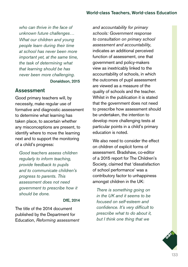*who can thrive in the face of unknown future challenges… What our children and young people learn during their time at school has never been more important yet, at the same time, the task of determining what that learning should be has never been more challenging.*

Donaldson, 2015

### Assessment

Good primary teachers will, by necessity, make regular use of formative and diagnostic assessment to determine what learning has taken place, to ascertain whether any misconceptions are present, to identify where to move the learning next and to support the monitoring of a child's progress:

*Good teachers assess children regularly to inform teaching, provide feedback to pupils and to communicate children's progress to parents. This assessment does not need government to prescribe how it should be done.*

### DfE, 2014

The title of the 2014 document published by the Department for Education, *Reforming assessment*  *and accountability for primary schools: Government response to consultation on primary school assessment and accountability*, indicates an additional perceived function of assessment, one that government and policy-makers view as inextricably linked to the accountability of schools, in which the outcomes of pupil assessment are viewed as a measure of the quality of schools and the teacher. Whilst in the publication it is stated that the government does not need to prescribe how assessment should be undertaken, the intention to develop more challenging tests at particular points in a child's primary education is noted.

We also need to consider the effect on children of explicit forms of assessment. Bradshaw, co-editor of a 2015 report for The Children's Society, claimed that 'dissatisfaction of school performance' was a contributory factor to unhappiness amongst children in the UK:

*There is something going on in the UK and it seems to be focused on self-esteem and confidence. It's very difficult to prescribe what to do about it, but I think one thing that we* 

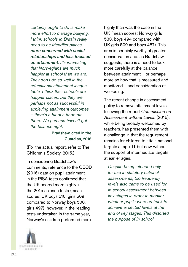*certainly ought to do is make more effort to manage bullying. I think schools in Britain really need to be friendlier places, more concerned with social relationships and less focused on attainment. It's interesting that Norwegians are much happier at school than we are. They don't do so well in the educational attainment league table. I think their schools are happier places, but they are perhaps not as successful in achieving attainment outcomes – there's a bit of a trade-off there. We perhaps haven't got the balance right.*

### Bradshaw, cited in the Guardian, 2016

(For the actual report, refer to The Children's Society, 2015.)

In considering Bradshaw's comments, reference to the OECD (2016) data on pupil attainment in the PISA tests confirmed that the UK scored more highly in the 2015 science tests (mean scores: UK boys 510, girls 509 compared to Norway boys 500, girls 497); however, in the reading tests undertaken in the same year, Norway's children performed more



highly than was the case in the UK (mean scores: Norway girls 533, boys 494 compared with UK girls 509 and boys 487). This area is certainly worthy of greater consideration and, as Bradshaw suggests, there is a need to look more carefully at the balance between attainment – or perhaps more so how that is measured and monitored – and consideration of well-being.

The recent change in assessment policy to remove attainment levels, following the report *Commission on Assessment without Levels* (2015), while being broadly welcomed by teachers, has presented them with a challenge in that the requirement remains for children to attain national targets at age 11 but now without the support of intermediate targets at earlier ages.

*Despite being intended only for use in statutory national assessments, too frequently levels also came to be used for in-school assessment between key stages in order to monitor whether pupils were on track to achieve expected levels at the end of key stages. This distorted the purpose of in-school*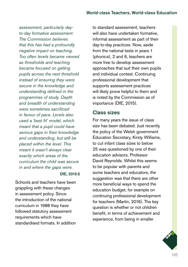*assessment, particularly dayto-day formative assessment. The Commission believes that this has had a profoundly negative impact on teaching. Too often levels became viewed as thresholds and teaching became focused on getting pupils across the next threshold instead of ensuring they were secure in the knowledge and understanding defined in the programmes of study. Depth and breadth of understanding were sometimes sacrificed in favour of pace. Levels also used a 'best fit' model, which meant that a pupil could have serious gaps in their knowledge and understanding, but still be placed within the level. This meant it wasn't always clear exactly which areas of the curriculum the child was secure in and where the gaps were.*

#### DfF<sub>2015:5</sub>

Schools and teachers have been grappling with these changes in assessment policy. Since the introduction of the national curriculum in 1988 they have followed statutory assessment requirements which have standardised formats. In addition to standard assessment, teachers will also have undertaken formative. informal assessment as part of their day-to-day practices. Now, aside from the national tests in years 1 (phonics), 2 and 6, teachers are more free to develop assessment approaches that suit their own pupils and individual context. Continuing professional development that supports assessment practices will likely prove helpful to them and is noted by the Commission as of importance (DfE, 2015).

## Class sizes

For many years the issue of class size has been debated. Just recently the policy of the Welsh government Education Secretary, Kirsty Williams, to cut infant class sizes to below 25 was questioned by one of their education advisors, Professor David Reynolds. Whilst this seems to be popular with parents and some teachers and educators, the suggestion was that there are other more beneficial ways to spend the education budget, for example on continuing professional development for teachers (Martin, 2016). The key question is whether or not children benefit, in terms of achievement and experience, from being in smaller

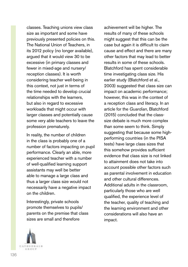classes. Teaching unions view class size as important and some have previously presented policies on this. The National Union of Teachers, in its 2012 policy (no longer available), argued that it would view 30 to be excessive (in primary classes and fewer in mixed-age and nursery/ reception classes). It is worth considering teacher well-being in this context, not just in terms of the time needed to develop crucial relationships with the learners, but also in regard to excessive workloads that might occur with larger classes and potentially cause some very able teachers to leave the profession prematurely.

In reality, the number of children in the class is probably one of a number of factors impacting on pupil performance. Clearly an able, more experienced teacher with a number of well-qualified learning support assistants may well be better able to manage a large class and thus a larger class size would not necessarily have a negative impact on the children.

Interestingly, private schools promote themselves to pupils/ parents on the premise that class sizes are small and therefore

achievement will be higher. The results of many of these schools might suggest that this can be the case but again it is difficult to claim cause and effect and there are many other factors that may lead to better results in some of these schools. Blatchford has spent considerable time investigating class size. His earlier study (Blatchford et al., 2003) suggested that class size can impact on academic performance; however, this was in the context of a reception class and literacy. In an article for the *Guardian*, Blatchford (2015) concluded that the classsize debate is much more complex than some seem to think. Simply suggesting that because some highperforming countries (in the PISA tests) have large class sizes that this somehow provides sufficient evidence that class size is not linked to attainment does not take into account possible other factors such as parental involvement in education and other cultural differences. Additional adults in the classroom, particularly those who are well qualified, the experience level of the teacher, quality of teaching and the learning environment and other considerations will also have an impact.

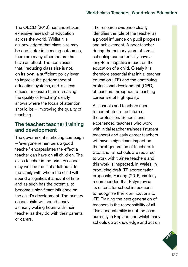The OECD (2012) has undertaken extensive research of education across the world. Whilst it is acknowledged that class size may be one factor influencing outcomes, there are many other factors that have an effect. The conclusion that, 'reducing class size is not, on its own, a sufficient policy lever to improve the performance of education systems, and is a less efficient measure than increasing the quality of teaching' clearly shows where the focus of attention should be – improving the quality of teaching.

## The teacher: teacher training and development

The government marketing campaign – 'everyone remembers a good teacher' encapsulates the effect a teacher can have on all children. The class teacher in the primary school may well be the first adult outside the family with whom the child will spend a significant amount of time and as such has the potential to become a significant influence on the child's development. The primary school child will spend nearly as many waking hours with their teacher as they do with their parents or carers.

The research evidence clearly identifies the role of the teacher as a pivotal influence on pupil progress and achievement. A poor teacher during the primary years of formal schooling can potentially have a long-term negative impact on the education of a child. Clearly it is therefore essential that initial teacher education (ITE) and the continuing professional development (CPD) of teachers throughout a teaching career are of high quality.

All schools and teachers need to contribute to the future of the profession. Schools and experienced teachers who work with initial teacher trainees (student teachers) and early career teachers will have a significant impact on the next generation of teachers. In Scotland, all schools are required to work with trainee teachers and this work is inspected. In Wales, in producing draft ITE accreditation proposals, Furlong (2016) similarly recommended that Estyn revise its criteria for school inspections to recognise their contributions to ITE. Training the next generation of teachers is the responsibility of all. This accountability is not the case currently in England and whilst many schools do acknowledge and act on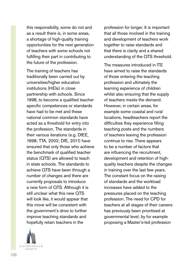this responsibility, some do not and as a result there is, in some areas, a shortage of high-quality training opportunities for the next generation of teachers with some schools not fulfilling their part in contributing to the future of the profession.

The training of teachers has traditionally been carried out by universities/higher education institutions (HEIs) in close partnership with schools. Since 1998, to become a qualified teacher specific competences or standards have had to be met and these national common standards have acted as a threshold for entry into the profession. The standards in their various iterations (e.g. DfEE, 1998; TTA, 2002; DfE, 2011) have ensured that only those who achieve the benchmark of qualified teacher status (QTS) are allowed to teach in state schools. The standards to achieve QTS have been through a number of changes and there are currently proposals to introduce a new form of QTS. Although it is still unclear what this new QTS will look like, it would appear that this move will be consistent with the government's drive to further improve teaching standards and hopefully retain teachers in the

**CATHEDNALS** 石法の幻护

profession for longer. It is important that all those involved in the training and development of teachers work together to raise standards and that there is clarity and a shared understanding of the QTS threshold.

The measures introduced in ITE have aimed to raise the standards of those entering the teaching profession and ultimately the learning experience of children whilst also ensuring that the supply of teachers meets the demand. However, in certain areas, for example some coastal and rural locations, headteachers report the difficulties they experience filling teaching posts and the numbers of teachers leaving the profession continue to rise. There appears to be a number of factors that are influencing the recruitment, development and retention of highquality teachers despite the changes in training over the last few years. The constant focus on the raising of standards and the workload increases have added to the pressures placed on the teaching profession. The need for CPD for teachers at all stages of their careers has previously been prioritised at governmental level, by for example proposing a Master's-led profession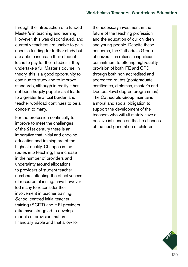through the introduction of a funded Master's in teaching and learning. However, this was discontinued, and currently teachers are unable to gain specific funding for further study but are able to increase their student loans to pay for their studies if they undertake a full Master's course. In theory, this is a good opportunity to continue to study and to improve standards, although in reality it has not been hugely popular as it leads to a greater financial burden and teacher workload continues to be a concern to many.

For the profession continually to improve to meet the challenges of the 21st century there is an imperative that initial and ongoing education and training are of the highest quality. Changes in the routes into teaching, the increase in the number of providers and uncertainty around allocations to providers of student teacher numbers, affecting the effectiveness of resource planning, have however led many to reconsider their involvement in teacher training. School-centred initial teacher training (SCITT) and HEI providers alike have struggled to develop models of provision that are financially viable and that allow for

the necessary investment in the future of the teaching profession and the education of our children and young people. Despite these concerns, the Cathedrals Group of universities retains a significant commitment to offering high-quality provision of both ITE and CPD through both non-accredited and accredited routes (postgraduate certificates, diplomas, master's and Doctoral-level degree programmes). The Cathedrals Group maintains a moral and social obligation to support the development of the teachers who will ultimately have a positive influence on the life chances of the next generation of children.

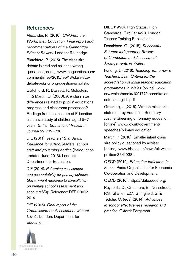## References

Alexander, R. (2010). *Children, their World, their Education. Final report and recommendations of the Cambridge Primary Review*. London: Routledge. Blatchford, P. (2015). The class size debate is tired and asks the wrong questions [online]. [www.theguardian.com/](http://www.theguardian.com/commentisfree/2015/feb/13/class-size-debate-asks-wrong-question-simplistic) [commentisfree/2015/feb/13/class-size](http://www.theguardian.com/commentisfree/2015/feb/13/class-size-debate-asks-wrong-question-simplistic)[debate-asks-wrong-question-simplistic](http://www.theguardian.com/commentisfree/2015/feb/13/class-size-debate-asks-wrong-question-simplistic) Blatchford, P., Bassett, P., Goldstein, H. & Martin, C. (2003). Are class size differences related to pupils' educational progress and classroom processes? Findings from the Institute of Education class size study of children aged 5–7 years. *British Educational Research Journal* 29:709–730.

DfE (2011). *Teachers' Standards. Guidance for school leaders, school staff and governing bodies* (introduction updated June 2013). London: Department for Education.

DfE (2014). *Reforming assessment and accountability for primary schools. Government response to consultation on primary school assessment and accountability*. Reference: DFE-00102- 2014

DfE (2015). *Final report of the Commission on Assessment without Levels*. London: Department for Education.

DfEE (1998). High Status, High Standards, Circular 4/98. London: Teacher Training Publications.

Donaldson, G. (2015). *Successful Futures: Independent Review of Curriculum and Assessment Arrangements in Wales*.

Furlong, J. (2016). *Teaching Tomorrow's Teachers. Draft Criteria for the accreditation of initial teacher education programmes in Wales* [online]. [www.](http://www.erw.wales/media/109177/accreditation-criteria-english.pdf) [erw.wales/media/109177/accreditation](http://www.erw.wales/media/109177/accreditation-criteria-english.pdf)[criteria-english.pdf](http://www.erw.wales/media/109177/accreditation-criteria-english.pdf)

Greening, J. (2016). Written ministerial statement by Education Secretary Justine Greening on primary education. [online] [www.gov.uk/government/](http://www.gov.uk/government/speeches/primary-education) [speeches/primary-education](http://www.gov.uk/government/speeches/primary-education)

Martin, P. (2016). Smaller infant class size policy questioned by adviser [online]. [www.bbc.co.uk/news/uk-wales](http://www.bbc.co.uk/news/uk-wales-politics-36419384)[politics-36419384](http://www.bbc.co.uk/news/uk-wales-politics-36419384)

OECD (2012). *Education Indicators in Focus.* Paris: Organisation for Economic Co-operation and Development.

OECD (2016). <https://data.oecd.org/>

Reynolds, D., Creemers, B., Nesselrodt, P.S., Shaffer, E.C., Stringfield, S. & Teddlie, C. (eds) (2014). *Advances in school effectiveness research and practice*. Oxford: Pergamon.

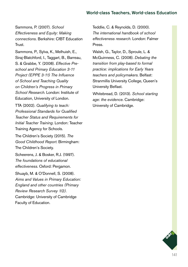Sammons, P. (2007). *School Effectiveness and Equity: Making connections.* Berkshire: CfBT Education Trust.

Sammons, P., Sylva, K., Melhuish, E., Sirai-Blatchford, I., Taggart, B., Barreau, S. & Grabbe, Y. (2008). *Effective Preschool and Primary Education 3-11 Project (EPPE 3-11) The Influence of School and Teaching Quality on Children's Progress in Primary School Research*. London: Institute of Education, University of London.

TTA (2002). *Qualifying to teach: Professional Standards for Qualified Teacher Status and Requirements for Initial Teacher Training.* London: Teacher Training Agency for Schools.

The Children's Society (2015). *The Good Childhood Report*. Birmingham: The Children's Society.

Scheerens, J. & Bosker, R.J. (1997). *The foundations of educational effectiveness*. Oxford: Pergamon.

Shuayb, M. & O'Donnell, S. (2008). *Aims and Values in Primary Education: England and other countries (Primary Review Research Survey 1/2)*. Cambridge: University of Cambridge Faculty of Education.

Teddlie, C. & Reynolds, D. (2000). *The international handbook of school effectiveness research.* London: Falmer Press.

Walsh, G., Taylor, D., Sproule, L. & McGuinness, C. (2008). *Debating the transition from play-based to formal practice: implications for Early Years teachers and policymakers*. Belfast: Stranmillis University College, Queen's University Belfast.

Whitebread, D. (2013). *School starting age: the evidence*. Cambridge: University of Cambridge.

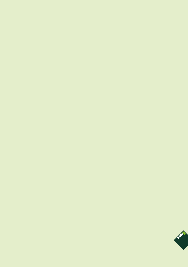

 $\mathbf{r}$ Ô